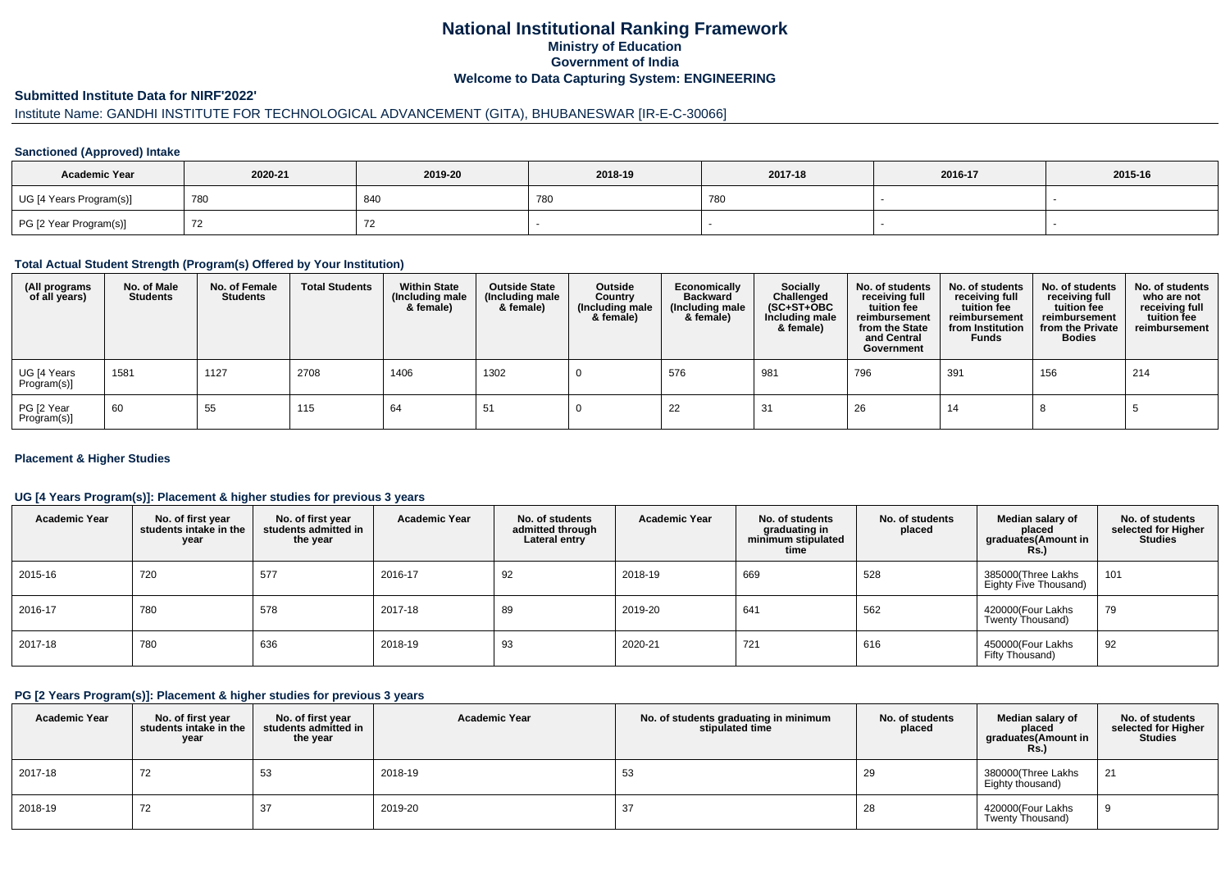# **National Institutional Ranking FrameworkMinistry of Education Government of IndiaWelcome to Data Capturing System: ENGINEERING**

#### **Submitted Institute Data for NIRF'2022'**

# Institute Name: GANDHI INSTITUTE FOR TECHNOLOGICAL ADVANCEMENT (GITA), BHUBANESWAR [IR-E-C-30066]

### **Sanctioned (Approved) Intake**

| <b>Academic Year</b>    | 2020-21 | 2019-20 | 2018-19 | 2017-18 | 2016-17 | 2015-16 |
|-------------------------|---------|---------|---------|---------|---------|---------|
| UG [4 Years Program(s)] | 780     | 840     | 780     | 780     |         |         |
| PG [2 Year Program(s)]  |         |         |         |         |         |         |

### **Total Actual Student Strength (Program(s) Offered by Your Institution)**

| (All programs<br>of all years) | No. of Male<br><b>Students</b> | No. of Female<br>Students | <b>Total Students</b> | <b>Within State</b><br>(Including male<br>& female) | <b>Outside State</b><br>(Including male<br>& female) | Outside<br>Country<br>(Including male<br>& female) | Economically<br><b>Backward</b><br>(Including male<br>& female) | <b>Socially</b><br>Challenged<br>$(SC+ST+OBC)$<br>Including male<br>& female) | No. of students<br>receiving full<br>tuition fee<br>reimbursement<br>from the State<br>and Central<br>Government | No. of students<br>receiving full<br>tuition fee<br>reimbursement<br>from Institution<br><b>Funds</b> | No. of students<br>receiving full<br>tuition fee<br>reimbursement<br>from the Private<br><b>Bodies</b> | No. of students<br>who are not<br>receiving full<br>tuition fee<br>reimbursement |
|--------------------------------|--------------------------------|---------------------------|-----------------------|-----------------------------------------------------|------------------------------------------------------|----------------------------------------------------|-----------------------------------------------------------------|-------------------------------------------------------------------------------|------------------------------------------------------------------------------------------------------------------|-------------------------------------------------------------------------------------------------------|--------------------------------------------------------------------------------------------------------|----------------------------------------------------------------------------------|
| UG [4 Years<br>Program(s)]     | 1581                           | 1127                      | 2708                  | 1406                                                | 1302                                                 |                                                    | 576                                                             | 981                                                                           | 796                                                                                                              | 391                                                                                                   | 156                                                                                                    | 214                                                                              |
| PG [2 Year<br>Program(s)]      | 60                             | 55                        | 115                   | 64                                                  | 51                                                   |                                                    | 22                                                              | 31                                                                            | 26                                                                                                               | 14                                                                                                    |                                                                                                        |                                                                                  |

### **Placement & Higher Studies**

### **UG [4 Years Program(s)]: Placement & higher studies for previous 3 years**

| <b>Academic Year</b> | No. of first year<br>students intake in the<br>year | No. of first vear<br>students admitted in<br>the year | <b>Academic Year</b> | No. of students<br>admitted through<br>Lateral entry | <b>Academic Year</b> | No. of students<br>graduating in<br>minimum stipulated<br>time | No. of students<br>placed | Median salary of<br>placed<br>graduates(Amount in<br>Rs.) | No. of students<br>selected for Higher<br><b>Studies</b> |
|----------------------|-----------------------------------------------------|-------------------------------------------------------|----------------------|------------------------------------------------------|----------------------|----------------------------------------------------------------|---------------------------|-----------------------------------------------------------|----------------------------------------------------------|
| 2015-16              | 720                                                 | 577                                                   | 2016-17              | 92                                                   | 2018-19              | 669                                                            | 528                       | 385000(Three Lakhs<br>Eighty Five Thousand)               | 101                                                      |
| 2016-17              | 780                                                 | 578                                                   | 2017-18              | 89                                                   | 2019-20              | 641                                                            | 562                       | 420000(Four Lakhs<br>Twenty Thousand)                     | 79                                                       |
| 2017-18              | 780                                                 | 636                                                   | 2018-19              | 93                                                   | 2020-21              | 721                                                            | 616                       | 450000(Four Lakhs<br>Fifty Thousand)                      | 92                                                       |

### **PG [2 Years Program(s)]: Placement & higher studies for previous 3 years**

| <b>Academic Year</b> | No. of first year<br>students intake in the<br>year | No. of first vear<br>students admitted in<br>the year | <b>Academic Year</b> | No. of students graduating in minimum<br>stipulated time | No. of students<br>placed | Median salary of<br>placed<br>graduates(Amount in<br>Rs.) | No. of students<br>selected for Higher<br><b>Studies</b> |
|----------------------|-----------------------------------------------------|-------------------------------------------------------|----------------------|----------------------------------------------------------|---------------------------|-----------------------------------------------------------|----------------------------------------------------------|
| 2017-18              | 72                                                  | 53                                                    | 2018-19              | 53                                                       | 29                        | 380000(Three Lakhs<br>Eighty thousand)                    | 21                                                       |
| 2018-19              | 72                                                  | 37                                                    | 2019-20              | 37                                                       | 28                        | 420000(Four Lakhs<br>Twenty Thousand)                     |                                                          |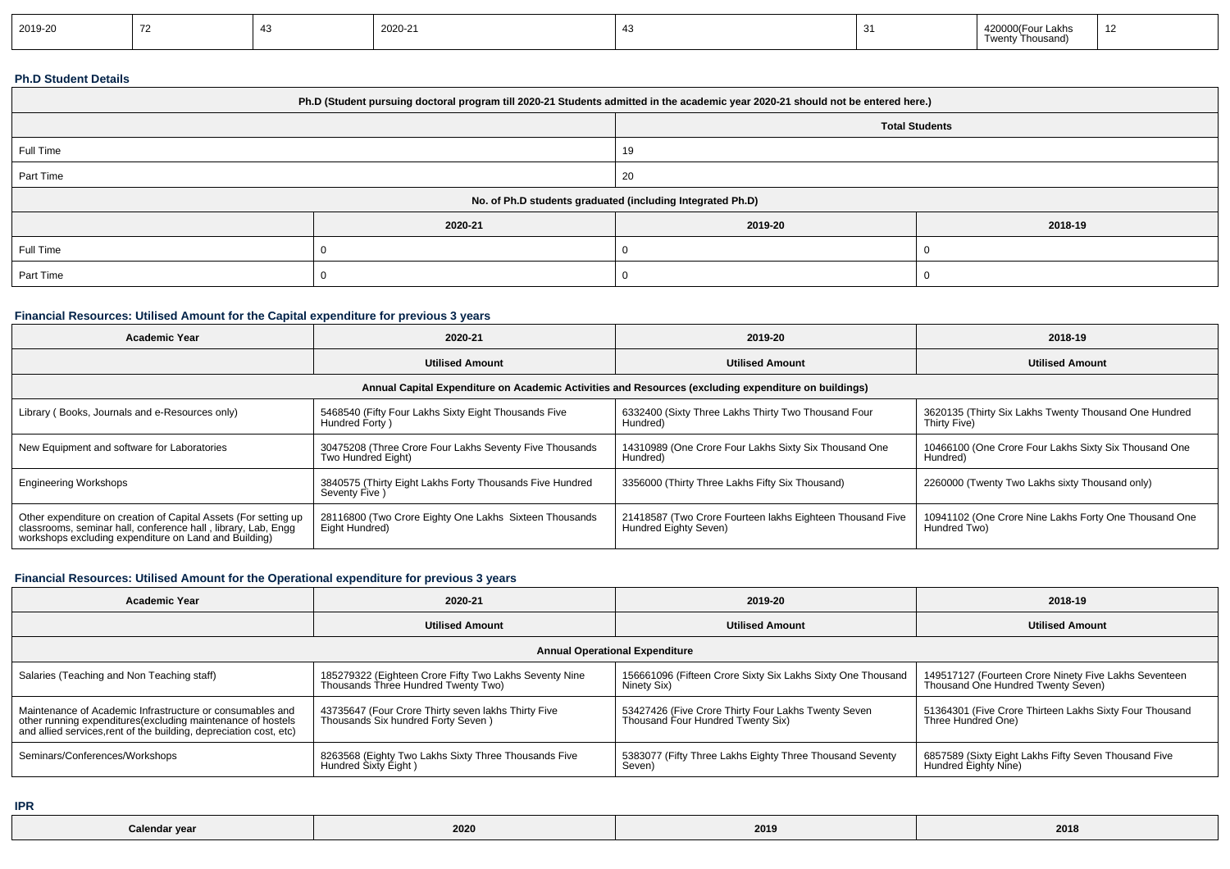| 2019-20 |  |  | 2020-21 |  |  | 42000<br>`^^∩(Four Lakhs<br>Thousand)<br>Twenty | . – |
|---------|--|--|---------|--|--|-------------------------------------------------|-----|
|---------|--|--|---------|--|--|-------------------------------------------------|-----|

### **Ph.D Student Details**

| Ph.D (Student pursuing doctoral program till 2020-21 Students admitted in the academic year 2020-21 should not be entered here.) |         |                                                            |         |  |  |  |  |
|----------------------------------------------------------------------------------------------------------------------------------|---------|------------------------------------------------------------|---------|--|--|--|--|
|                                                                                                                                  |         | <b>Total Students</b>                                      |         |  |  |  |  |
| Full Time                                                                                                                        |         | 19                                                         |         |  |  |  |  |
| Part Time                                                                                                                        |         | 20                                                         |         |  |  |  |  |
|                                                                                                                                  |         | No. of Ph.D students graduated (including Integrated Ph.D) |         |  |  |  |  |
|                                                                                                                                  | 2020-21 | 2019-20                                                    | 2018-19 |  |  |  |  |
| Full Time                                                                                                                        |         |                                                            |         |  |  |  |  |
| Part Time                                                                                                                        |         |                                                            |         |  |  |  |  |

## **Financial Resources: Utilised Amount for the Capital expenditure for previous 3 years**

| <b>Academic Year</b>                                                                                                                                                                      | 2020-21                                                                                              | 2019-20                                                                            | 2018-19                                                               |  |  |  |  |  |  |
|-------------------------------------------------------------------------------------------------------------------------------------------------------------------------------------------|------------------------------------------------------------------------------------------------------|------------------------------------------------------------------------------------|-----------------------------------------------------------------------|--|--|--|--|--|--|
|                                                                                                                                                                                           | <b>Utilised Amount</b>                                                                               | <b>Utilised Amount</b>                                                             | <b>Utilised Amount</b>                                                |  |  |  |  |  |  |
|                                                                                                                                                                                           | Annual Capital Expenditure on Academic Activities and Resources (excluding expenditure on buildings) |                                                                                    |                                                                       |  |  |  |  |  |  |
| Library (Books, Journals and e-Resources only)                                                                                                                                            | 5468540 (Fifty Four Lakhs Sixty Eight Thousands Five<br>Hundred Forty)                               | 6332400 (Sixty Three Lakhs Thirty Two Thousand Four<br>Hundred)                    | 3620135 (Thirty Six Lakhs Twenty Thousand One Hundred<br>Thirty Five) |  |  |  |  |  |  |
| New Equipment and software for Laboratories                                                                                                                                               | 30475208 (Three Crore Four Lakhs Seventy Five Thousands<br>Two Hundred Eight)                        | 14310989 (One Crore Four Lakhs Sixty Six Thousand One<br>Hundred)                  | 10466100 (One Crore Four Lakhs Sixty Six Thousand One<br>Hundred)     |  |  |  |  |  |  |
| <b>Engineering Workshops</b>                                                                                                                                                              | 3840575 (Thirty Eight Lakhs Forty Thousands Five Hundred<br>Seventy Five )                           | 3356000 (Thirty Three Lakhs Fifty Six Thousand)                                    | 2260000 (Twenty Two Lakhs sixty Thousand only)                        |  |  |  |  |  |  |
| Other expenditure on creation of Capital Assets (For setting up<br>classrooms, seminar hall, conference hall, library, Lab, Engq<br>workshops excluding expenditure on Land and Building) | 28116800 (Two Crore Eighty One Lakhs Sixteen Thousands<br>Eight Hundred)                             | 21418587 (Two Crore Fourteen lakhs Eighteen Thousand Five<br>Hundred Eighty Seven) | 10941102 (One Crore Nine Lakhs Forty One Thousand One<br>Hundred Two) |  |  |  |  |  |  |

## **Financial Resources: Utilised Amount for the Operational expenditure for previous 3 years**

| <b>Academic Year</b>                                                                                                                                                                            | 2020-21                                                                                       | 2019-20                                                                                  | 2018-19                                                                                     |  |  |  |  |
|-------------------------------------------------------------------------------------------------------------------------------------------------------------------------------------------------|-----------------------------------------------------------------------------------------------|------------------------------------------------------------------------------------------|---------------------------------------------------------------------------------------------|--|--|--|--|
|                                                                                                                                                                                                 | <b>Utilised Amount</b>                                                                        | <b>Utilised Amount</b>                                                                   | <b>Utilised Amount</b>                                                                      |  |  |  |  |
| <b>Annual Operational Expenditure</b>                                                                                                                                                           |                                                                                               |                                                                                          |                                                                                             |  |  |  |  |
| Salaries (Teaching and Non Teaching staff)                                                                                                                                                      | 185279322 (Eighteen Crore Fifty Two Lakhs Seventy Nine<br>Thousands Three Hundred Twenty Two) | 156661096 (Fifteen Crore Sixty Six Lakhs Sixty One Thousand<br>Ninety Six)               | 149517127 (Fourteen Crore Ninety Five Lakhs Seventeen<br>Thousand One Hundred Twenty Seven) |  |  |  |  |
| Maintenance of Academic Infrastructure or consumables and<br>other running expenditures (excluding maintenance of hostels<br>and allied services, rent of the building, depreciation cost, etc) | 43735647 (Four Crore Thirty seven lakhs Thirty Five<br>Thousands Six hundred Forty Seven)     | 53427426 (Five Crore Thirty Four Lakhs Twenty Seven<br>Thousand Four Hundred Twenty Six) | 51364301 (Five Crore Thirteen Lakhs Sixty Four Thousand<br>Three Hundred One)               |  |  |  |  |
| Seminars/Conferences/Workshops                                                                                                                                                                  | 8263568 (Eighty Two Lakhs Sixty Three Thousands Five<br>Hundred Sixty Eight)                  | 5383077 (Fifty Three Lakhs Eighty Three Thousand Seventy<br>Seven)                       | 6857589 (Sixty Eight Lakhs Fifty Seven Thousand Five<br>Hundred Eighty Nine)                |  |  |  |  |

**IPR**

| Calendar<br>vea | ---<br>2020 | 2019 | 004<br>ZUT<br>$- - -$ |
|-----------------|-------------|------|-----------------------|
|                 |             |      |                       |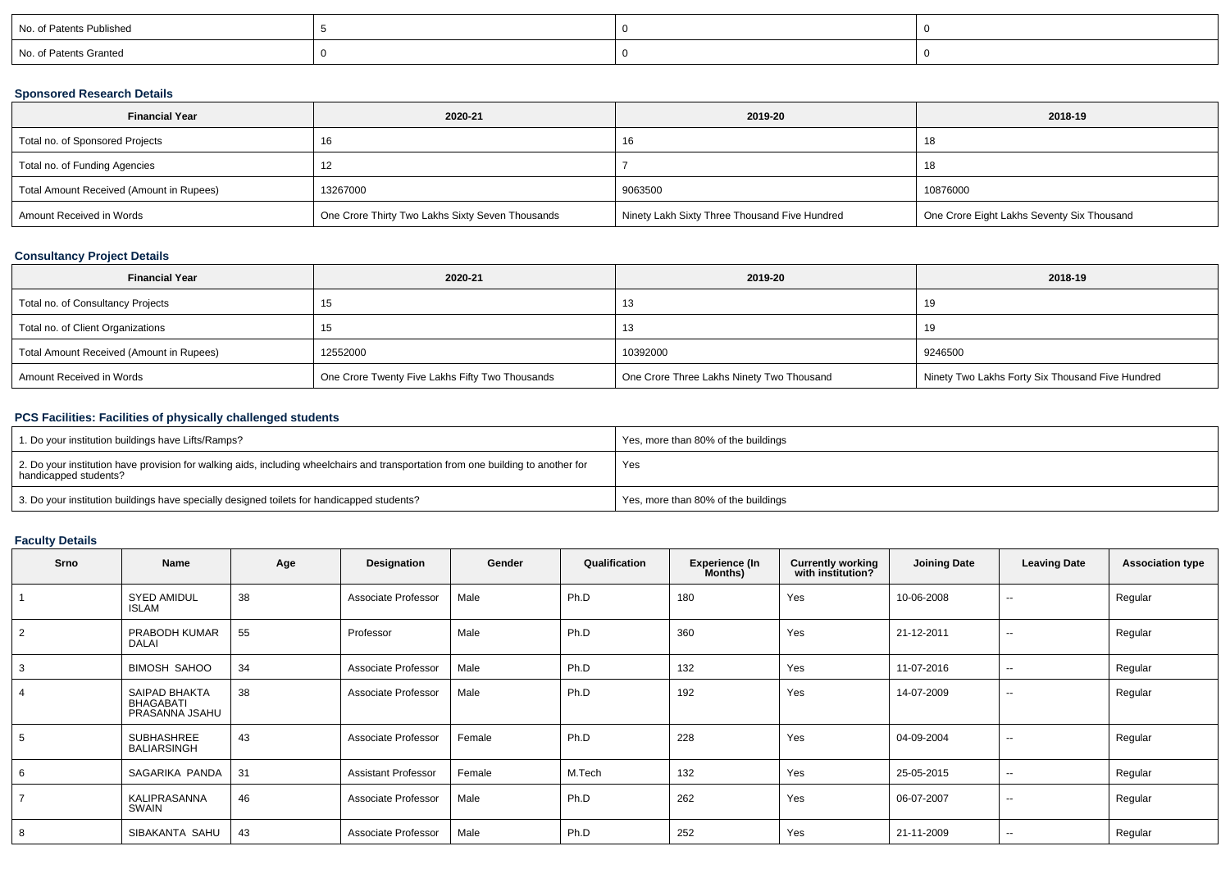| No. of Patents Published |  |  |
|--------------------------|--|--|
| No. of Patents Granted   |  |  |

### **Sponsored Research Details**

| <b>Financial Year</b>                    | 2020-21                                          | 2019-20                                       | 2018-19                                    |
|------------------------------------------|--------------------------------------------------|-----------------------------------------------|--------------------------------------------|
| Total no. of Sponsored Projects          | 16                                               | 16                                            | 18                                         |
| Total no. of Funding Agencies            |                                                  |                                               | 18                                         |
| Total Amount Received (Amount in Rupees) | 13267000                                         | 9063500                                       | 10876000                                   |
| Amount Received in Words                 | One Crore Thirty Two Lakhs Sixty Seven Thousands | Ninety Lakh Sixty Three Thousand Five Hundred | One Crore Eight Lakhs Seventy Six Thousand |

### **Consultancy Project Details**

| <b>Financial Year</b>                    | 2020-21                                         | 2019-20                                   | 2018-19                                          |
|------------------------------------------|-------------------------------------------------|-------------------------------------------|--------------------------------------------------|
| Total no. of Consultancy Projects        |                                                 | ں ا                                       | 19                                               |
| Total no. of Client Organizations        |                                                 | 10                                        |                                                  |
| Total Amount Received (Amount in Rupees) | 12552000                                        | 10392000                                  | 9246500                                          |
| Amount Received in Words                 | One Crore Twenty Five Lakhs Fifty Two Thousands | One Crore Three Lakhs Ninety Two Thousand | Ninety Two Lakhs Forty Six Thousand Five Hundred |

## **PCS Facilities: Facilities of physically challenged students**

| 1. Do your institution buildings have Lifts/Ramps?                                                                                                         | Yes, more than 80% of the buildings |
|------------------------------------------------------------------------------------------------------------------------------------------------------------|-------------------------------------|
| 2. Do your institution have provision for walking aids, including wheelchairs and transportation from one building to another for<br>handicapped students? | Yes                                 |
| 3. Do your institution buildings have specially designed toilets for handicapped students?                                                                 | Yes, more than 80% of the buildings |

### **Faculty Details**

| Srno | Name                                                | Age | Designation                | Gender | Qualification | <b>Experience (In</b><br>Months) | <b>Currently working</b><br>with institution? | <b>Joining Date</b> | <b>Leaving Date</b>      | <b>Association type</b> |
|------|-----------------------------------------------------|-----|----------------------------|--------|---------------|----------------------------------|-----------------------------------------------|---------------------|--------------------------|-------------------------|
|      | <b>SYED AMIDUL</b><br><b>ISLAM</b>                  | 38  | Associate Professor        | Male   | Ph.D          | 180                              | Yes                                           | 10-06-2008          | $\overline{\phantom{a}}$ | Regular                 |
| 2    | PRABODH KUMAR<br><b>DALAI</b>                       | 55  | Professor                  | Male   | Ph.D          | 360                              | Yes                                           | 21-12-2011          | --                       | Regular                 |
|      | <b>BIMOSH SAHOO</b>                                 | 34  | Associate Professor        | Male   | Ph.D          | 132                              | Yes                                           | 11-07-2016          | $\overline{\phantom{a}}$ | Regular                 |
|      | SAIPAD BHAKTA<br><b>BHAGABATI</b><br>PRASANNA JSAHU | 38  | Associate Professor        | Male   | Ph.D          | 192                              | Yes                                           | 14-07-2009          | --                       | Regular                 |
| 5    | SUBHASHREE<br><b>BALIARSINGH</b>                    | 43  | Associate Professor        | Female | Ph.D          | 228                              | Yes                                           | 04-09-2004          | $\overline{\phantom{a}}$ | Regular                 |
|      | SAGARIKA PANDA                                      | 31  | <b>Assistant Professor</b> | Female | M.Tech        | 132                              | Yes                                           | 25-05-2015          | $\sim$                   | Regular                 |
|      | KALIPRASANNA<br>SWAIN                               | 46  | Associate Professor        | Male   | Ph.D          | 262                              | Yes                                           | 06-07-2007          | $\sim$                   | Regular                 |
| 8    | SIBAKANTA SAHU                                      | 43  | Associate Professor        | Male   | Ph.D          | 252                              | Yes                                           | 21-11-2009          | --                       | Regular                 |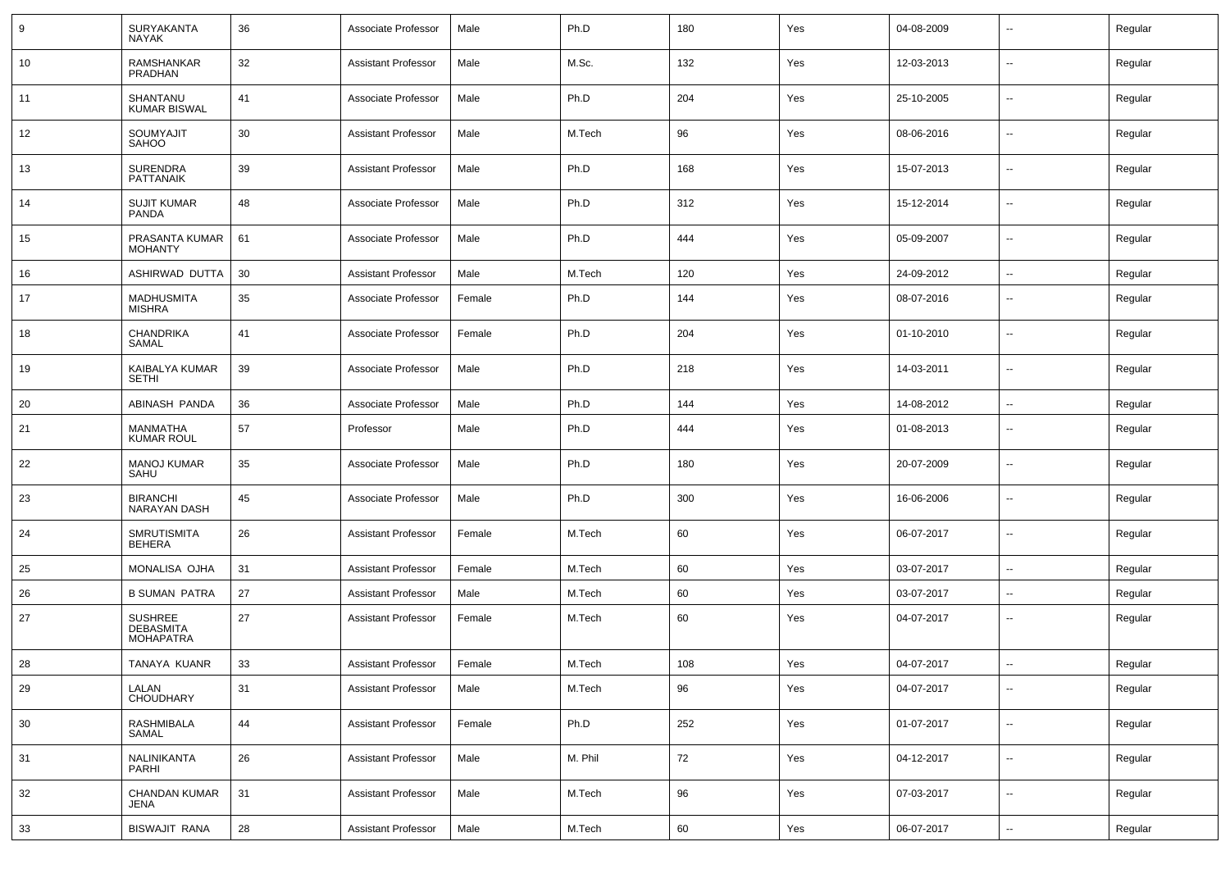| 9  | SURYAKANTA<br><b>NAYAK</b>                             | 36 | Associate Professor        | Male   | Ph.D    | 180 | Yes | 04-08-2009 |                          | Regular |
|----|--------------------------------------------------------|----|----------------------------|--------|---------|-----|-----|------------|--------------------------|---------|
| 10 | RAMSHANKAR<br>PRADHAN                                  | 32 | <b>Assistant Professor</b> | Male   | M.Sc.   | 132 | Yes | 12-03-2013 | $\sim$                   | Regular |
| 11 | SHANTANU<br><b>KUMAR BISWAL</b>                        | 41 | Associate Professor        | Male   | Ph.D    | 204 | Yes | 25-10-2005 | $\overline{\phantom{a}}$ | Regular |
| 12 | SOUMYAJIT<br>SAHOO                                     | 30 | <b>Assistant Professor</b> | Male   | M.Tech  | 96  | Yes | 08-06-2016 | $\sim$                   | Regular |
| 13 | <b>SURENDRA</b><br><b>PATTANAIK</b>                    | 39 | <b>Assistant Professor</b> | Male   | Ph.D    | 168 | Yes | 15-07-2013 | $\overline{\phantom{a}}$ | Regular |
| 14 | <b>SUJIT KUMAR</b><br><b>PANDA</b>                     | 48 | Associate Professor        | Male   | Ph.D    | 312 | Yes | 15-12-2014 | $\sim$                   | Regular |
| 15 | PRASANTA KUMAR<br><b>MOHANTY</b>                       | 61 | Associate Professor        | Male   | Ph.D    | 444 | Yes | 05-09-2007 | $\sim$                   | Regular |
| 16 | ASHIRWAD DUTTA                                         | 30 | <b>Assistant Professor</b> | Male   | M.Tech  | 120 | Yes | 24-09-2012 | $\sim$                   | Regular |
| 17 | <b>MADHUSMITA</b><br><b>MISHRA</b>                     | 35 | Associate Professor        | Female | Ph.D    | 144 | Yes | 08-07-2016 | --                       | Regular |
| 18 | <b>CHANDRIKA</b><br>SAMAL                              | 41 | Associate Professor        | Female | Ph.D    | 204 | Yes | 01-10-2010 | $\overline{a}$           | Regular |
| 19 | KAIBALYA KUMAR<br><b>SETHI</b>                         | 39 | Associate Professor        | Male   | Ph.D    | 218 | Yes | 14-03-2011 | --                       | Regular |
| 20 | ABINASH PANDA                                          | 36 | Associate Professor        | Male   | Ph.D    | 144 | Yes | 14-08-2012 | $\overline{\phantom{a}}$ | Regular |
| 21 | MANMATHA<br><b>KUMAR ROUL</b>                          | 57 | Professor                  | Male   | Ph.D    | 444 | Yes | 01-08-2013 | --                       | Regular |
| 22 | <b>MANOJ KUMAR</b><br>SAHU                             | 35 | Associate Professor        | Male   | Ph.D    | 180 | Yes | 20-07-2009 | --                       | Regular |
| 23 | <b>BIRANCHI</b><br>NARAYAN DASH                        | 45 | Associate Professor        | Male   | Ph.D    | 300 | Yes | 16-06-2006 | $\overline{\phantom{a}}$ | Regular |
| 24 | <b>SMRUTISMITA</b><br>BEHERA                           | 26 | <b>Assistant Professor</b> | Female | M.Tech  | 60  | Yes | 06-07-2017 | --                       | Regular |
| 25 | <b>MONALISA OJHA</b>                                   | 31 | <b>Assistant Professor</b> | Female | M.Tech  | 60  | Yes | 03-07-2017 | $\overline{\phantom{a}}$ | Regular |
| 26 | <b>B SUMAN PATRA</b>                                   | 27 | <b>Assistant Professor</b> | Male   | M.Tech  | 60  | Yes | 03-07-2017 | --                       | Regular |
| 27 | <b>SUSHREE</b><br><b>DEBASMITA</b><br><b>MOHAPATRA</b> | 27 | <b>Assistant Professor</b> | Female | M.Tech  | 60  | Yes | 04-07-2017 | $\overline{a}$           | Regular |
| 28 | TANAYA KUANR                                           | 33 | <b>Assistant Professor</b> | Female | M.Tech  | 108 | Yes | 04-07-2017 | --                       | Regular |
| 29 | LALAN<br>CHOUDHARY                                     | 31 | <b>Assistant Professor</b> | Male   | M.Tech  | 96  | Yes | 04-07-2017 | $\overline{\phantom{a}}$ | Regular |
| 30 | <b>RASHMIBALA</b><br>SAMAL                             | 44 | <b>Assistant Professor</b> | Female | Ph.D    | 252 | Yes | 01-07-2017 | $\sim$                   | Regular |
| 31 | NALINIKANTA<br>PARHI                                   | 26 | <b>Assistant Professor</b> | Male   | M. Phil | 72  | Yes | 04-12-2017 | $\overline{\phantom{a}}$ | Regular |
| 32 | CHANDAN KUMAR<br><b>JENA</b>                           | 31 | <b>Assistant Professor</b> | Male   | M.Tech  | 96  | Yes | 07-03-2017 | $\overline{\phantom{a}}$ | Regular |
| 33 | <b>BISWAJIT RANA</b>                                   | 28 | <b>Assistant Professor</b> | Male   | M.Tech  | 60  | Yes | 06-07-2017 | $\sim$                   | Regular |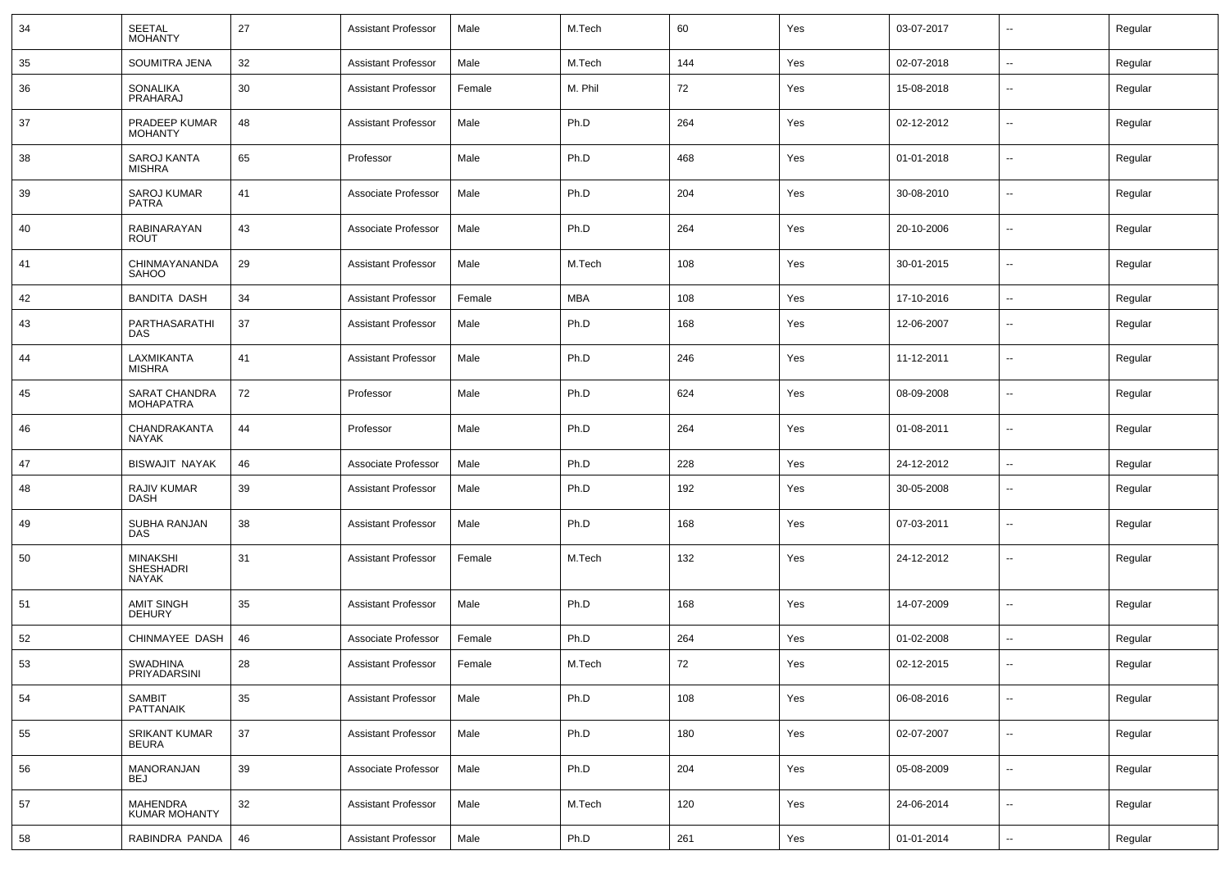| 34 | <b>SEETAL</b><br><b>MOHANTY</b>       | 27 | <b>Assistant Professor</b> | Male   | M.Tech  | 60  | Yes | 03-07-2017 | ⊷.                       | Regular |
|----|---------------------------------------|----|----------------------------|--------|---------|-----|-----|------------|--------------------------|---------|
| 35 | SOUMITRA JENA                         | 32 | <b>Assistant Professor</b> | Male   | M.Tech  | 144 | Yes | 02-07-2018 | $\sim$                   | Regular |
| 36 | SONALIKA<br>PRAHARAJ                  | 30 | <b>Assistant Professor</b> | Female | M. Phil | 72  | Yes | 15-08-2018 | --                       | Regular |
| 37 | PRADEEP KUMAR<br><b>MOHANTY</b>       | 48 | <b>Assistant Professor</b> | Male   | Ph.D    | 264 | Yes | 02-12-2012 | $\overline{\phantom{a}}$ | Regular |
| 38 | SAROJ KANTA<br><b>MISHRA</b>          | 65 | Professor                  | Male   | Ph.D    | 468 | Yes | 01-01-2018 | --                       | Regular |
| 39 | <b>SAROJ KUMAR</b><br><b>PATRA</b>    | 41 | Associate Professor        | Male   | Ph.D    | 204 | Yes | 30-08-2010 | --                       | Regular |
| 40 | RABINARAYAN<br><b>ROUT</b>            | 43 | Associate Professor        | Male   | Ph.D    | 264 | Yes | 20-10-2006 | --                       | Regular |
| 41 | CHINMAYANANDA<br><b>SAHOO</b>         | 29 | <b>Assistant Professor</b> | Male   | M.Tech  | 108 | Yes | 30-01-2015 | --                       | Regular |
| 42 | <b>BANDITA DASH</b>                   | 34 | <b>Assistant Professor</b> | Female | MBA     | 108 | Yes | 17-10-2016 | $\overline{\phantom{a}}$ | Regular |
| 43 | PARTHASARATHI<br>DAS                  | 37 | <b>Assistant Professor</b> | Male   | Ph.D    | 168 | Yes | 12-06-2007 | $\overline{\phantom{a}}$ | Regular |
| 44 | LAXMIKANTA<br><b>MISHRA</b>           | 41 | <b>Assistant Professor</b> | Male   | Ph.D    | 246 | Yes | 11-12-2011 | $\sim$                   | Regular |
| 45 | SARAT CHANDRA<br><b>MOHAPATRA</b>     | 72 | Professor                  | Male   | Ph.D    | 624 | Yes | 08-09-2008 | $\overline{\phantom{a}}$ | Regular |
| 46 | CHANDRAKANTA<br>NAYAK                 | 44 | Professor                  | Male   | Ph.D    | 264 | Yes | 01-08-2011 | $\overline{\phantom{a}}$ | Regular |
| 47 | <b>BISWAJIT NAYAK</b>                 | 46 | Associate Professor        | Male   | Ph.D    | 228 | Yes | 24-12-2012 | --                       | Regular |
| 48 | RAJIV KUMAR<br><b>DASH</b>            | 39 | <b>Assistant Professor</b> | Male   | Ph.D    | 192 | Yes | 30-05-2008 | --                       | Regular |
| 49 | SUBHA RANJAN<br><b>DAS</b>            | 38 | <b>Assistant Professor</b> | Male   | Ph.D    | 168 | Yes | 07-03-2011 | $\overline{\phantom{a}}$ | Regular |
| 50 | <b>MINAKSHI</b><br>SHESHADRI<br>NAYAK | 31 | <b>Assistant Professor</b> | Female | M.Tech  | 132 | Yes | 24-12-2012 | --                       | Regular |
| 51 | <b>AMIT SINGH</b><br><b>DEHURY</b>    | 35 | <b>Assistant Professor</b> | Male   | Ph.D    | 168 | Yes | 14-07-2009 | $\sim$                   | Regular |
| 52 | CHINMAYEE DASH                        | 46 | Associate Professor        | Female | Ph.D    | 264 | Yes | 01-02-2008 |                          | Regular |
| 53 | SWADHINA<br>PRIYADARSINI              | 28 | <b>Assistant Professor</b> | Female | M.Tech  | 72  | Yes | 02-12-2015 | $\overline{\phantom{a}}$ | Regular |
| 54 | <b>SAMBIT</b><br>PATTANAIK            | 35 | <b>Assistant Professor</b> | Male   | Ph.D    | 108 | Yes | 06-08-2016 | $\sim$                   | Regular |
| 55 | <b>SRIKANT KUMAR</b><br>BEURA         | 37 | <b>Assistant Professor</b> | Male   | Ph.D    | 180 | Yes | 02-07-2007 | $\sim$                   | Regular |
| 56 | MANORANJAN<br><b>BEJ</b>              | 39 | Associate Professor        | Male   | Ph.D    | 204 | Yes | 05-08-2009 | $\sim$                   | Regular |
| 57 | MAHENDRA<br><b>KUMAR MOHANTY</b>      | 32 | <b>Assistant Professor</b> | Male   | M.Tech  | 120 | Yes | 24-06-2014 | $\sim$                   | Regular |
| 58 | RABINDRA PANDA                        | 46 | <b>Assistant Professor</b> | Male   | Ph.D    | 261 | Yes | 01-01-2014 | $\sim$                   | Regular |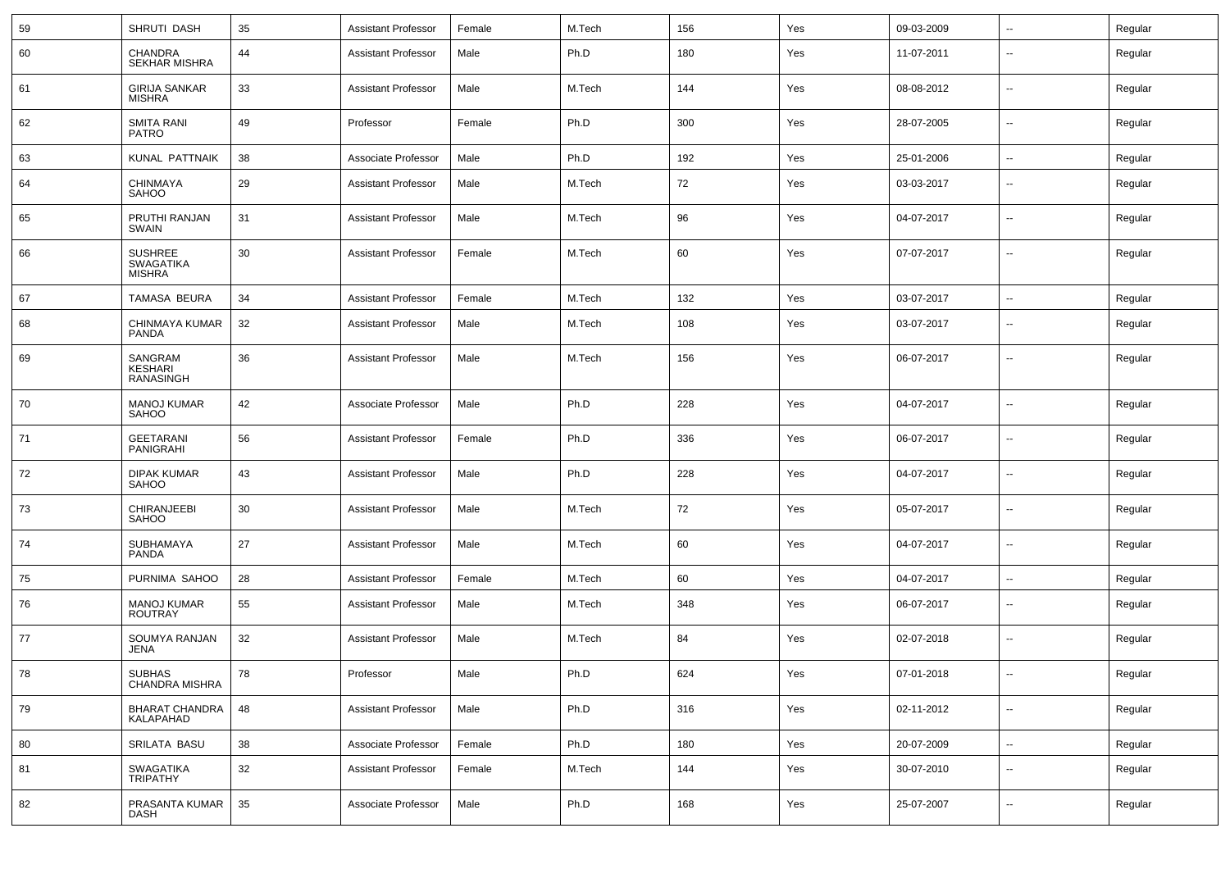| 59 | SHRUTI DASH                                         | 35 | <b>Assistant Professor</b> | Female | M.Tech | 156 | Yes | 09-03-2009 | ⊷.                       | Regular |
|----|-----------------------------------------------------|----|----------------------------|--------|--------|-----|-----|------------|--------------------------|---------|
| 60 | <b>CHANDRA</b><br>SEKHAR MISHRA                     | 44 | <b>Assistant Professor</b> | Male   | Ph.D   | 180 | Yes | 11-07-2011 | $\overline{\phantom{a}}$ | Regular |
| 61 | <b>GIRIJA SANKAR</b><br><b>MISHRA</b>               | 33 | <b>Assistant Professor</b> | Male   | M.Tech | 144 | Yes | 08-08-2012 | $\overline{\phantom{a}}$ | Regular |
| 62 | SMITA RANI<br><b>PATRO</b>                          | 49 | Professor                  | Female | Ph.D   | 300 | Yes | 28-07-2005 | $\overline{\phantom{a}}$ | Regular |
| 63 | <b>KUNAL PATTNAIK</b>                               | 38 | Associate Professor        | Male   | Ph.D   | 192 | Yes | 25-01-2006 | $-$                      | Regular |
| 64 | CHINMAYA<br><b>SAHOO</b>                            | 29 | <b>Assistant Professor</b> | Male   | M.Tech | 72  | Yes | 03-03-2017 | --                       | Regular |
| 65 | PRUTHI RANJAN<br>SWAIN                              | 31 | <b>Assistant Professor</b> | Male   | M.Tech | 96  | Yes | 04-07-2017 | --                       | Regular |
| 66 | <b>SUSHREE</b><br><b>SWAGATIKA</b><br><b>MISHRA</b> | 30 | <b>Assistant Professor</b> | Female | M.Tech | 60  | Yes | 07-07-2017 | $\overline{\phantom{a}}$ | Regular |
| 67 | TAMASA BEURA                                        | 34 | <b>Assistant Professor</b> | Female | M.Tech | 132 | Yes | 03-07-2017 | $\overline{\phantom{a}}$ | Regular |
| 68 | CHINMAYA KUMAR<br>PANDA                             | 32 | <b>Assistant Professor</b> | Male   | M.Tech | 108 | Yes | 03-07-2017 | --                       | Regular |
| 69 | SANGRAM<br><b>KESHARI</b><br><b>RANASINGH</b>       | 36 | <b>Assistant Professor</b> | Male   | M.Tech | 156 | Yes | 06-07-2017 | $\overline{\phantom{a}}$ | Regular |
| 70 | <b>MANOJ KUMAR</b><br>SAHOO                         | 42 | Associate Professor        | Male   | Ph.D   | 228 | Yes | 04-07-2017 | --                       | Regular |
| 71 | <b>GEETARANI</b><br>PANIGRAHI                       | 56 | <b>Assistant Professor</b> | Female | Ph.D   | 336 | Yes | 06-07-2017 | --                       | Regular |
| 72 | DIPAK KUMAR<br>SAHOO                                | 43 | <b>Assistant Professor</b> | Male   | Ph.D   | 228 | Yes | 04-07-2017 | --                       | Regular |
| 73 | CHIRANJEEBI<br>SAHOO                                | 30 | <b>Assistant Professor</b> | Male   | M.Tech | 72  | Yes | 05-07-2017 | $\overline{\phantom{a}}$ | Regular |
| 74 | SUBHAMAYA<br><b>PANDA</b>                           | 27 | <b>Assistant Professor</b> | Male   | M.Tech | 60  | Yes | 04-07-2017 | --                       | Regular |
| 75 | PURNIMA SAHOO                                       | 28 | <b>Assistant Professor</b> | Female | M.Tech | 60  | Yes | 04-07-2017 | $\overline{\phantom{a}}$ | Regular |
| 76 | <b>MANOJ KUMAR</b><br><b>ROUTRAY</b>                | 55 | <b>Assistant Professor</b> | Male   | M.Tech | 348 | Yes | 06-07-2017 | --                       | Regular |
| 77 | SOUMYA RANJAN<br><b>JENA</b>                        | 32 | <b>Assistant Professor</b> | Male   | M.Tech | 84  | Yes | 02-07-2018 | $\overline{\phantom{a}}$ | Regular |
| 78 | SUBHAS<br>CHANDRA MISHRA                            | 78 | Professor                  | Male   | Ph.D   | 624 | Yes | 07-01-2018 | $\sim$                   | Regular |
| 79 | <b>BHARAT CHANDRA</b><br>KALAPAHAD                  | 48 | <b>Assistant Professor</b> | Male   | Ph.D   | 316 | Yes | 02-11-2012 | $\sim$                   | Regular |
| 80 | SRILATA BASU                                        | 38 | Associate Professor        | Female | Ph.D   | 180 | Yes | 20-07-2009 | $\sim$                   | Regular |
| 81 | SWAGATIKA<br>TRIPATHY                               | 32 | <b>Assistant Professor</b> | Female | M.Tech | 144 | Yes | 30-07-2010 | $\sim$                   | Regular |
| 82 | PRASANTA KUMAR<br>DASH                              | 35 | Associate Professor        | Male   | Ph.D   | 168 | Yes | 25-07-2007 | н.                       | Regular |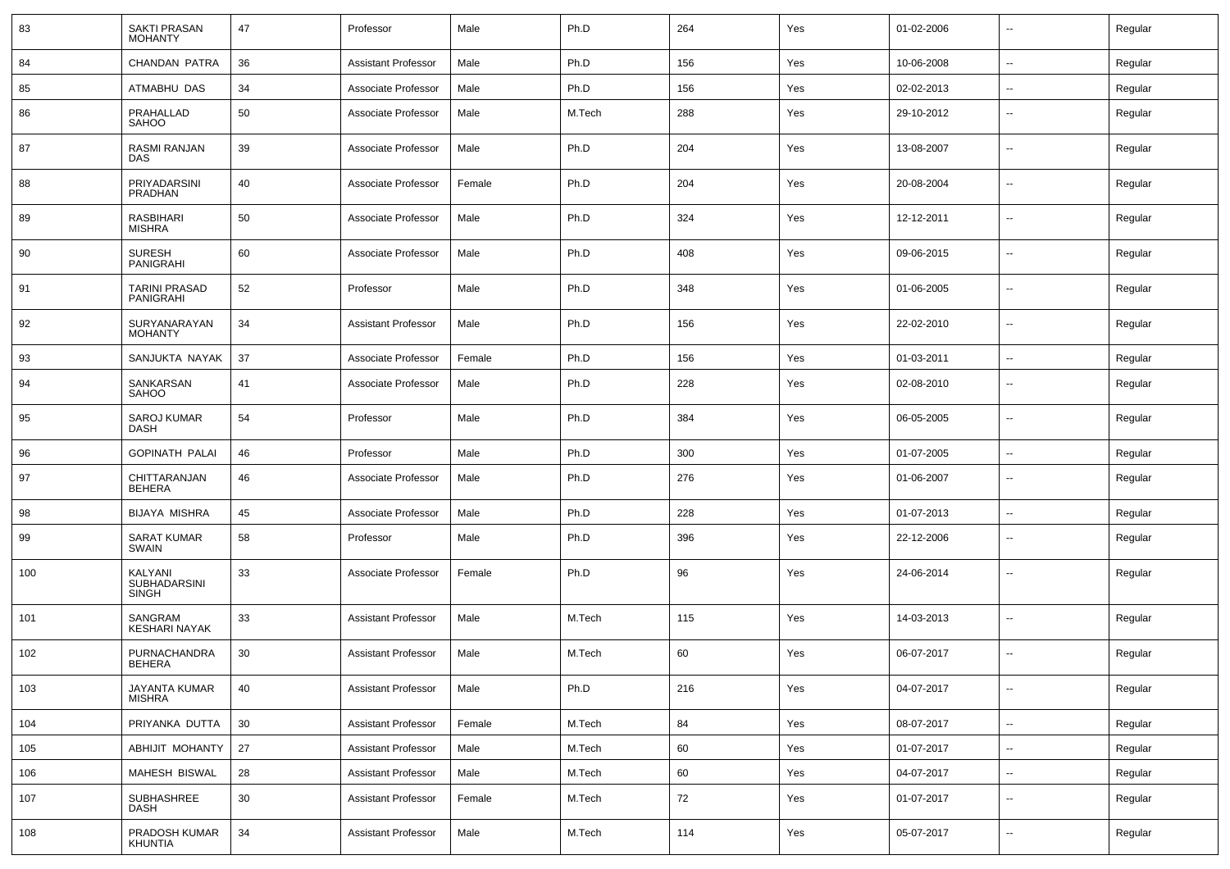| 83  | <b>SAKTI PRASAN</b><br><b>MOHANTY</b>    | 47 | Professor                  | Male   | Ph.D   | 264 | Yes | 01-02-2006 | $\overline{\phantom{a}}$ | Regular |
|-----|------------------------------------------|----|----------------------------|--------|--------|-----|-----|------------|--------------------------|---------|
| 84  | CHANDAN PATRA                            | 36 | <b>Assistant Professor</b> | Male   | Ph.D   | 156 | Yes | 10-06-2008 | $\overline{\phantom{a}}$ | Regular |
| 85  | ATMABHU DAS                              | 34 | Associate Professor        | Male   | Ph.D   | 156 | Yes | 02-02-2013 | $\overline{\phantom{a}}$ | Regular |
| 86  | PRAHALLAD<br>SAHOO                       | 50 | Associate Professor        | Male   | M.Tech | 288 | Yes | 29-10-2012 | --                       | Regular |
| 87  | RASMI RANJAN<br><b>DAS</b>               | 39 | Associate Professor        | Male   | Ph.D   | 204 | Yes | 13-08-2007 | $\overline{\phantom{a}}$ | Regular |
| 88  | PRIYADARSINI<br><b>PRADHAN</b>           | 40 | Associate Professor        | Female | Ph.D   | 204 | Yes | 20-08-2004 | $\overline{a}$           | Regular |
| 89  | RASBIHARI<br><b>MISHRA</b>               | 50 | Associate Professor        | Male   | Ph.D   | 324 | Yes | 12-12-2011 | --                       | Regular |
| 90  | <b>SURESH</b><br><b>PANIGRAHI</b>        | 60 | Associate Professor        | Male   | Ph.D   | 408 | Yes | 09-06-2015 | $\overline{\phantom{a}}$ | Regular |
| 91  | <b>TARINI PRASAD</b><br><b>PANIGRAHI</b> | 52 | Professor                  | Male   | Ph.D   | 348 | Yes | 01-06-2005 | $\overline{\phantom{a}}$ | Regular |
| 92  | SURYANARAYAN<br><b>MOHANTY</b>           | 34 | <b>Assistant Professor</b> | Male   | Ph.D   | 156 | Yes | 22-02-2010 | $\overline{\phantom{a}}$ | Regular |
| 93  | SANJUKTA NAYAK                           | 37 | Associate Professor        | Female | Ph.D   | 156 | Yes | 01-03-2011 | $\overline{\phantom{a}}$ | Regular |
| 94  | SANKARSAN<br><b>SAHOO</b>                | 41 | Associate Professor        | Male   | Ph.D   | 228 | Yes | 02-08-2010 | --                       | Regular |
| 95  | <b>SAROJ KUMAR</b><br><b>DASH</b>        | 54 | Professor                  | Male   | Ph.D   | 384 | Yes | 06-05-2005 | --                       | Regular |
| 96  | <b>GOPINATH PALAI</b>                    | 46 | Professor                  | Male   | Ph.D   | 300 | Yes | 01-07-2005 | --                       | Regular |
| 97  | CHITTARANJAN<br><b>BEHERA</b>            | 46 | Associate Professor        | Male   | Ph.D   | 276 | Yes | 01-06-2007 | --                       | Regular |
| 98  | <b>BIJAYA MISHRA</b>                     | 45 | Associate Professor        | Male   | Ph.D   | 228 | Yes | 01-07-2013 | --                       | Regular |
| 99  | <b>SARAT KUMAR</b><br>SWAIN              | 58 | Professor                  | Male   | Ph.D   | 396 | Yes | 22-12-2006 | --                       | Regular |
| 100 | KALYANI<br>SUBHADARSINI<br><b>SINGH</b>  | 33 | Associate Professor        | Female | Ph.D   | 96  | Yes | 24-06-2014 | --                       | Regular |
| 101 | SANGRAM<br><b>KESHARI NAYAK</b>          | 33 | <b>Assistant Professor</b> | Male   | M.Tech | 115 | Yes | 14-03-2013 | --                       | Regular |
| 102 | PURNACHANDRA<br><b>BEHERA</b>            | 30 | <b>Assistant Professor</b> | Male   | M.Tech | 60  | Yes | 06-07-2017 | --                       | Regular |
| 103 | JAYANTA KUMAR<br><b>MISHRA</b>           | 40 | <b>Assistant Professor</b> | Male   | Ph.D   | 216 | Yes | 04-07-2017 | н.                       | Regular |
| 104 | PRIYANKA DUTTA                           | 30 | <b>Assistant Professor</b> | Female | M.Tech | 84  | Yes | 08-07-2017 | $\sim$                   | Regular |
| 105 | ABHIJIT MOHANTY                          | 27 | <b>Assistant Professor</b> | Male   | M.Tech | 60  | Yes | 01-07-2017 | $\overline{\phantom{a}}$ | Regular |
| 106 | MAHESH BISWAL                            | 28 | <b>Assistant Professor</b> | Male   | M.Tech | 60  | Yes | 04-07-2017 | $\overline{\phantom{a}}$ | Regular |
| 107 | SUBHASHREE<br><b>DASH</b>                | 30 | <b>Assistant Professor</b> | Female | M.Tech | 72  | Yes | 01-07-2017 | $\sim$                   | Regular |
| 108 | PRADOSH KUMAR<br>KHUNTIA                 | 34 | <b>Assistant Professor</b> | Male   | M.Tech | 114 | Yes | 05-07-2017 | н.                       | Regular |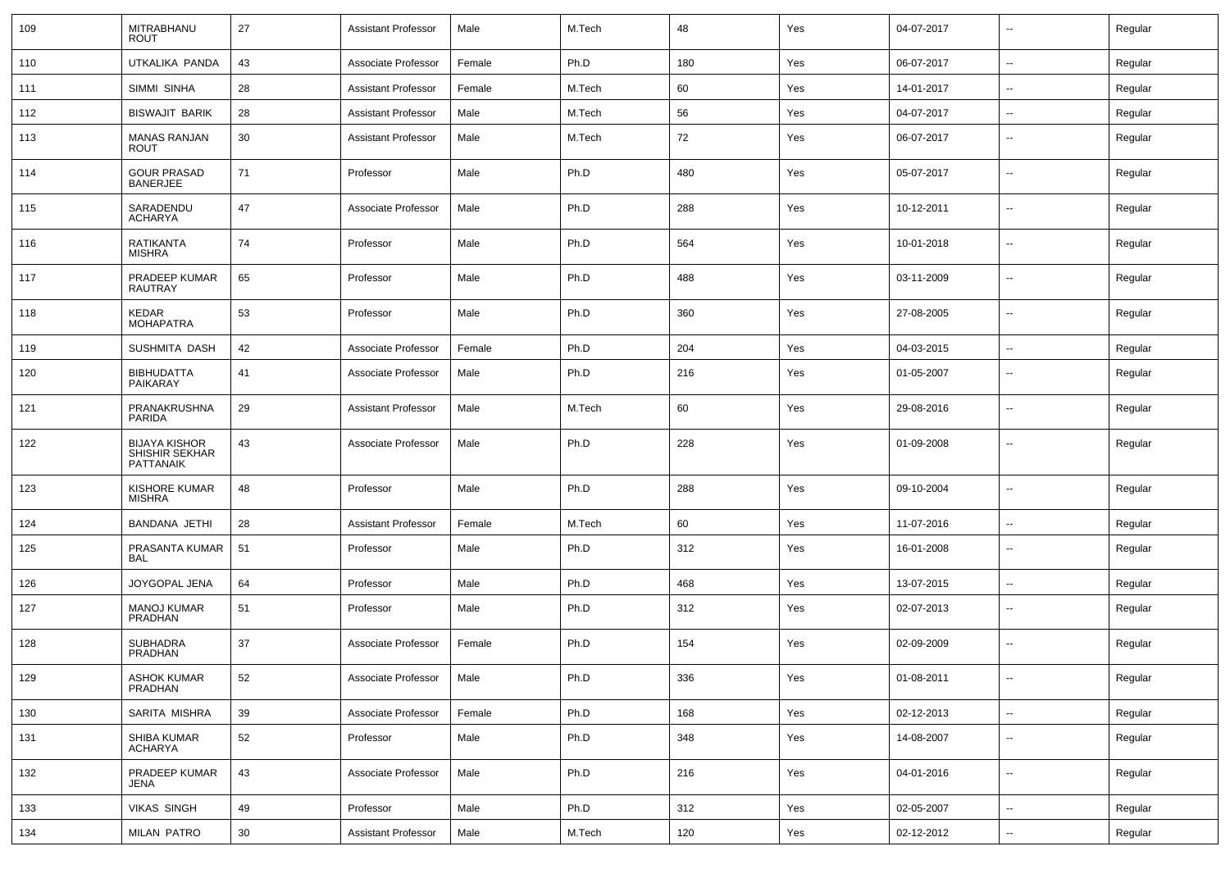| 109 | MITRABHANU<br><b>ROUT</b>                           | 27     | <b>Assistant Professor</b> | Male   | M.Tech | 48  | Yes | 04-07-2017 | $\sim$                   | Regular |
|-----|-----------------------------------------------------|--------|----------------------------|--------|--------|-----|-----|------------|--------------------------|---------|
| 110 | UTKALIKA PANDA                                      | 43     | Associate Professor        | Female | Ph.D   | 180 | Yes | 06-07-2017 | $\sim$                   | Regular |
| 111 | SIMMI SINHA                                         | 28     | <b>Assistant Professor</b> | Female | M.Tech | 60  | Yes | 14-01-2017 | $\overline{\phantom{a}}$ | Regular |
| 112 | <b>BISWAJIT BARIK</b>                               | 28     | <b>Assistant Professor</b> | Male   | M.Tech | 56  | Yes | 04-07-2017 | $\overline{\phantom{a}}$ | Regular |
| 113 | <b>MANAS RANJAN</b><br><b>ROUT</b>                  | 30     | <b>Assistant Professor</b> | Male   | M.Tech | 72  | Yes | 06-07-2017 | $\overline{\phantom{a}}$ | Regular |
| 114 | <b>GOUR PRASAD</b><br><b>BANERJEE</b>               | 71     | Professor                  | Male   | Ph.D   | 480 | Yes | 05-07-2017 | $\overline{\phantom{a}}$ | Regular |
| 115 | SARADENDU<br><b>ACHARYA</b>                         | 47     | Associate Professor        | Male   | Ph.D   | 288 | Yes | 10-12-2011 | $\overline{\phantom{a}}$ | Regular |
| 116 | RATIKANTA<br><b>MISHRA</b>                          | 74     | Professor                  | Male   | Ph.D   | 564 | Yes | 10-01-2018 | $\overline{\phantom{a}}$ | Regular |
| 117 | PRADEEP KUMAR<br>RAUTRAY                            | 65     | Professor                  | Male   | Ph.D   | 488 | Yes | 03-11-2009 | $\overline{\phantom{a}}$ | Regular |
| 118 | <b>KEDAR</b><br><b>MOHAPATRA</b>                    | 53     | Professor                  | Male   | Ph.D   | 360 | Yes | 27-08-2005 | $\overline{\phantom{a}}$ | Regular |
| 119 | SUSHMITA DASH                                       | 42     | Associate Professor        | Female | Ph.D   | 204 | Yes | 04-03-2015 | $\overline{\phantom{a}}$ | Regular |
| 120 | <b>BIBHUDATTA</b><br>PAIKARAY                       | 41     | Associate Professor        | Male   | Ph.D   | 216 | Yes | 01-05-2007 | --                       | Regular |
| 121 | PRANAKRUSHNA<br>PARIDA                              | 29     | <b>Assistant Professor</b> | Male   | M.Tech | 60  | Yes | 29-08-2016 | --                       | Regular |
| 122 | <b>BIJAYA KISHOR</b><br>SHISHIR SEKHAR<br>PATTANAIK | 43     | Associate Professor        | Male   | Ph.D   | 228 | Yes | 01-09-2008 | --                       | Regular |
| 123 | <b>KISHORE KUMAR</b><br><b>MISHRA</b>               | 48     | Professor                  | Male   | Ph.D   | 288 | Yes | 09-10-2004 | $\overline{\phantom{a}}$ | Regular |
| 124 | <b>BANDANA JETHI</b>                                | 28     | <b>Assistant Professor</b> | Female | M.Tech | 60  | Yes | 11-07-2016 | $\overline{\phantom{a}}$ | Regular |
| 125 | PRASANTA KUMAR<br>BAL                               | 51     | Professor                  | Male   | Ph.D   | 312 | Yes | 16-01-2008 | --                       | Regular |
| 126 | JOYGOPAL JENA                                       | 64     | Professor                  | Male   | Ph.D   | 468 | Yes | 13-07-2015 | $\overline{\phantom{a}}$ | Regular |
| 127 | <b>MANOJ KUMAR</b><br>PRADHAN                       | 51     | Professor                  | Male   | Ph.D   | 312 | Yes | 02-07-2013 | $\overline{\phantom{a}}$ | Regular |
| 128 | <b>SUBHADRA</b><br>PRADHAN                          | 37     | Associate Professor        | Female | Ph.D   | 154 | Yes | 02-09-2009 | $\mathbf{u}$             | Regular |
| 129 | <b>ASHOK KUMAR</b><br>PRADHAN                       | 52     | Associate Professor        | Male   | Ph.D   | 336 | Yes | 01-08-2011 | $\sim$                   | Regular |
| 130 | SARITA MISHRA                                       | 39     | Associate Professor        | Female | Ph.D   | 168 | Yes | 02-12-2013 | $\sim$                   | Regular |
| 131 | SHIBA KUMAR<br>ACHARYA                              | 52     | Professor                  | Male   | Ph.D   | 348 | Yes | 14-08-2007 | $\sim$                   | Regular |
| 132 | PRADEEP KUMAR<br>JENA                               | 43     | Associate Professor        | Male   | Ph.D   | 216 | Yes | 04-01-2016 | $\sim$                   | Regular |
| 133 | <b>VIKAS SINGH</b>                                  | 49     | Professor                  | Male   | Ph.D   | 312 | Yes | 02-05-2007 | $\sim$                   | Regular |
| 134 | <b>MILAN PATRO</b>                                  | $30\,$ | <b>Assistant Professor</b> | Male   | M.Tech | 120 | Yes | 02-12-2012 | $\sim$                   | Regular |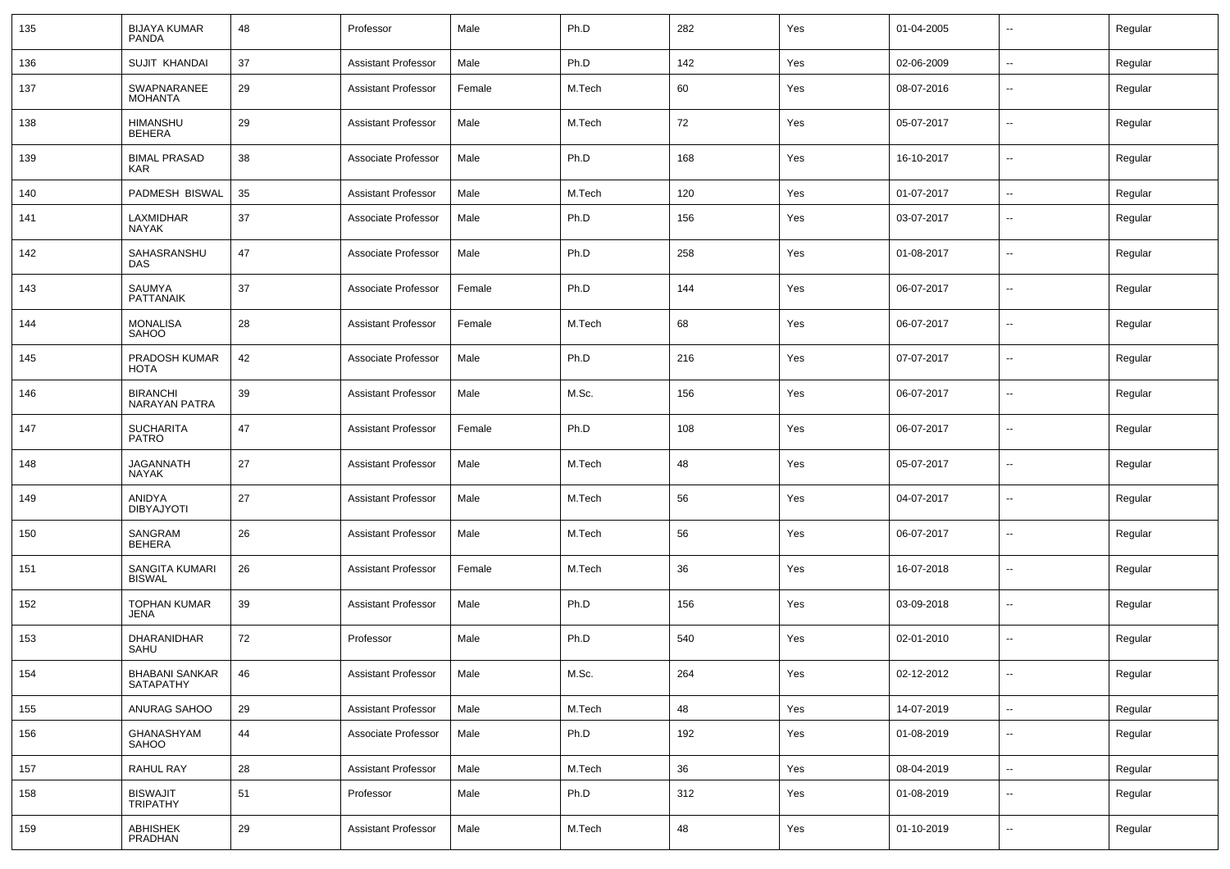| 135 | <b>BIJAYA KUMAR</b><br>PANDA            | 48  | Professor                  | Male   | Ph.D   | 282 | Yes | 01-04-2005 | $\overline{\phantom{a}}$ | Regular |
|-----|-----------------------------------------|-----|----------------------------|--------|--------|-----|-----|------------|--------------------------|---------|
| 136 | SUJIT KHANDAI                           | 37  | <b>Assistant Professor</b> | Male   | Ph.D   | 142 | Yes | 02-06-2009 | $\sim$                   | Regular |
| 137 | SWAPNARANEE<br><b>MOHANTA</b>           | 29  | <b>Assistant Professor</b> | Female | M.Tech | 60  | Yes | 08-07-2016 | $\overline{\phantom{a}}$ | Regular |
| 138 | <b>HIMANSHU</b><br>BEHERA               | 29  | <b>Assistant Professor</b> | Male   | M.Tech | 72  | Yes | 05-07-2017 | $\overline{\phantom{a}}$ | Regular |
| 139 | <b>BIMAL PRASAD</b><br>KAR              | 38  | Associate Professor        | Male   | Ph.D   | 168 | Yes | 16-10-2017 | $\overline{\phantom{a}}$ | Regular |
| 140 | PADMESH BISWAL                          | 35  | <b>Assistant Professor</b> | Male   | M.Tech | 120 | Yes | 01-07-2017 | ⊶.                       | Regular |
| 141 | LAXMIDHAR<br><b>NAYAK</b>               | 37  | Associate Professor        | Male   | Ph.D   | 156 | Yes | 03-07-2017 | $\overline{\phantom{a}}$ | Regular |
| 142 | SAHASRANSHU<br><b>DAS</b>               | 47  | Associate Professor        | Male   | Ph.D   | 258 | Yes | 01-08-2017 | $\sim$                   | Regular |
| 143 | SAUMYA<br>PATTANAIK                     | 37  | Associate Professor        | Female | Ph.D   | 144 | Yes | 06-07-2017 | $\overline{\phantom{a}}$ | Regular |
| 144 | <b>MONALISA</b><br><b>SAHOO</b>         | 28  | <b>Assistant Professor</b> | Female | M.Tech | 68  | Yes | 06-07-2017 | $\overline{\phantom{a}}$ | Regular |
| 145 | PRADOSH KUMAR<br><b>HOTA</b>            | 42  | Associate Professor        | Male   | Ph.D   | 216 | Yes | 07-07-2017 | $\overline{\phantom{a}}$ | Regular |
| 146 | <b>BIRANCHI</b><br><b>NARAYAN PATRA</b> | 39  | <b>Assistant Professor</b> | Male   | M.Sc.  | 156 | Yes | 06-07-2017 | $\overline{\phantom{a}}$ | Regular |
| 147 | <b>SUCHARITA</b><br>PATRO               | 47  | <b>Assistant Professor</b> | Female | Ph.D   | 108 | Yes | 06-07-2017 | $\overline{\phantom{a}}$ | Regular |
| 148 | JAGANNATH<br>NAYAK                      | 27  | <b>Assistant Professor</b> | Male   | M.Tech | 48  | Yes | 05-07-2017 | $\sim$                   | Regular |
| 149 | ANIDYA<br><b>DIBYAJYOTI</b>             | 27  | <b>Assistant Professor</b> | Male   | M.Tech | 56  | Yes | 04-07-2017 | $\overline{\phantom{a}}$ | Regular |
| 150 | SANGRAM<br><b>BEHERA</b>                | 26  | <b>Assistant Professor</b> | Male   | M.Tech | 56  | Yes | 06-07-2017 | $\sim$                   | Regular |
| 151 | SANGITA KUMARI<br><b>BISWAL</b>         | 26  | <b>Assistant Professor</b> | Female | M.Tech | 36  | Yes | 16-07-2018 | $\overline{\phantom{a}}$ | Regular |
| 152 | <b>TOPHAN KUMAR</b><br><b>JENA</b>      | 39  | <b>Assistant Professor</b> | Male   | Ph.D   | 156 | Yes | 03-09-2018 | $\overline{\phantom{a}}$ | Regular |
| 153 | DHARANIDHAR<br>SAHU                     | 72  | Professor                  | Male   | Ph.D   | 540 | Yes | 02-01-2010 | $\sim$                   | Regular |
| 154 | BHABANI SANKAR<br>SATAPATHY             | -46 | Assistant Professor        | Male   | M.Sc.  | 264 | Yes | 02-12-2012 | $\sim$                   | Regular |
| 155 | ANURAG SAHOO                            | 29  | <b>Assistant Professor</b> | Male   | M.Tech | 48  | Yes | 14-07-2019 | $\sim$                   | Regular |
| 156 | GHANASHYAM<br>SAHOO                     | 44  | Associate Professor        | Male   | Ph.D   | 192 | Yes | 01-08-2019 | $\overline{\phantom{a}}$ | Regular |
| 157 | RAHUL RAY                               | 28  | <b>Assistant Professor</b> | Male   | M.Tech | 36  | Yes | 08-04-2019 | $\overline{\phantom{a}}$ | Regular |
| 158 | <b>BISWAJIT</b><br><b>TRIPATHY</b>      | 51  | Professor                  | Male   | Ph.D   | 312 | Yes | 01-08-2019 | $\overline{\phantom{a}}$ | Regular |
| 159 | ABHISHEK<br>PRADHAN                     | 29  | <b>Assistant Professor</b> | Male   | M.Tech | 48  | Yes | 01-10-2019 | $\sim$                   | Regular |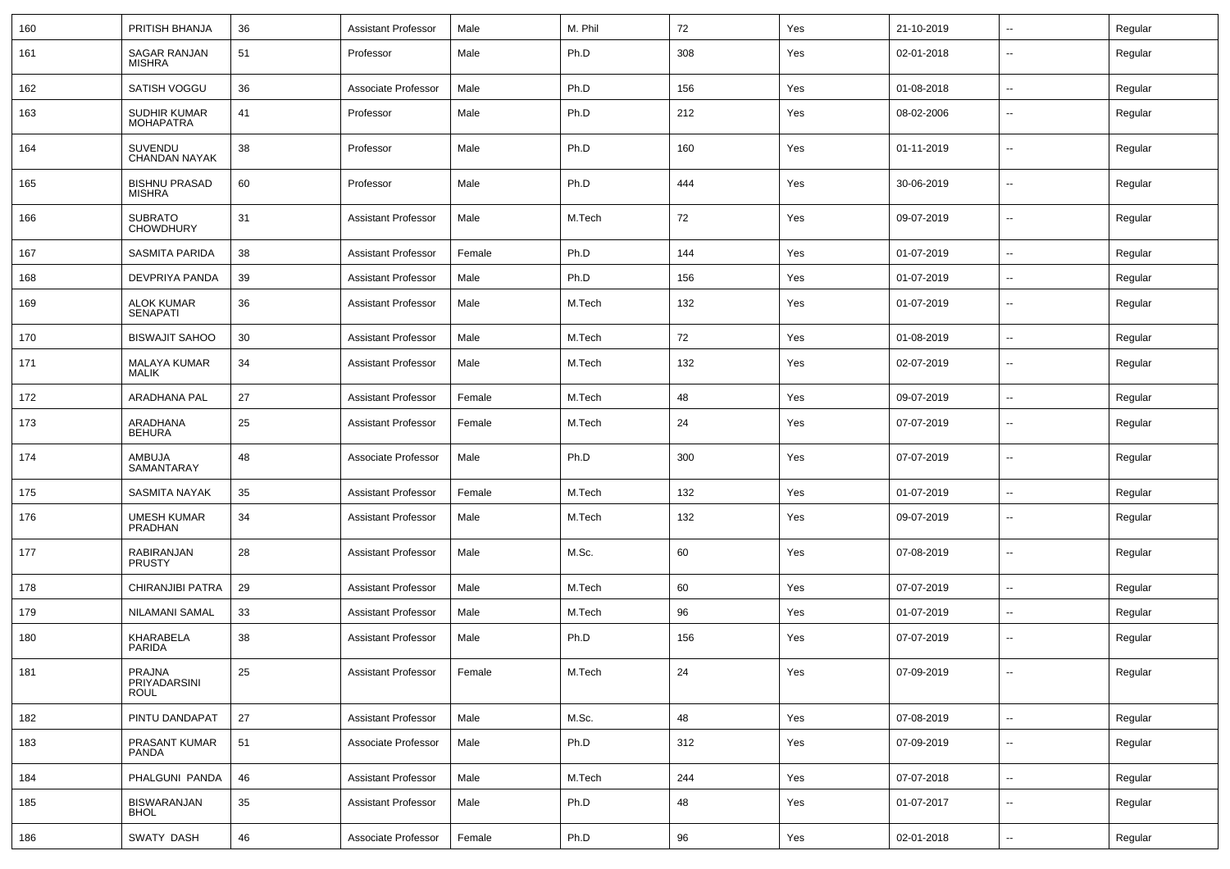| 160 | PRITISH BHANJA                        | 36         | <b>Assistant Professor</b> | Male   | M. Phil | 72  | Yes | 21-10-2019 | $\sim$                   | Regular |
|-----|---------------------------------------|------------|----------------------------|--------|---------|-----|-----|------------|--------------------------|---------|
| 161 | SAGAR RANJAN<br><b>MISHRA</b>         | 51         | Professor                  | Male   | Ph.D    | 308 | Yes | 02-01-2018 | ۰.                       | Regular |
| 162 | SATISH VOGGU                          | 36         | Associate Professor        | Male   | Ph.D    | 156 | Yes | 01-08-2018 | ⊷.                       | Regular |
| 163 | SUDHIR KUMAR<br><b>MOHAPATRA</b>      | 41         | Professor                  | Male   | Ph.D    | 212 | Yes | 08-02-2006 | --                       | Regular |
| 164 | SUVENDU<br><b>CHANDAN NAYAK</b>       | 38         | Professor                  | Male   | Ph.D    | 160 | Yes | 01-11-2019 | $\overline{\phantom{a}}$ | Regular |
| 165 | <b>BISHNU PRASAD</b><br><b>MISHRA</b> | 60         | Professor                  | Male   | Ph.D    | 444 | Yes | 30-06-2019 | $\sim$                   | Regular |
| 166 | <b>SUBRATO</b><br><b>CHOWDHURY</b>    | 31         | Assistant Professor        | Male   | M.Tech  | 72  | Yes | 09-07-2019 | --                       | Regular |
| 167 | SASMITA PARIDA                        | 38         | Assistant Professor        | Female | Ph.D    | 144 | Yes | 01-07-2019 | $\overline{\phantom{a}}$ | Regular |
| 168 | <b>DEVPRIYA PANDA</b>                 | 39         | <b>Assistant Professor</b> | Male   | Ph.D    | 156 | Yes | 01-07-2019 | --                       | Regular |
| 169 | ALOK KUMAR<br><b>SENAPATI</b>         | 36         | <b>Assistant Professor</b> | Male   | M.Tech  | 132 | Yes | 01-07-2019 | ۰.                       | Regular |
| 170 | <b>BISWAJIT SAHOO</b>                 | 30         | <b>Assistant Professor</b> | Male   | M.Tech  | 72  | Yes | 01-08-2019 | $\overline{\phantom{a}}$ | Regular |
| 171 | <b>MALAYA KUMAR</b><br><b>MALIK</b>   | 34         | <b>Assistant Professor</b> | Male   | M.Tech  | 132 | Yes | 02-07-2019 | $\overline{a}$           | Regular |
| 172 | ARADHANA PAL                          | 27         | <b>Assistant Professor</b> | Female | M.Tech  | 48  | Yes | 09-07-2019 | $\overline{\phantom{a}}$ | Regular |
| 173 | <b>ARADHANA</b><br><b>BEHURA</b>      | 25         | <b>Assistant Professor</b> | Female | M.Tech  | 24  | Yes | 07-07-2019 | $\sim$                   | Regular |
| 174 | AMBUJA<br>SAMANTARAY                  | 48         | Associate Professor        | Male   | Ph.D    | 300 | Yes | 07-07-2019 | $\overline{\phantom{a}}$ | Regular |
| 175 | <b>SASMITA NAYAK</b>                  | 35         | <b>Assistant Professor</b> | Female | M.Tech  | 132 | Yes | 01-07-2019 | $\sim$                   | Regular |
| 176 | <b>UMESH KUMAR</b><br>PRADHAN         | 34         | <b>Assistant Professor</b> | Male   | M.Tech  | 132 | Yes | 09-07-2019 | ⊷.                       | Regular |
| 177 | RABIRANJAN<br><b>PRUSTY</b>           | 28         | <b>Assistant Professor</b> | Male   | M.Sc.   | 60  | Yes | 07-08-2019 | ⊷.                       | Regular |
| 178 | <b>CHIRANJIBI PATRA</b>               | 29         | <b>Assistant Professor</b> | Male   | M.Tech  | 60  | Yes | 07-07-2019 | ⊷.                       | Regular |
| 179 | NILAMANI SAMAL                        | 33         | Assistant Professor        | Male   | M.Tech  | 96  | Yes | 01-07-2019 | --                       | Regular |
| 180 | KHARABELA<br>PARIDA                   | 38         | <b>Assistant Professor</b> | Male   | Ph.D    | 156 | Yes | 07-07-2019 | --                       | Regular |
| 181 | PRAJNA<br>PRIYADARSINI<br>ROUL        | 25         | Assistant Professor        | Female | M.Tech  | 24  | Yes | 07-09-2019 | $\overline{\phantom{a}}$ | Regular |
| 182 | PINTU DANDAPAT                        | 27         | <b>Assistant Professor</b> | Male   | M.Sc.   | 48  | Yes | 07-08-2019 | $\sim$                   | Regular |
| 183 | PRASANT KUMAR<br>PANDA                | 51         | Associate Professor        | Male   | Ph.D    | 312 | Yes | 07-09-2019 | --                       | Regular |
| 184 | PHALGUNI PANDA                        | 46         | <b>Assistant Professor</b> | Male   | M.Tech  | 244 | Yes | 07-07-2018 | $\sim$                   | Regular |
| 185 | <b>BISWARANJAN</b><br><b>BHOL</b>     | 35         | <b>Assistant Professor</b> | Male   | Ph.D    | 48  | Yes | 01-07-2017 | --                       | Regular |
| 186 | SWATY DASH                            | ${\bf 46}$ | Associate Professor        | Female | Ph.D    | 96  | Yes | 02-01-2018 | н.                       | Regular |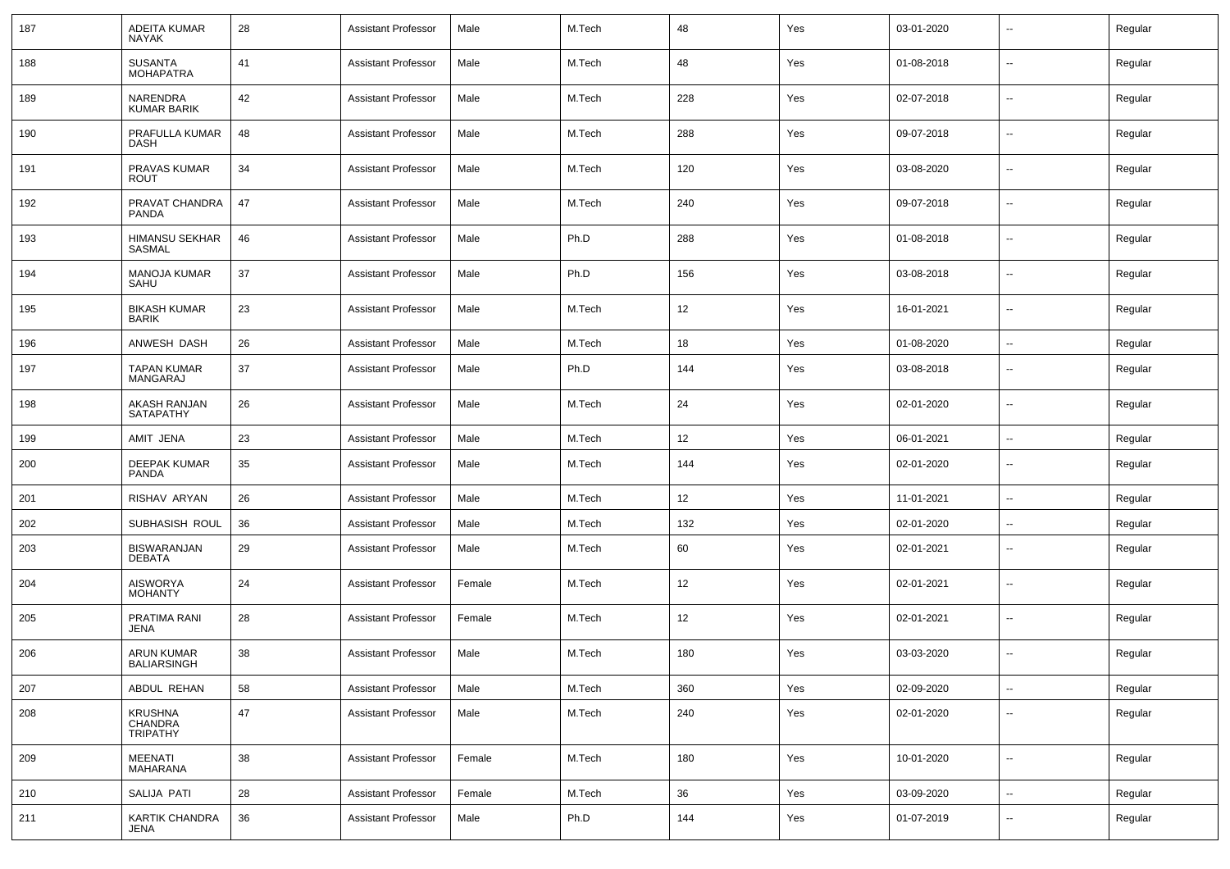| 187 | ADEITA KUMAR<br><b>NAYAK</b>            | 28     | <b>Assistant Professor</b> | Male   | M.Tech | 48  | Yes | 03-01-2020 | $\sim$                   | Regular |
|-----|-----------------------------------------|--------|----------------------------|--------|--------|-----|-----|------------|--------------------------|---------|
| 188 | <b>SUSANTA</b><br><b>MOHAPATRA</b>      | 41     | <b>Assistant Professor</b> | Male   | M.Tech | 48  | Yes | 01-08-2018 | $\overline{\phantom{a}}$ | Regular |
| 189 | NARENDRA<br><b>KUMAR BARIK</b>          | 42     | <b>Assistant Professor</b> | Male   | M.Tech | 228 | Yes | 02-07-2018 | $\sim$                   | Regular |
| 190 | PRAFULLA KUMAR<br><b>DASH</b>           | 48     | <b>Assistant Professor</b> | Male   | M.Tech | 288 | Yes | 09-07-2018 | $\overline{\phantom{a}}$ | Regular |
| 191 | PRAVAS KUMAR<br><b>ROUT</b>             | 34     | <b>Assistant Professor</b> | Male   | M.Tech | 120 | Yes | 03-08-2020 | $\sim$                   | Regular |
| 192 | PRAVAT CHANDRA<br><b>PANDA</b>          | 47     | <b>Assistant Professor</b> | Male   | M.Tech | 240 | Yes | 09-07-2018 | $\overline{\phantom{a}}$ | Regular |
| 193 | <b>HIMANSU SEKHAR</b><br>SASMAL         | 46     | <b>Assistant Professor</b> | Male   | Ph.D   | 288 | Yes | 01-08-2018 | $\overline{\phantom{a}}$ | Regular |
| 194 | <b>MANOJA KUMAR</b><br>SAHU             | 37     | <b>Assistant Professor</b> | Male   | Ph.D   | 156 | Yes | 03-08-2018 | $\sim$                   | Regular |
| 195 | <b>BIKASH KUMAR</b><br><b>BARIK</b>     | 23     | <b>Assistant Professor</b> | Male   | M.Tech | 12  | Yes | 16-01-2021 | $\overline{\phantom{a}}$ | Regular |
| 196 | ANWESH DASH                             | 26     | <b>Assistant Professor</b> | Male   | M.Tech | 18  | Yes | 01-08-2020 | ⊷.                       | Regular |
| 197 | TAPAN KUMAR<br>MANGARAJ                 | 37     | <b>Assistant Professor</b> | Male   | Ph.D   | 144 | Yes | 03-08-2018 | $\overline{\phantom{a}}$ | Regular |
| 198 | AKASH RANJAN<br><b>SATAPATHY</b>        | 26     | <b>Assistant Professor</b> | Male   | M.Tech | 24  | Yes | 02-01-2020 | $\overline{\phantom{a}}$ | Regular |
| 199 | AMIT JENA                               | 23     | <b>Assistant Professor</b> | Male   | M.Tech | 12  | Yes | 06-01-2021 | $\overline{\phantom{a}}$ | Regular |
| 200 | <b>DEEPAK KUMAR</b><br>PANDA            | 35     | <b>Assistant Professor</b> | Male   | M.Tech | 144 | Yes | 02-01-2020 | $\overline{\phantom{a}}$ | Regular |
| 201 | RISHAV ARYAN                            | 26     | <b>Assistant Professor</b> | Male   | M.Tech | 12  | Yes | 11-01-2021 | $\overline{\phantom{a}}$ | Regular |
| 202 | SUBHASISH ROUL                          | 36     | <b>Assistant Professor</b> | Male   | M.Tech | 132 | Yes | 02-01-2020 | $\overline{\phantom{a}}$ | Regular |
| 203 | <b>BISWARANJAN</b><br><b>DEBATA</b>     | 29     | <b>Assistant Professor</b> | Male   | M.Tech | 60  | Yes | 02-01-2021 | $\sim$                   | Regular |
| 204 | <b>AISWORYA</b><br><b>MOHANTY</b>       | 24     | <b>Assistant Professor</b> | Female | M.Tech | 12  | Yes | 02-01-2021 | $\sim$                   | Regular |
| 205 | PRATIMA RANI<br><b>JENA</b>             | 28     | <b>Assistant Professor</b> | Female | M.Tech | 12  | Yes | 02-01-2021 | $\sim$                   | Regular |
| 206 | <b>ARUN KUMAR</b><br><b>BALIARSINGH</b> | 38     | <b>Assistant Professor</b> | Male   | M.Tech | 180 | Yes | 03-03-2020 | $\sim$                   | Regular |
| 207 | ABDUL REHAN                             | 58     | <b>Assistant Professor</b> | Male   | M.Tech | 360 | Yes | 02-09-2020 | $\sim$                   | Regular |
| 208 | KRUSHNA<br>CHANDRA<br>TRIPATHY          | $47\,$ | Assistant Professor        | Male   | M.Tech | 240 | Yes | 02-01-2020 | $\sim$                   | Regular |
| 209 | MEENATI<br>MAHARANA                     | 38     | <b>Assistant Professor</b> | Female | M.Tech | 180 | Yes | 10-01-2020 | $\sim$                   | Regular |
| 210 | SALIJA PATI                             | 28     | <b>Assistant Professor</b> | Female | M.Tech | 36  | Yes | 03-09-2020 | $\sim$                   | Regular |
| 211 | KARTIK CHANDRA<br>JENA                  | 36     | <b>Assistant Professor</b> | Male   | Ph.D   | 144 | Yes | 01-07-2019 | $\sim$                   | Regular |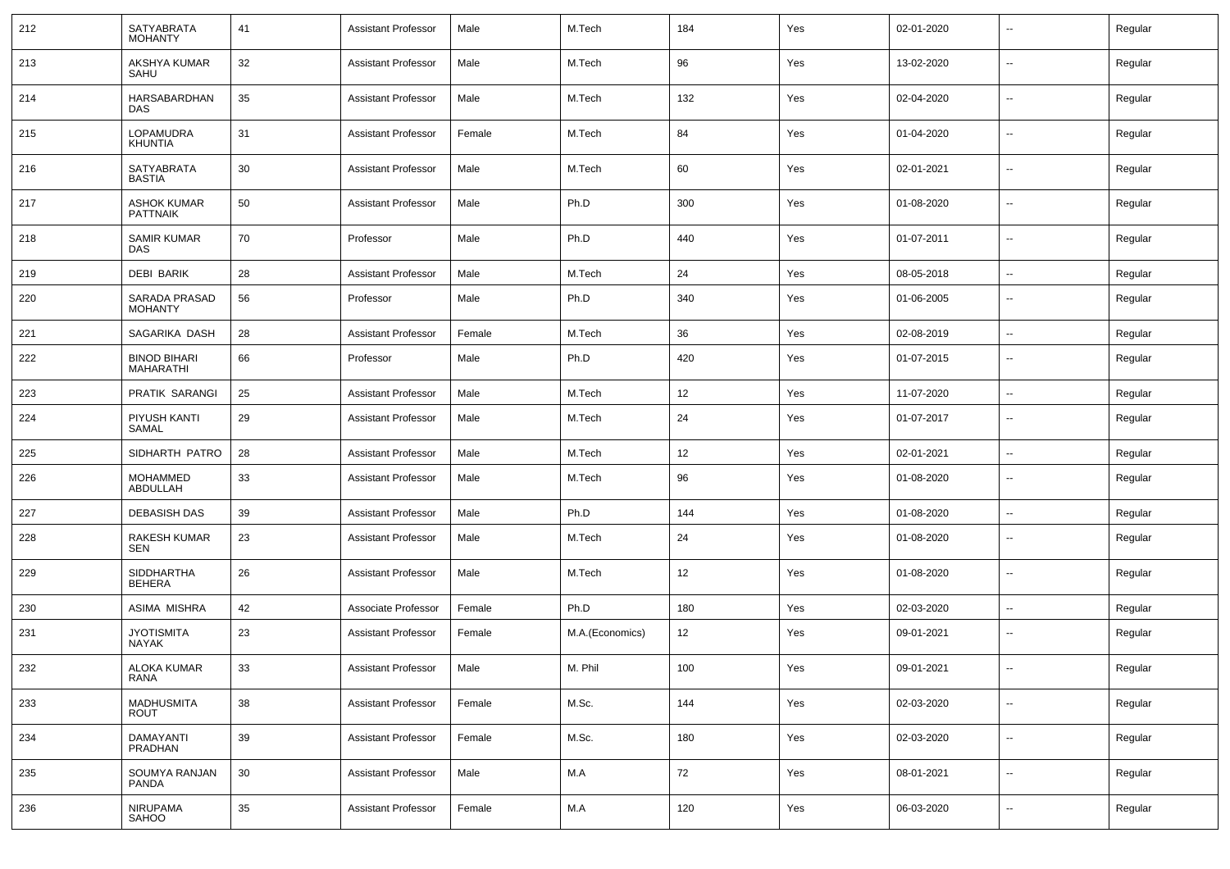| 212 | SATYABRATA<br><b>MOHANTY</b>          | 41 | <b>Assistant Professor</b> | Male   | M.Tech          | 184 | Yes | 02-01-2020 | $\overline{\phantom{a}}$ | Regular |
|-----|---------------------------------------|----|----------------------------|--------|-----------------|-----|-----|------------|--------------------------|---------|
| 213 | AKSHYA KUMAR<br>SAHU                  | 32 | <b>Assistant Professor</b> | Male   | M.Tech          | 96  | Yes | 13-02-2020 | $\sim$                   | Regular |
| 214 | <b>HARSABARDHAN</b><br>DAS            | 35 | <b>Assistant Professor</b> | Male   | M.Tech          | 132 | Yes | 02-04-2020 | $\overline{\phantom{a}}$ | Regular |
| 215 | LOPAMUDRA<br>KHUNTIA                  | 31 | <b>Assistant Professor</b> | Female | M.Tech          | 84  | Yes | 01-04-2020 | $\sim$                   | Regular |
| 216 | <b>SATYABRATA</b><br><b>BASTIA</b>    | 30 | <b>Assistant Professor</b> | Male   | M.Tech          | 60  | Yes | 02-01-2021 | $\overline{\phantom{a}}$ | Regular |
| 217 | <b>ASHOK KUMAR</b><br><b>PATTNAIK</b> | 50 | <b>Assistant Professor</b> | Male   | Ph.D            | 300 | Yes | 01-08-2020 | $\sim$                   | Regular |
| 218 | SAMIR KUMAR<br>DAS                    | 70 | Professor                  | Male   | Ph.D            | 440 | Yes | 01-07-2011 | $\overline{\phantom{a}}$ | Regular |
| 219 | <b>DEBI BARIK</b>                     | 28 | <b>Assistant Professor</b> | Male   | M.Tech          | 24  | Yes | 08-05-2018 | $\overline{\phantom{a}}$ | Regular |
| 220 | SARADA PRASAD<br><b>MOHANTY</b>       | 56 | Professor                  | Male   | Ph.D            | 340 | Yes | 01-06-2005 | $\overline{\phantom{a}}$ | Regular |
| 221 | SAGARIKA DASH                         | 28 | <b>Assistant Professor</b> | Female | M.Tech          | 36  | Yes | 02-08-2019 | $\overline{\phantom{a}}$ | Regular |
| 222 | <b>BINOD BIHARI</b><br>MAHARATHI      | 66 | Professor                  | Male   | Ph.D            | 420 | Yes | 01-07-2015 | $\sim$                   | Regular |
| 223 | PRATIK SARANGI                        | 25 | <b>Assistant Professor</b> | Male   | M.Tech          | 12  | Yes | 11-07-2020 | $\sim$                   | Regular |
| 224 | PIYUSH KANTI<br>SAMAL                 | 29 | <b>Assistant Professor</b> | Male   | M.Tech          | 24  | Yes | 01-07-2017 | --                       | Regular |
| 225 | SIDHARTH PATRO                        | 28 | <b>Assistant Professor</b> | Male   | M.Tech          | 12  | Yes | 02-01-2021 | $\overline{\phantom{a}}$ | Regular |
| 226 | <b>MOHAMMED</b><br>ABDULLAH           | 33 | <b>Assistant Professor</b> | Male   | M.Tech          | 96  | Yes | 01-08-2020 | $\overline{\phantom{a}}$ | Regular |
| 227 | <b>DEBASISH DAS</b>                   | 39 | <b>Assistant Professor</b> | Male   | Ph.D            | 144 | Yes | 01-08-2020 | $\overline{\phantom{a}}$ | Regular |
| 228 | <b>RAKESH KUMAR</b><br><b>SEN</b>     | 23 | <b>Assistant Professor</b> | Male   | M.Tech          | 24  | Yes | 01-08-2020 | $\sim$                   | Regular |
| 229 | <b>SIDDHARTHA</b><br><b>BEHERA</b>    | 26 | <b>Assistant Professor</b> | Male   | M.Tech          | 12  | Yes | 01-08-2020 | $\sim$                   | Regular |
| 230 | <b>ASIMA MISHRA</b>                   | 42 | Associate Professor        | Female | Ph.D            | 180 | Yes | 02-03-2020 | $\sim$                   | Regular |
| 231 | <b>JYOTISMITA</b><br><b>NAYAK</b>     | 23 | <b>Assistant Professor</b> | Female | M.A.(Economics) | 12  | Yes | 09-01-2021 | $\overline{\phantom{a}}$ | Regular |
| 232 | <b>ALOKA KUMAR</b><br><b>RANA</b>     | 33 | Assistant Professor        | Male   | M. Phil         | 100 | Yes | 09-01-2021 | $\overline{\phantom{a}}$ | Regular |
| 233 | <b>MADHUSMITA</b><br><b>ROUT</b>      | 38 | <b>Assistant Professor</b> | Female | M.Sc.           | 144 | Yes | 02-03-2020 | Щ,                       | Regular |
| 234 | DAMAYANTI<br>PRADHAN                  | 39 | <b>Assistant Professor</b> | Female | M.Sc.           | 180 | Yes | 02-03-2020 | $\sim$                   | Regular |
| 235 | SOUMYA RANJAN<br>PANDA                | 30 | <b>Assistant Professor</b> | Male   | M.A             | 72  | Yes | 08-01-2021 | $\sim$                   | Regular |
| 236 | NIRUPAMA<br>SAHOO                     | 35 | <b>Assistant Professor</b> | Female | M.A             | 120 | Yes | 06-03-2020 | $\sim$                   | Regular |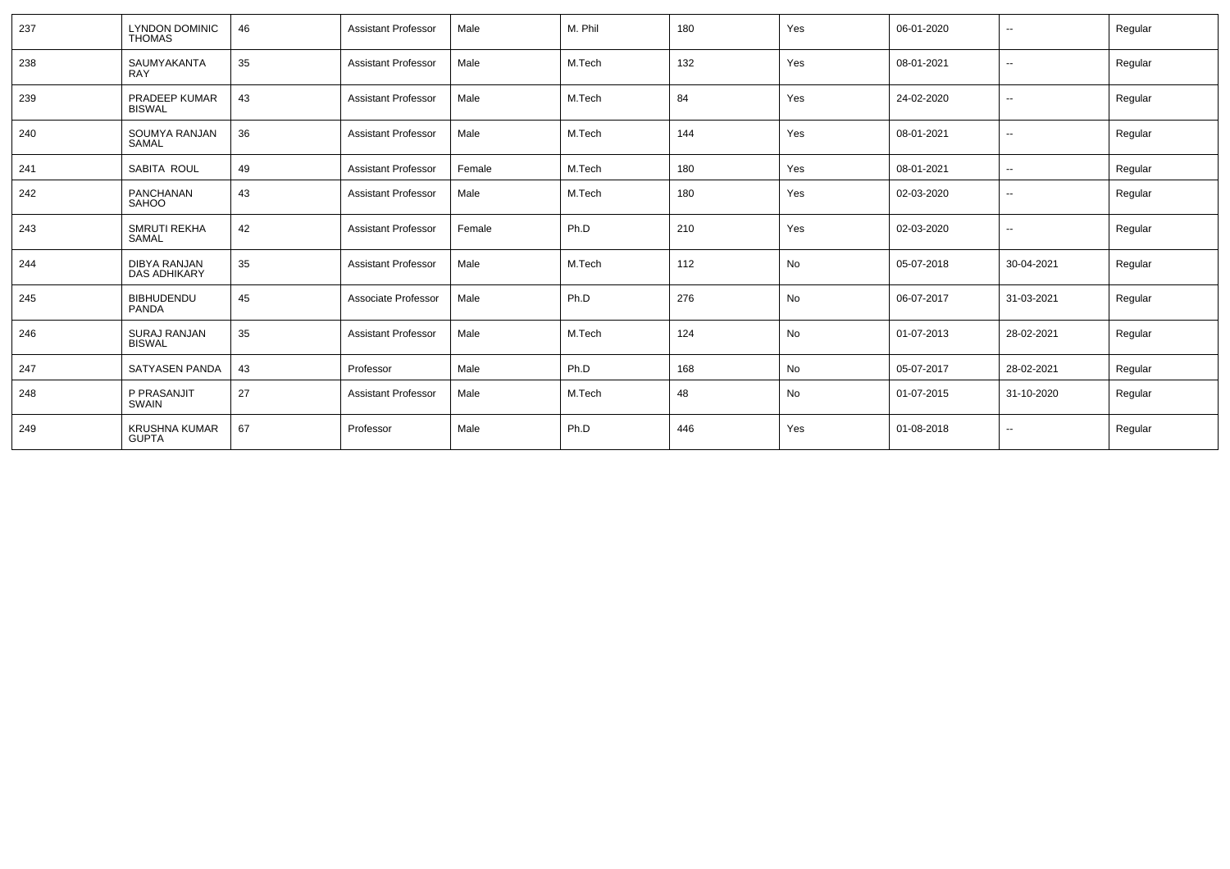| 237 | <b>LYNDON DOMINIC</b><br><b>THOMAS</b> | 46 | <b>Assistant Professor</b> | Male   | M. Phil | 180 | Yes | 06-01-2020 | $\overline{\phantom{a}}$ | Regular |
|-----|----------------------------------------|----|----------------------------|--------|---------|-----|-----|------------|--------------------------|---------|
| 238 | SAUMYAKANTA<br><b>RAY</b>              | 35 | <b>Assistant Professor</b> | Male   | M.Tech  | 132 | Yes | 08-01-2021 | $\overline{\phantom{a}}$ | Regular |
| 239 | <b>PRADEEP KUMAR</b><br><b>BISWAL</b>  | 43 | <b>Assistant Professor</b> | Male   | M.Tech  | 84  | Yes | 24-02-2020 | --                       | Regular |
| 240 | SOUMYA RANJAN<br>SAMAL                 | 36 | <b>Assistant Professor</b> | Male   | M.Tech  | 144 | Yes | 08-01-2021 | $\overline{\phantom{a}}$ | Regular |
| 241 | SABITA ROUL                            | 49 | <b>Assistant Professor</b> | Female | M.Tech  | 180 | Yes | 08-01-2021 | $\mathbf{u}$             | Regular |
| 242 | PANCHANAN<br>SAHOO                     | 43 | <b>Assistant Professor</b> | Male   | M.Tech  | 180 | Yes | 02-03-2020 | $\overline{\phantom{a}}$ | Regular |
| 243 | <b>SMRUTI REKHA</b><br>SAMAL           | 42 | <b>Assistant Professor</b> | Female | Ph.D    | 210 | Yes | 02-03-2020 | $\overline{\phantom{a}}$ | Regular |
| 244 | DIBYA RANJAN<br><b>DAS ADHIKARY</b>    | 35 | <b>Assistant Professor</b> | Male   | M.Tech  | 112 | No  | 05-07-2018 | 30-04-2021               | Regular |
| 245 | <b>BIBHUDENDU</b><br>PANDA             | 45 | Associate Professor        | Male   | Ph.D    | 276 | No  | 06-07-2017 | 31-03-2021               | Regular |
| 246 | <b>SURAJ RANJAN</b><br><b>BISWAL</b>   | 35 | <b>Assistant Professor</b> | Male   | M.Tech  | 124 | No  | 01-07-2013 | 28-02-2021               | Regular |
| 247 | SATYASEN PANDA                         | 43 | Professor                  | Male   | Ph.D    | 168 | No  | 05-07-2017 | 28-02-2021               | Regular |
| 248 | P PRASANJIT<br>SWAIN                   | 27 | <b>Assistant Professor</b> | Male   | M.Tech  | 48  | No  | 01-07-2015 | 31-10-2020               | Regular |
| 249 | <b>KRUSHNA KUMAR</b><br><b>GUPTA</b>   | 67 | Professor                  | Male   | Ph.D    | 446 | Yes | 01-08-2018 | $\overline{\phantom{a}}$ | Regular |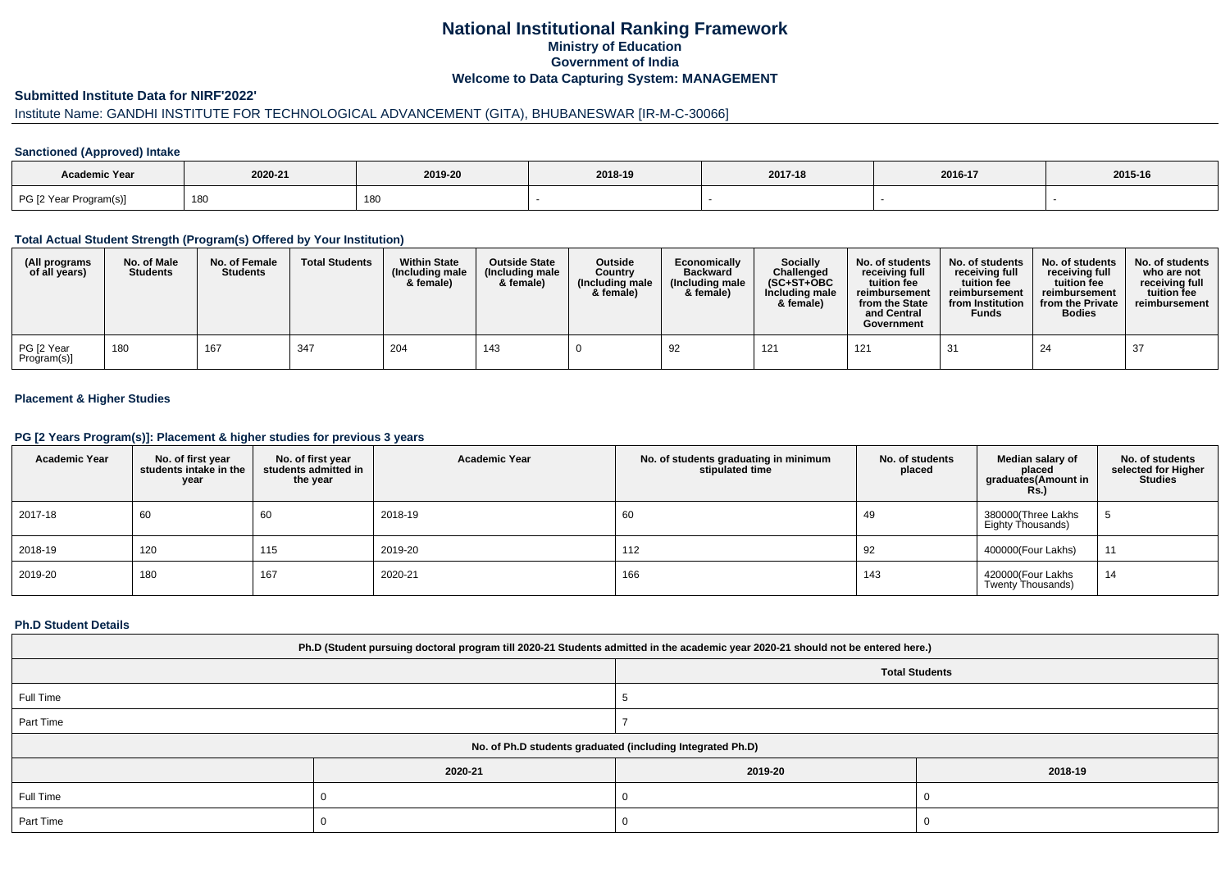# **National Institutional Ranking FrameworkMinistry of Education Government of IndiaWelcome to Data Capturing System: MANAGEMENT**

#### **Submitted Institute Data for NIRF'2022'**

# Institute Name: GANDHI INSTITUTE FOR TECHNOLOGICAL ADVANCEMENT (GITA), BHUBANESWAR [IR-M-C-30066]

### **Sanctioned (Approved) Intake**

| Academic Year          |         |         |         |         |         |         |
|------------------------|---------|---------|---------|---------|---------|---------|
|                        | 2020-21 | 2019-20 | 2018-19 | 2017-18 | 2016-17 | 2015-16 |
| PG [2 Year Program(s)] | 180     | 180     |         |         |         |         |

#### **Total Actual Student Strength (Program(s) Offered by Your Institution)**

| (All programs<br>of all years) | No. of Male<br><b>Students</b> | No. of Female<br><b>Students</b> | <b>Total Students</b> | <b>Within State</b><br>(Including male)<br>& female) | <b>Outside State</b><br>(Including male<br>& female) | Outside<br>Country<br>(Including male)<br>& female) | Economically<br><b>Backward</b><br>(Including male<br>& female) | Socially<br>Challenged<br>$(SC+ST+OBC$<br>Including male<br>& female) | No. of students<br>receiving full<br>tuition fee<br>reimbursement<br>from the State<br>and Central<br>Government | No. of students<br>receiving full<br>tuition fee<br>reimbursement<br>from Institution<br><b>Funds</b> | No. of students<br>receiving full<br>tuition fee<br>reimbursement<br>from the Private<br><b>Bodies</b> | No. of students<br>who are not<br>receiving full<br>tuition fee<br>reimbursement |
|--------------------------------|--------------------------------|----------------------------------|-----------------------|------------------------------------------------------|------------------------------------------------------|-----------------------------------------------------|-----------------------------------------------------------------|-----------------------------------------------------------------------|------------------------------------------------------------------------------------------------------------------|-------------------------------------------------------------------------------------------------------|--------------------------------------------------------------------------------------------------------|----------------------------------------------------------------------------------|
| PG [2 Year<br>Program(s)]      | 180                            | 167                              | 347                   | 204                                                  | 143                                                  |                                                     | 92                                                              | 121                                                                   | 121                                                                                                              | 31                                                                                                    | 24                                                                                                     | 37                                                                               |

### **Placement & Higher Studies**

#### **PG [2 Years Program(s)]: Placement & higher studies for previous 3 years**

| <b>Academic Year</b> | No. of first year<br>students intake in the<br>year | No. of first year<br>students admitted in<br>the year | <b>Academic Year</b> | No. of students graduating in minimum<br>stipulated time | No. of students<br>placed | Median salary of<br>placed<br>graduates(Amount in<br><b>Rs.)</b> | No. of students<br>selected for Higher<br><b>Studies</b> |
|----------------------|-----------------------------------------------------|-------------------------------------------------------|----------------------|----------------------------------------------------------|---------------------------|------------------------------------------------------------------|----------------------------------------------------------|
| 2017-18              | 60                                                  | 60                                                    | 2018-19              | 60                                                       | 49                        | 380000(Three Lakhs<br>Eighty Thousands)                          | G                                                        |
| 2018-19              | 120                                                 | 115                                                   | 2019-20              | 112                                                      | 92                        | 400000(Four Lakhs)                                               | 11                                                       |
| 2019-20              | 180                                                 | 167                                                   | 2020-21              | 166                                                      | 143                       | 420000(Four Lakhs<br>Twenty Thousands)                           | 14                                                       |

#### **Ph.D Student Details**

| Ph.D (Student pursuing doctoral program till 2020-21 Students admitted in the academic year 2020-21 should not be entered here.) |                                                            |         |         |  |  |  |
|----------------------------------------------------------------------------------------------------------------------------------|------------------------------------------------------------|---------|---------|--|--|--|
| <b>Total Students</b>                                                                                                            |                                                            |         |         |  |  |  |
| Full Time                                                                                                                        |                                                            |         |         |  |  |  |
| Part Time                                                                                                                        |                                                            |         |         |  |  |  |
|                                                                                                                                  | No. of Ph.D students graduated (including Integrated Ph.D) |         |         |  |  |  |
|                                                                                                                                  | 2020-21                                                    | 2019-20 | 2018-19 |  |  |  |
| Full Time                                                                                                                        |                                                            |         |         |  |  |  |
| Part Time                                                                                                                        |                                                            |         |         |  |  |  |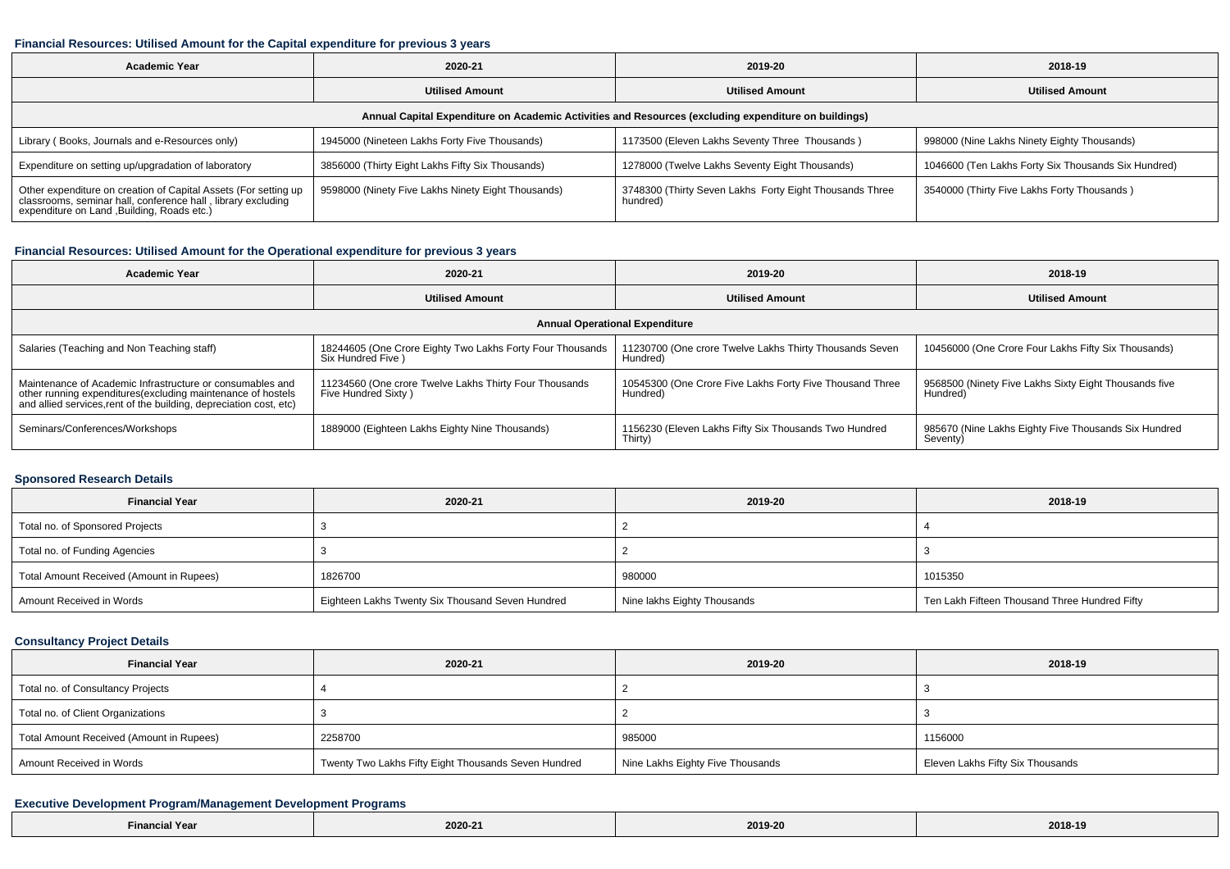#### **Financial Resources: Utilised Amount for the Capital expenditure for previous 3 years**

| <b>Academic Year</b>                                                                                                                                                        | 2020-21                                            | 2019-20                                                             | 2018-19                                             |  |  |  |  |  |
|-----------------------------------------------------------------------------------------------------------------------------------------------------------------------------|----------------------------------------------------|---------------------------------------------------------------------|-----------------------------------------------------|--|--|--|--|--|
|                                                                                                                                                                             | <b>Utilised Amount</b>                             | <b>Utilised Amount</b>                                              | <b>Utilised Amount</b>                              |  |  |  |  |  |
| Annual Capital Expenditure on Academic Activities and Resources (excluding expenditure on buildings)                                                                        |                                                    |                                                                     |                                                     |  |  |  |  |  |
| Library (Books, Journals and e-Resources only)                                                                                                                              | 1945000 (Nineteen Lakhs Forty Five Thousands)      | 1173500 (Eleven Lakhs Seventy Three Thousands)                      | 998000 (Nine Lakhs Ninety Eighty Thousands)         |  |  |  |  |  |
| Expenditure on setting up/upgradation of laboratory                                                                                                                         | 3856000 (Thirty Eight Lakhs Fifty Six Thousands)   | 1278000 (Twelve Lakhs Seventy Eight Thousands)                      | 1046600 (Ten Lakhs Forty Six Thousands Six Hundred) |  |  |  |  |  |
| Other expenditure on creation of Capital Assets (For setting up classrooms, seminar hall, conference hall, library excluding<br>expenditure on Land , Building, Roads etc.) | 9598000 (Ninety Five Lakhs Ninety Eight Thousands) | 3748300 (Thirty Seven Lakhs Forty Eight Thousands Three<br>hundred) | 3540000 (Thirty Five Lakhs Forty Thousands)         |  |  |  |  |  |

### **Financial Resources: Utilised Amount for the Operational expenditure for previous 3 years**

| <b>Academic Year</b>                                                                                                                                                                            | 2020-21                                                                       | 2019-20                                                              | 2018-19                                                           |  |  |  |  |  |
|-------------------------------------------------------------------------------------------------------------------------------------------------------------------------------------------------|-------------------------------------------------------------------------------|----------------------------------------------------------------------|-------------------------------------------------------------------|--|--|--|--|--|
|                                                                                                                                                                                                 | <b>Utilised Amount</b>                                                        | <b>Utilised Amount</b>                                               | <b>Utilised Amount</b>                                            |  |  |  |  |  |
| <b>Annual Operational Expenditure</b>                                                                                                                                                           |                                                                               |                                                                      |                                                                   |  |  |  |  |  |
| Salaries (Teaching and Non Teaching staff)                                                                                                                                                      | 18244605 (One Crore Eighty Two Lakhs Forty Four Thousands<br>Six Hundred Five | 11230700 (One crore Twelve Lakhs Thirty Thousands Seven<br>Hundred)  | 10456000 (One Crore Four Lakhs Fifty Six Thousands)               |  |  |  |  |  |
| Maintenance of Academic Infrastructure or consumables and<br>other running expenditures (excluding maintenance of hostels<br>and allied services, rent of the building, depreciation cost, etc) | 11234560 (One crore Twelve Lakhs Thirty Four Thousands<br>Five Hundred Sixty) | 10545300 (One Crore Five Lakhs Forty Five Thousand Three<br>Hundred) | 9568500 (Ninety Five Lakhs Sixty Eight Thousands five<br>Hundred) |  |  |  |  |  |
| Seminars/Conferences/Workshops                                                                                                                                                                  | 1889000 (Eighteen Lakhs Eighty Nine Thousands)                                | 1156230 (Eleven Lakhs Fifty Six Thousands Two Hundred<br>Thirty)     | 985670 (Nine Lakhs Eighty Five Thousands Six Hundred<br>Seventy)  |  |  |  |  |  |

#### **Sponsored Research Details**

| <b>Financial Year</b>                    | 2020-21                                          | 2019-20                     | 2018-19                                       |
|------------------------------------------|--------------------------------------------------|-----------------------------|-----------------------------------------------|
| Total no. of Sponsored Projects          |                                                  |                             |                                               |
| Total no. of Funding Agencies            |                                                  |                             |                                               |
| Total Amount Received (Amount in Rupees) | 1826700                                          | 980000                      | 1015350                                       |
| Amount Received in Words                 | Eighteen Lakhs Twenty Six Thousand Seven Hundred | Nine lakhs Eighty Thousands | Ten Lakh Fifteen Thousand Three Hundred Fifty |

### **Consultancy Project Details**

| <b>Financial Year</b>                    | 2020-21                                              | 2019-20                          | 2018-19                          |
|------------------------------------------|------------------------------------------------------|----------------------------------|----------------------------------|
| Total no. of Consultancy Projects        |                                                      |                                  |                                  |
| Total no. of Client Organizations        |                                                      |                                  |                                  |
| Total Amount Received (Amount in Rupees) | 2258700                                              | 985000                           | 1156000                          |
| Amount Received in Words                 | Twenty Two Lakhs Fifty Eight Thousands Seven Hundred | Nine Lakhs Eighty Five Thousands | Eleven Lakhs Fifty Six Thousands |

### **Executive Development Program/Management Development Programs**

| $- \cdot$<br>l Yeaı<br>$\blacksquare$ | 2020-21 | 2019-20 | 2018-19 |
|---------------------------------------|---------|---------|---------|
|---------------------------------------|---------|---------|---------|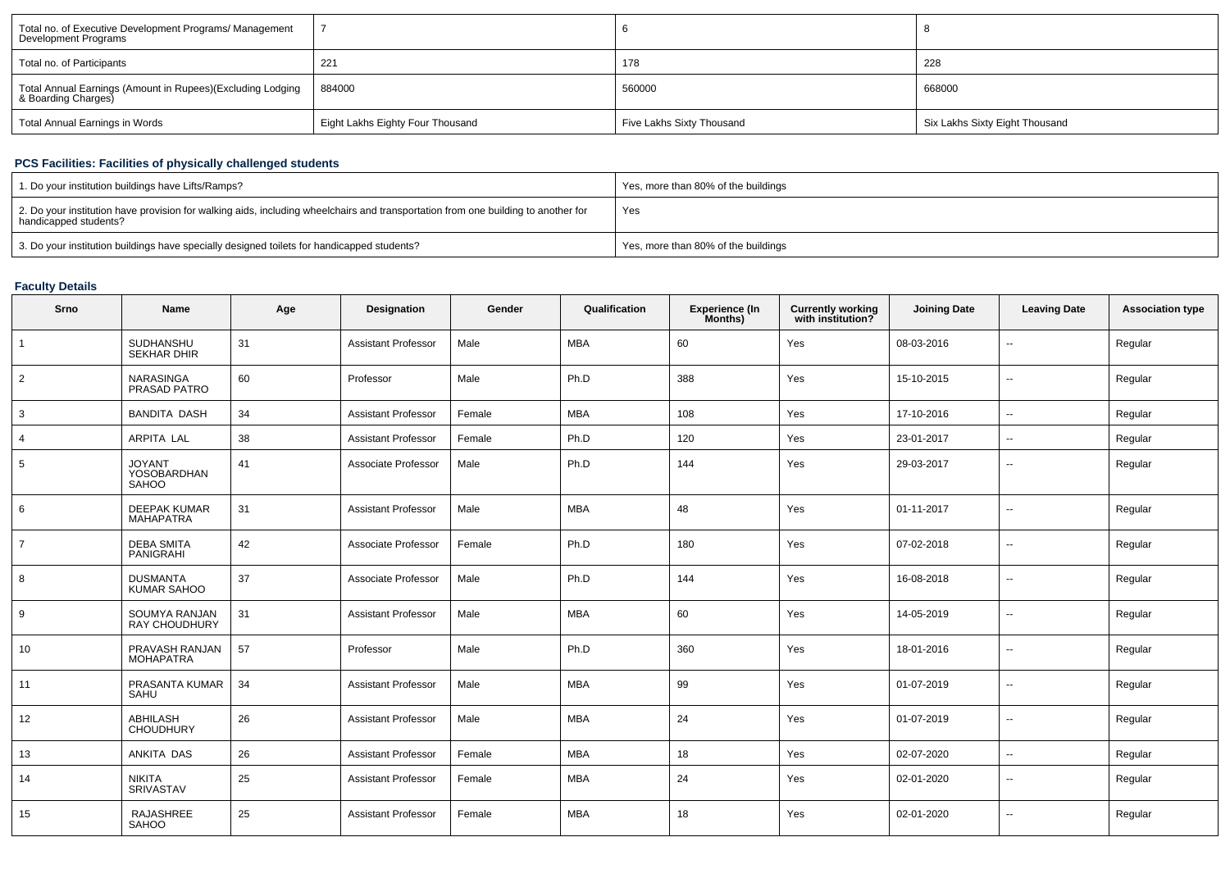| Total no. of Executive Development Programs/ Management<br>Development Programs   |                                  |                           |                                |
|-----------------------------------------------------------------------------------|----------------------------------|---------------------------|--------------------------------|
| Total no. of Participants                                                         | 221                              | 178                       | 228                            |
| Total Annual Earnings (Amount in Rupees)(Excluding Lodging<br>& Boarding Charges) | 884000                           | 560000                    | 668000                         |
| Total Annual Earnings in Words                                                    | Eight Lakhs Eighty Four Thousand | Five Lakhs Sixty Thousand | Six Lakhs Sixty Eight Thousand |

## **PCS Facilities: Facilities of physically challenged students**

| 1. Do your institution buildings have Lifts/Ramps?                                                                                                         | Yes, more than 80% of the buildings |
|------------------------------------------------------------------------------------------------------------------------------------------------------------|-------------------------------------|
| 2. Do your institution have provision for walking aids, including wheelchairs and transportation from one building to another for<br>handicapped students? | Yes                                 |
| 3. Do your institution buildings have specially designed toilets for handicapped students?                                                                 | Yes, more than 80% of the buildings |

## **Faculty Details**

| Srno           | Name                                         | Age | Designation                | Gender | Qualification | <b>Experience (In</b><br>Months) | <b>Currently working</b><br>with institution? | <b>Joining Date</b> | <b>Leaving Date</b>      | <b>Association type</b> |
|----------------|----------------------------------------------|-----|----------------------------|--------|---------------|----------------------------------|-----------------------------------------------|---------------------|--------------------------|-------------------------|
|                | SUDHANSHU<br><b>SEKHAR DHIR</b>              | 31  | <b>Assistant Professor</b> | Male   | <b>MBA</b>    | 60                               | Yes                                           | 08-03-2016          | --                       | Regular                 |
| 2              | <b>NARASINGA</b><br>PRASAD PATRO             | 60  | Professor                  | Male   | Ph.D          | 388                              | Yes                                           | 15-10-2015          | $\overline{\phantom{a}}$ | Regular                 |
| 3              | <b>BANDITA DASH</b>                          | 34  | <b>Assistant Professor</b> | Female | <b>MBA</b>    | 108                              | Yes                                           | 17-10-2016          | $\sim$                   | Regular                 |
| 4              | ARPITA LAL                                   | 38  | <b>Assistant Professor</b> | Female | Ph.D          | 120                              | Yes                                           | 23-01-2017          | $\overline{\phantom{a}}$ | Regular                 |
| 5              | <b>JOYANT</b><br><b>YOSOBARDHAN</b><br>SAHOO | 41  | Associate Professor        | Male   | Ph.D          | 144                              | Yes                                           | 29-03-2017          | $\sim$                   | Regular                 |
| 6              | <b>DEEPAK KUMAR</b><br><b>MAHAPATRA</b>      | 31  | <b>Assistant Professor</b> | Male   | <b>MBA</b>    | 48                               | Yes                                           | 01-11-2017          | $\overline{\phantom{a}}$ | Regular                 |
| $\overline{7}$ | <b>DEBA SMITA</b><br>PANIGRAHI               | 42  | Associate Professor        | Female | Ph.D          | 180                              | Yes                                           | 07-02-2018          | $\overline{\phantom{a}}$ | Regular                 |
| 8              | <b>DUSMANTA</b><br><b>KUMAR SAHOO</b>        | 37  | Associate Professor        | Male   | Ph.D          | 144                              | Yes                                           | 16-08-2018          | $\overline{\phantom{a}}$ | Regular                 |
| 9              | SOUMYA RANJAN<br><b>RAY CHOUDHURY</b>        | 31  | <b>Assistant Professor</b> | Male   | <b>MBA</b>    | 60                               | Yes                                           | 14-05-2019          | н.                       | Regular                 |
| 10             | PRAVASH RANJAN<br><b>MOHAPATRA</b>           | 57  | Professor                  | Male   | Ph.D          | 360                              | Yes                                           | 18-01-2016          | н.                       | Regular                 |
| 11             | PRASANTA KUMAR<br>SAHU                       | 34  | <b>Assistant Professor</b> | Male   | <b>MBA</b>    | 99                               | Yes                                           | 01-07-2019          |                          | Regular                 |
| 12             | ABHILASH<br><b>CHOUDHURY</b>                 | 26  | <b>Assistant Professor</b> | Male   | <b>MBA</b>    | 24                               | Yes                                           | 01-07-2019          | $\sim$                   | Regular                 |
| 13             | ANKITA DAS                                   | 26  | <b>Assistant Professor</b> | Female | <b>MBA</b>    | 18                               | Yes                                           | 02-07-2020          | $\overline{\phantom{a}}$ | Regular                 |
| 14             | <b>NIKITA</b><br><b>SRIVASTAV</b>            | 25  | <b>Assistant Professor</b> | Female | <b>MBA</b>    | 24                               | Yes                                           | 02-01-2020          | $\overline{\phantom{a}}$ | Regular                 |
| 15             | RAJASHREE<br><b>SAHOO</b>                    | 25  | <b>Assistant Professor</b> | Female | <b>MBA</b>    | 18                               | Yes                                           | 02-01-2020          | $\overline{\phantom{a}}$ | Regular                 |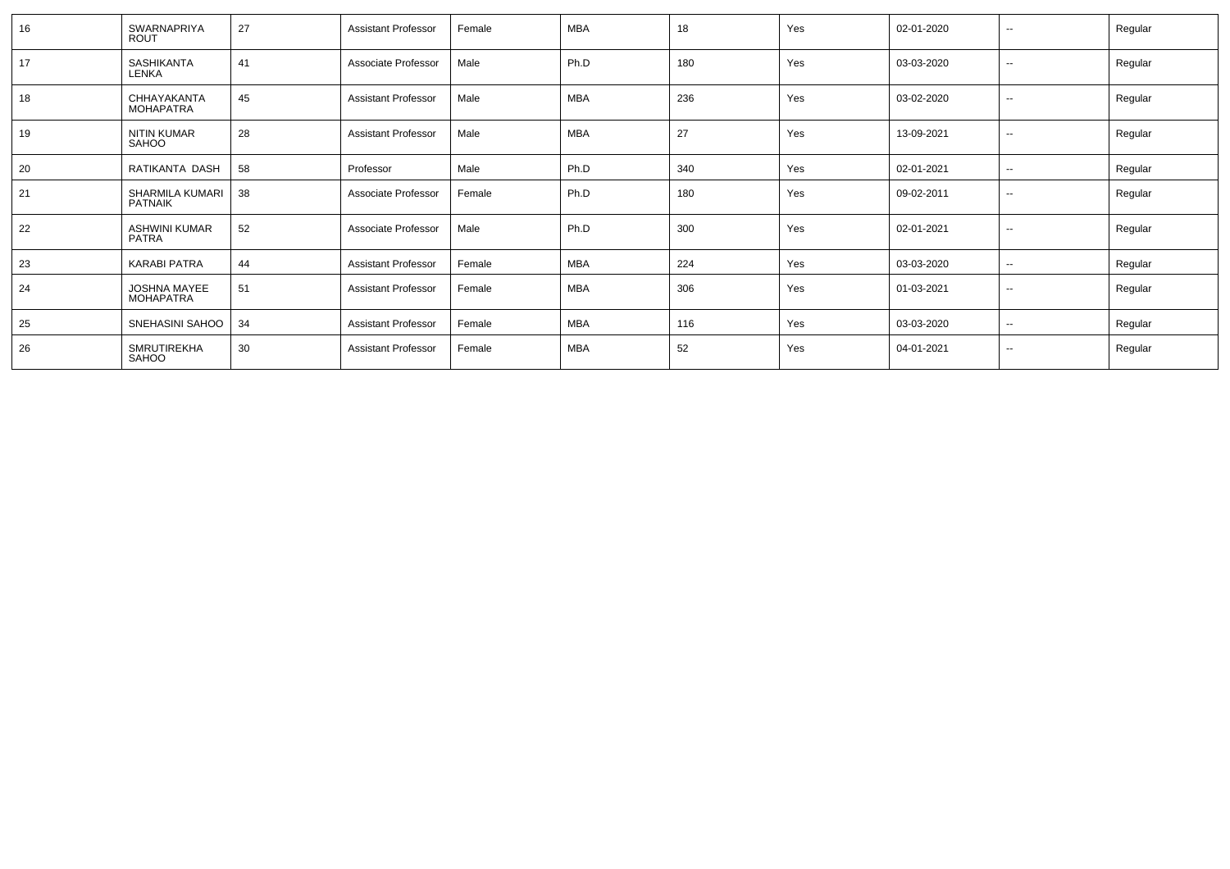| 16 | SWARNAPRIYA<br>ROUT                  | 27 | <b>Assistant Professor</b> | Female | <b>MBA</b> | 18  | Yes | 02-01-2020 | $\sim$                   | Regular |
|----|--------------------------------------|----|----------------------------|--------|------------|-----|-----|------------|--------------------------|---------|
| 17 | SASHIKANTA<br>LENKA                  | 41 | Associate Professor        | Male   | Ph.D       | 180 | Yes | 03-03-2020 | $\sim$                   | Regular |
| 18 | CHHAYAKANTA<br>MOHAPATRA             | 45 | <b>Assistant Professor</b> | Male   | <b>MBA</b> | 236 | Yes | 03-02-2020 | $\overline{\phantom{a}}$ | Regular |
| 19 | NITIN KUMAR<br>SAHOO                 | 28 | <b>Assistant Professor</b> | Male   | <b>MBA</b> | 27  | Yes | 13-09-2021 | $\sim$                   | Regular |
| 20 | RATIKANTA DASH                       | 58 | Professor                  | Male   | Ph.D       | 340 | Yes | 02-01-2021 | $\sim$                   | Regular |
| 21 | SHARMILA KUMARI<br><b>PATNAIK</b>    | 38 | Associate Professor        | Female | Ph.D       | 180 | Yes | 09-02-2011 | $\sim$                   | Regular |
| 22 | <b>ASHWINI KUMAR</b><br><b>PATRA</b> | 52 | Associate Professor        | Male   | Ph.D       | 300 | Yes | 02-01-2021 | $\sim$                   | Regular |
| 23 | <b>KARABI PATRA</b>                  | 44 | <b>Assistant Professor</b> | Female | MBA        | 224 | Yes | 03-03-2020 | $\sim$                   | Regular |
| 24 | <b>JOSHNA MAYEE</b><br>MOHAPATRA     | 51 | <b>Assistant Professor</b> | Female | <b>MBA</b> | 306 | Yes | 01-03-2021 | $\sim$                   | Regular |
| 25 | SNEHASINI SAHOO                      | 34 | Assistant Professor        | Female | <b>MBA</b> | 116 | Yes | 03-03-2020 | $\sim$                   | Regular |
| 26 | <b>SMRUTIREKHA</b><br>SAHOO          | 30 | <b>Assistant Professor</b> | Female | <b>MBA</b> | 52  | Yes | 04-01-2021 | $\overline{\phantom{a}}$ | Regular |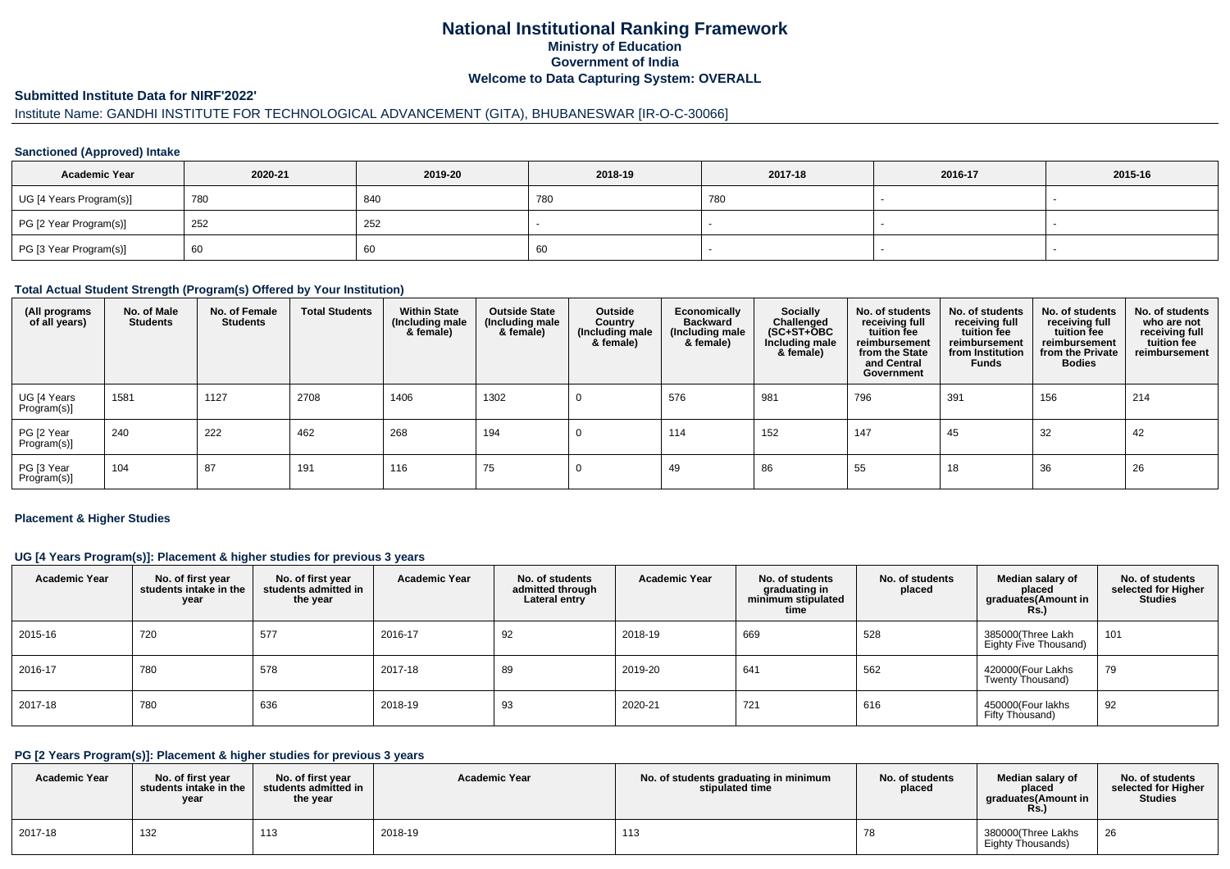# **National Institutional Ranking FrameworkMinistry of Education Government of IndiaWelcome to Data Capturing System: OVERALL**

#### **Submitted Institute Data for NIRF'2022'**

# Institute Name: GANDHI INSTITUTE FOR TECHNOLOGICAL ADVANCEMENT (GITA), BHUBANESWAR [IR-O-C-30066]

### **Sanctioned (Approved) Intake**

| <b>Academic Year</b>    | 2020-21 | 2019-20 | 2018-19 | 2017-18 | 2016-17 | 2015-16 |
|-------------------------|---------|---------|---------|---------|---------|---------|
| UG [4 Years Program(s)] | 780     | 840     | 780     | 780     |         |         |
| PG [2 Year Program(s)]  | 252     | 252     |         |         |         |         |
| PG [3 Year Program(s)]  | 60      | υU      | 60      |         |         |         |

#### **Total Actual Student Strength (Program(s) Offered by Your Institution)**

| (All programs<br>of all years) | No. of Male<br><b>Students</b> | No. of Female<br><b>Students</b> | <b>Total Students</b> | <b>Within State</b><br>(Including male<br>& female) | <b>Outside State</b><br>(Including male<br>& female) | Outside<br>Country<br>(Including male<br>& female) | Economically<br><b>Backward</b><br>(Including male<br>& female) | <b>Socially</b><br>Challenged<br>$(SC+ST+\text{O}BC)$<br>Including male<br>& female) | No. of students<br>receiving full<br>tuition fee<br>reimbursement<br>from the State<br>and Central<br>Government | No. of students<br>receiving full<br>tuition fee<br>reimbursement<br>from Institution<br><b>Funds</b> | No. of students<br>receiving full<br>tuition fee<br>reimbursement<br>from the Private<br><b>Bodies</b> | No. of students<br>who are not<br>receiving full<br>tuition fee<br>reimbursement |
|--------------------------------|--------------------------------|----------------------------------|-----------------------|-----------------------------------------------------|------------------------------------------------------|----------------------------------------------------|-----------------------------------------------------------------|--------------------------------------------------------------------------------------|------------------------------------------------------------------------------------------------------------------|-------------------------------------------------------------------------------------------------------|--------------------------------------------------------------------------------------------------------|----------------------------------------------------------------------------------|
| UG [4 Years<br>Program(s)]     | 1581                           | 1127                             | 2708                  | 1406                                                | 1302                                                 |                                                    | 576                                                             | 981                                                                                  | 796                                                                                                              | 391                                                                                                   | 156                                                                                                    | 214                                                                              |
| PG [2 Year<br>Program(s)]      | 240                            | 222                              | 462                   | 268                                                 | 194                                                  |                                                    | 114                                                             | 152                                                                                  | 147                                                                                                              | 45                                                                                                    | 32                                                                                                     | 42                                                                               |
| PG [3 Year<br>Program(s)]      | 104                            | 87                               | 191                   | 116                                                 | 75                                                   |                                                    | 49                                                              | 86                                                                                   | 55                                                                                                               | 18                                                                                                    | 36                                                                                                     | 26                                                                               |

#### **Placement & Higher Studies**

### **UG [4 Years Program(s)]: Placement & higher studies for previous 3 years**

| <b>Academic Year</b> | No. of first year<br>students intake in the<br>year | No. of first year<br>students admitted in<br>the year | <b>Academic Year</b> | No. of students<br>admitted through<br>Lateral entry | <b>Academic Year</b> | No. of students<br>graduating in<br>minimum stipulated<br>time | No. of students<br>placed | Median salary of<br>placed<br>graduates(Amount in<br><b>Rs.)</b> | No. of students<br>selected for Higher<br><b>Studies</b> |
|----------------------|-----------------------------------------------------|-------------------------------------------------------|----------------------|------------------------------------------------------|----------------------|----------------------------------------------------------------|---------------------------|------------------------------------------------------------------|----------------------------------------------------------|
| 2015-16              | 720                                                 | 577                                                   | 2016-17              | 92                                                   | 2018-19              | 669                                                            | 528                       | 385000(Three Lakh<br>Eighty Five Thousand)                       | 101                                                      |
| 2016-17              | 780                                                 | 578                                                   | 2017-18              | 89                                                   | 2019-20              | 641                                                            | 562                       | 420000(Four Lakhs<br>Twenty Thousand)                            | 79                                                       |
| 2017-18              | 780                                                 | 636                                                   | 2018-19              | 93                                                   | 2020-21              | 721                                                            | 616                       | 450000(Four lakhs<br>Fifty Thousand)                             | 92                                                       |

# **PG [2 Years Program(s)]: Placement & higher studies for previous 3 years**

| <b>Academic Year</b> | No. of first year<br>students intake in the<br>year | No. of first year<br>students admitted in<br>the year | <b>Academic Year</b> | No. of students graduating in minimum<br>stipulated time | No. of students<br>placed | Median salary of<br>placed<br>araduates(Amount in<br>Rs. | No. of students<br>selected for Higher<br>Studies |
|----------------------|-----------------------------------------------------|-------------------------------------------------------|----------------------|----------------------------------------------------------|---------------------------|----------------------------------------------------------|---------------------------------------------------|
| 2017-18              | 132                                                 | 113<br>ں ا                                            | 2018-19              | 113                                                      | 78                        | 380000(Three Lakhs<br>Eighty Thousands)                  | 26                                                |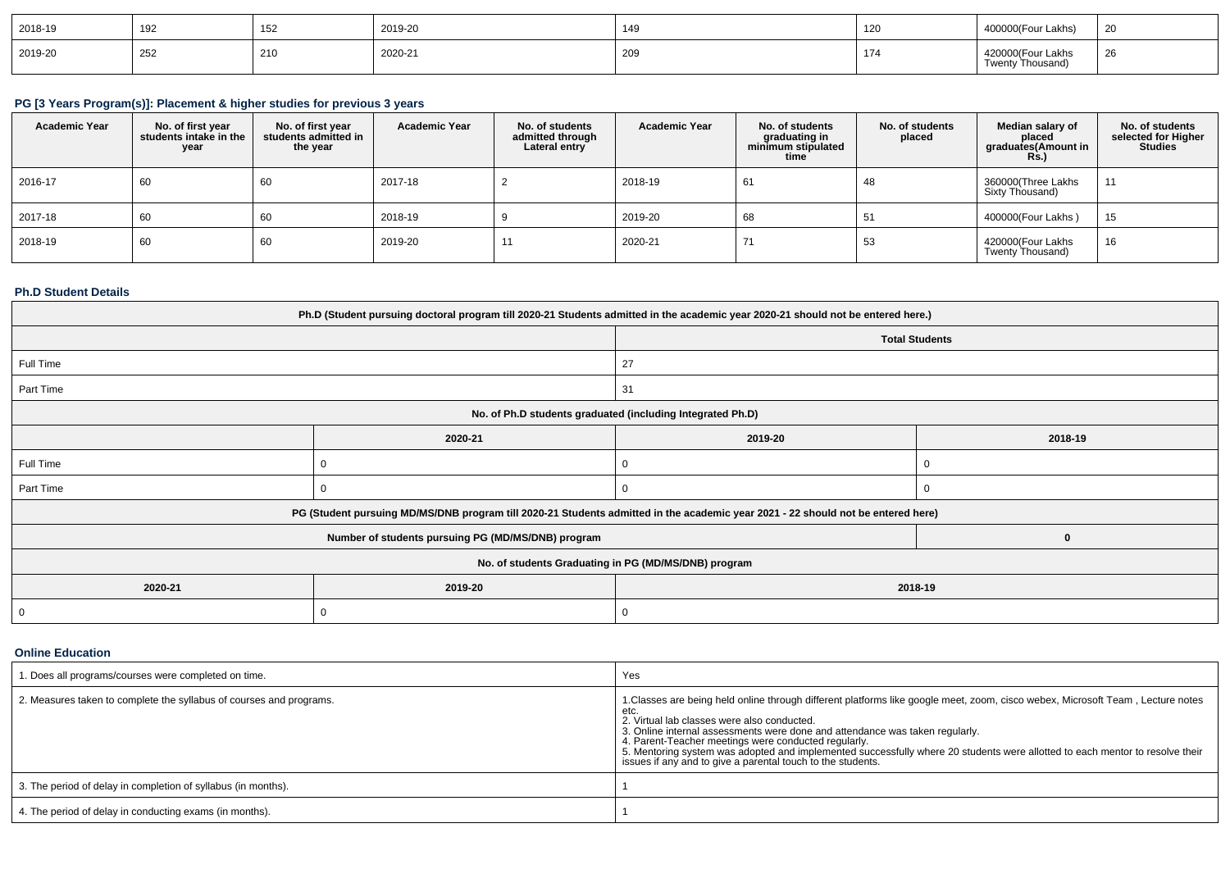| 2018-19 | 192 | 152<br>ے ں ا | 2019-20 | 149 | 120 | 400000(Four Lakhs)                              | 20 |
|---------|-----|--------------|---------|-----|-----|-------------------------------------------------|----|
| 2019-20 | 252 | 210          | 2020-21 | 209 | 174 | 420000(Four Lakhs<br>Thousand)<br><b>Twenty</b> | 26 |

### **PG [3 Years Program(s)]: Placement & higher studies for previous 3 years**

| <b>Academic Year</b> | No. of first year<br>students intake in the<br>year | No. of first vear<br>students admitted in<br>the year | <b>Academic Year</b> | No. of students<br>admitted through<br>Lateral entry | <b>Academic Year</b> | No. of students<br>graduating in<br>minimum stipulated<br>time | No. of students<br>placed | Median salary of<br>placed<br>graduates(Amount in<br>KS.) | No. of students<br>selected for Higher<br><b>Studies</b> |
|----------------------|-----------------------------------------------------|-------------------------------------------------------|----------------------|------------------------------------------------------|----------------------|----------------------------------------------------------------|---------------------------|-----------------------------------------------------------|----------------------------------------------------------|
| 2016-17              | 60                                                  | 60                                                    | 2017-18              |                                                      | 2018-19              | 61                                                             | 48                        | 360000(Three Lakhs<br>Sixty Thousand)                     | 11                                                       |
| 2017-18              | 60                                                  | 60                                                    | 2018-19              |                                                      | 2019-20              | 68                                                             | 51                        | 400000(Four Lakhs)                                        | 15                                                       |
| 2018-19              | 60                                                  | 60                                                    | 2019-20              | $\ddot{\phantom{1}}$                                 | 2020-21              | $\rightarrow$                                                  | 53                        | 420000(Four Lakhs<br>Twenty Thousand)                     | 16                                                       |

### **Ph.D Student Details**

| Ph.D (Student pursuing doctoral program till 2020-21 Students admitted in the academic year 2020-21 should not be entered here.) |                                                                                                                                  |                       |         |  |  |  |  |
|----------------------------------------------------------------------------------------------------------------------------------|----------------------------------------------------------------------------------------------------------------------------------|-----------------------|---------|--|--|--|--|
|                                                                                                                                  |                                                                                                                                  | <b>Total Students</b> |         |  |  |  |  |
| Full Time                                                                                                                        |                                                                                                                                  | 27                    |         |  |  |  |  |
| Part Time                                                                                                                        |                                                                                                                                  | 31                    |         |  |  |  |  |
| No. of Ph.D students graduated (including Integrated Ph.D)                                                                       |                                                                                                                                  |                       |         |  |  |  |  |
|                                                                                                                                  | 2020-21                                                                                                                          | 2019-20               | 2018-19 |  |  |  |  |
| Full Time                                                                                                                        |                                                                                                                                  |                       |         |  |  |  |  |
| Part Time                                                                                                                        | U                                                                                                                                | U                     | 0       |  |  |  |  |
|                                                                                                                                  | PG (Student pursuing MD/MS/DNB program till 2020-21 Students admitted in the academic year 2021 - 22 should not be entered here) |                       |         |  |  |  |  |
|                                                                                                                                  | Number of students pursuing PG (MD/MS/DNB) program                                                                               |                       | 0       |  |  |  |  |
| No. of students Graduating in PG (MD/MS/DNB) program                                                                             |                                                                                                                                  |                       |         |  |  |  |  |
| 2020-21                                                                                                                          | 2018-19                                                                                                                          |                       |         |  |  |  |  |
| 0                                                                                                                                |                                                                                                                                  |                       |         |  |  |  |  |

**Online Education**

| 1. Does all programs/courses were completed on time.                | Yes                                                                                                                                                                                                                                                                                                                                                                                                                                                                                                                           |
|---------------------------------------------------------------------|-------------------------------------------------------------------------------------------------------------------------------------------------------------------------------------------------------------------------------------------------------------------------------------------------------------------------------------------------------------------------------------------------------------------------------------------------------------------------------------------------------------------------------|
| 2. Measures taken to complete the syllabus of courses and programs. | 1. Classes are being held online through different platforms like google meet, zoom, cisco webex, Microsoft Team, Lecture notes<br>etc.<br>2. Virtual lab classes were also conducted.<br>3. Online internal assessments were done and attendance was taken regularly.<br>4. Parent-Teacher meetings were conducted regularly.<br>5. Mentoring system was adopted and implemented successfully where 20 students were allotted to each mentor to resolve their<br>issues if any and to give a parental touch to the students. |
| 3. The period of delay in completion of syllabus (in months).       |                                                                                                                                                                                                                                                                                                                                                                                                                                                                                                                               |
| 4. The period of delay in conducting exams (in months).             |                                                                                                                                                                                                                                                                                                                                                                                                                                                                                                                               |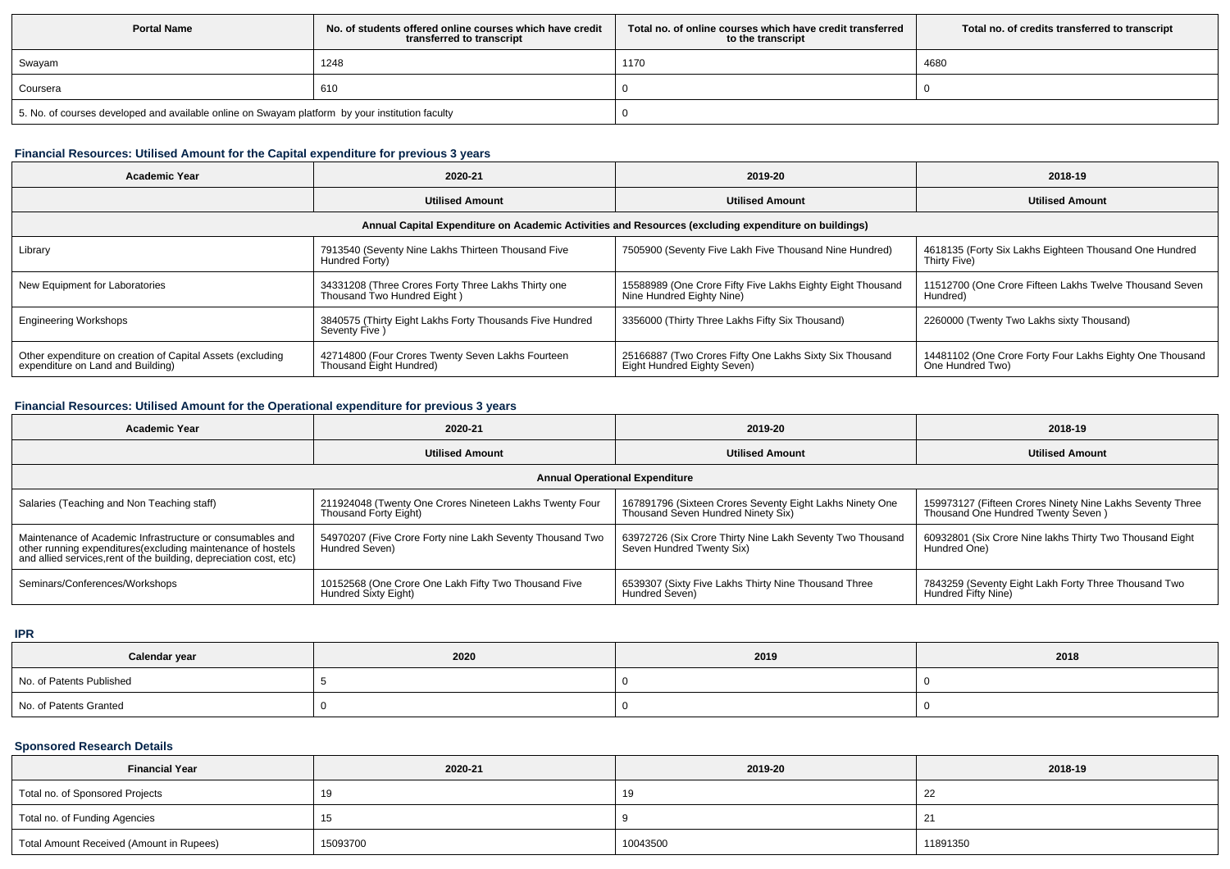| <b>Portal Name</b>                                                                              | No, of students offered online courses which have credit<br>transferred to transcript | Total no. of online courses which have credit transferred<br>to the transcript | Total no. of credits transferred to transcript |  |  |
|-------------------------------------------------------------------------------------------------|---------------------------------------------------------------------------------------|--------------------------------------------------------------------------------|------------------------------------------------|--|--|
| Swayam                                                                                          | 1248                                                                                  | 1170                                                                           | 4680                                           |  |  |
| Coursera                                                                                        | 610                                                                                   |                                                                                |                                                |  |  |
| 5. No. of courses developed and available online on Swayam platform by your institution faculty |                                                                                       |                                                                                |                                                |  |  |

### **Financial Resources: Utilised Amount for the Capital expenditure for previous 3 years**

| 2020-21<br><b>Academic Year</b>                                                                      |                                                                                    | 2019-20                                                                                 | 2018-19                                                                      |  |  |  |  |  |  |
|------------------------------------------------------------------------------------------------------|------------------------------------------------------------------------------------|-----------------------------------------------------------------------------------------|------------------------------------------------------------------------------|--|--|--|--|--|--|
|                                                                                                      | <b>Utilised Amount</b>                                                             | <b>Utilised Amount</b>                                                                  | <b>Utilised Amount</b>                                                       |  |  |  |  |  |  |
| Annual Capital Expenditure on Academic Activities and Resources (excluding expenditure on buildings) |                                                                                    |                                                                                         |                                                                              |  |  |  |  |  |  |
| Library                                                                                              | 7913540 (Seventy Nine Lakhs Thirteen Thousand Five<br>Hundred Forty)               | 7505900 (Seventy Five Lakh Five Thousand Nine Hundred)                                  | 4618135 (Forty Six Lakhs Eighteen Thousand One Hundred<br>Thirty Five)       |  |  |  |  |  |  |
| New Equipment for Laboratories                                                                       | 34331208 (Three Crores Forty Three Lakhs Thirty one<br>Thousand Two Hundred Eight) | 15588989 (One Crore Fifty Five Lakhs Eighty Eight Thousand<br>Nine Hundred Eighty Nine) | 11512700 (One Crore Fifteen Lakhs Twelve Thousand Seven<br>Hundred)          |  |  |  |  |  |  |
| <b>Engineering Workshops</b>                                                                         | 3840575 (Thirty Eight Lakhs Forty Thousands Five Hundred<br>Seventy Five)          | 3356000 (Thirty Three Lakhs Fifty Six Thousand)                                         | 2260000 (Twenty Two Lakhs sixty Thousand)                                    |  |  |  |  |  |  |
| Other expenditure on creation of Capital Assets (excluding<br>expenditure on Land and Building)      | 42714800 (Four Crores Twenty Seven Lakhs Fourteen<br>Thousand Eight Hundred)       | 25166887 (Two Crores Fifty One Lakhs Sixty Six Thousand<br>Eight Hundred Eighty Seven)  | 14481102 (One Crore Forty Four Lakhs Eighty One Thousand<br>One Hundred Two) |  |  |  |  |  |  |

# **Financial Resources: Utilised Amount for the Operational expenditure for previous 3 years**

| Academic Year                                                                                                                                                                                   | 2020-21                                                                          | 2019-20                                                                                        | 2018-19                                                                                         |  |  |  |  |  |
|-------------------------------------------------------------------------------------------------------------------------------------------------------------------------------------------------|----------------------------------------------------------------------------------|------------------------------------------------------------------------------------------------|-------------------------------------------------------------------------------------------------|--|--|--|--|--|
|                                                                                                                                                                                                 | <b>Utilised Amount</b>                                                           | <b>Utilised Amount</b>                                                                         | <b>Utilised Amount</b>                                                                          |  |  |  |  |  |
| <b>Annual Operational Expenditure</b>                                                                                                                                                           |                                                                                  |                                                                                                |                                                                                                 |  |  |  |  |  |
| Salaries (Teaching and Non Teaching staff)                                                                                                                                                      | 211924048 (Twenty One Crores Nineteen Lakhs Twenty Four<br>Thousand Forty Eight) | 167891796 (Sixteen Crores Seventy Eight Lakhs Ninety One<br>Thousand Seven Hundred Ninety Six) | 159973127 (Fifteen Crores Ninety Nine Lakhs Seventy Three<br>Thousand One Hundred Twenty Seven) |  |  |  |  |  |
| Maintenance of Academic Infrastructure or consumables and<br>other running expenditures (excluding maintenance of hostels<br>and allied services, rent of the building, depreciation cost, etc) | 54970207 (Five Crore Forty nine Lakh Seventy Thousand Two<br>Hundred Seven)      | 63972726 (Six Crore Thirty Nine Lakh Seventy Two Thousand<br>Seven Hundred Twenty Six)         | 60932801 (Six Crore Nine lakhs Thirty Two Thousand Eight<br>Hundred One)                        |  |  |  |  |  |
| Seminars/Conferences/Workshops                                                                                                                                                                  | 10152568 (One Crore One Lakh Fifty Two Thousand Five<br>Hundred Sixty Eight)     | 6539307 (Sixty Five Lakhs Thirty Nine Thousand Three<br>Hundred Seven)                         | 7843259 (Seventy Eight Lakh Forty Three Thousand Two<br>Hundred Fifty Nine)                     |  |  |  |  |  |

**IPR**

| Calendar year            | 2020 | 2019 | 2018 |
|--------------------------|------|------|------|
| No. of Patents Published |      |      |      |
| No. of Patents Granted   |      |      |      |

## **Sponsored Research Details**

| <b>Financial Year</b>                    | 2020-21  | 2019-20  | 2018-19  |
|------------------------------------------|----------|----------|----------|
| Total no. of Sponsored Projects          | 19       | 19       | -22      |
| Total no. of Funding Agencies            | 15       |          |          |
| Total Amount Received (Amount in Rupees) | 15093700 | 10043500 | 11891350 |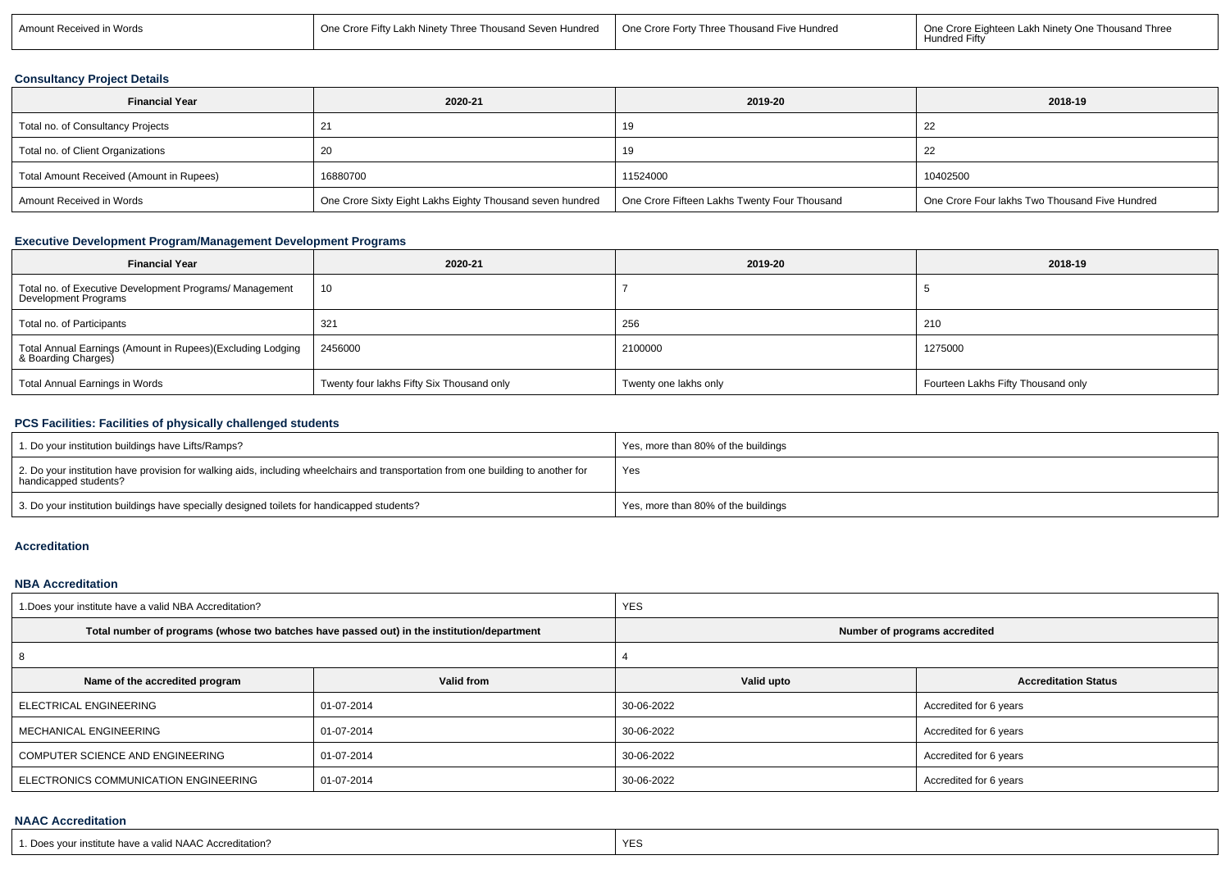| in Words<br>Amoun<br>int Received | Fifty Lakh Ninety<br>e Crore l<br>∕ Three Thousand Seven Hundred | One Crore Forty<br>Forty Three Thousand Five Hundred | ∵h Ninet∖<br>One<br>nd Thre<br>$\cdot$ rota $\Box$<br>∴nhte<br>Hundred<br>- itt |
|-----------------------------------|------------------------------------------------------------------|------------------------------------------------------|---------------------------------------------------------------------------------|
|                                   |                                                                  |                                                      |                                                                                 |

### **Consultancy Project Details**

| <b>Financial Year</b>                    | 2020-21                                                   | 2019-20                                      | 2018-19                                        |  |
|------------------------------------------|-----------------------------------------------------------|----------------------------------------------|------------------------------------------------|--|
| Total no. of Consultancy Projects        |                                                           |                                              |                                                |  |
| Total no. of Client Organizations        |                                                           |                                              |                                                |  |
| Total Amount Received (Amount in Rupees) | 16880700                                                  | 11524000                                     | 10402500                                       |  |
| Amount Received in Words                 | One Crore Sixty Eight Lakhs Eighty Thousand seven hundred | One Crore Fifteen Lakhs Twenty Four Thousand | One Crore Four lakhs Two Thousand Five Hundred |  |

### **Executive Development Program/Management Development Programs**

| <b>Financial Year</b>                                                             | 2020-21                                   | 2019-20               | 2018-19                            |  |
|-----------------------------------------------------------------------------------|-------------------------------------------|-----------------------|------------------------------------|--|
| Total no. of Executive Development Programs/ Management<br>Development Programs   | - 10                                      |                       |                                    |  |
| Total no. of Participants                                                         | 321                                       | 256                   | 210                                |  |
| Total Annual Earnings (Amount in Rupees)(Excluding Lodging<br>& Boarding Charges) | 2456000                                   | 2100000               | 1275000                            |  |
| Total Annual Earnings in Words                                                    | Twenty four lakhs Fifty Six Thousand only | Twenty one lakhs only | Fourteen Lakhs Fifty Thousand only |  |

## **PCS Facilities: Facilities of physically challenged students**

| 1. Do your institution buildings have Lifts/Ramps?                                                                                                         | Yes, more than 80% of the buildings |
|------------------------------------------------------------------------------------------------------------------------------------------------------------|-------------------------------------|
| 2. Do your institution have provision for walking aids, including wheelchairs and transportation from one building to another for<br>handicapped students? | Yes                                 |
| 3. Do your institution buildings have specially designed toilets for handicapped students?                                                                 | Yes, more than 80% of the buildings |

#### **Accreditation**

### **NBA Accreditation**

| 1. Does your institute have a valid NBA Accreditation? |                                                                                            | <b>YES</b>                    |                             |  |
|--------------------------------------------------------|--------------------------------------------------------------------------------------------|-------------------------------|-----------------------------|--|
|                                                        | Total number of programs (whose two batches have passed out) in the institution/department | Number of programs accredited |                             |  |
|                                                        |                                                                                            |                               |                             |  |
| Name of the accredited program                         | Valid from                                                                                 | Valid upto                    | <b>Accreditation Status</b> |  |
| ELECTRICAL ENGINEERING                                 | 01-07-2014                                                                                 | 30-06-2022                    | Accredited for 6 years      |  |
| MECHANICAL ENGINEERING                                 | 01-07-2014                                                                                 | 30-06-2022                    | Accredited for 6 years      |  |
| COMPUTER SCIENCE AND ENGINEERING                       | 01-07-2014                                                                                 | 30-06-2022                    | Accredited for 6 years      |  |
| ELECTRONICS COMMUNICATION ENGINEERING                  | 01-07-2014                                                                                 | 30-06-2022                    | Accredited for 6 years      |  |

### **NAAC Accreditation**

| 1. Does your institute have a valid NAAC Accreditation? | <b>YES</b> |
|---------------------------------------------------------|------------|
|---------------------------------------------------------|------------|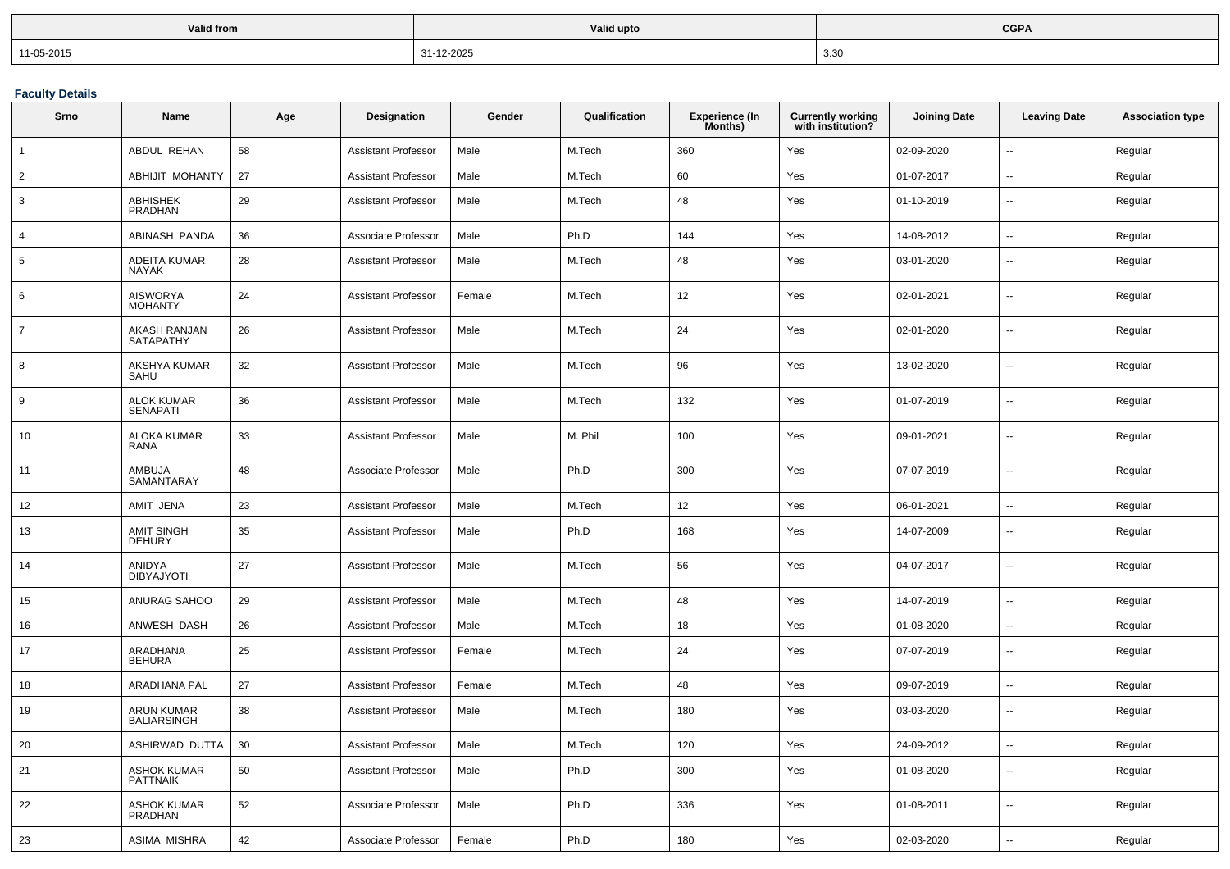| <b>Valid from</b> | <b>Valid upto</b> | <b>CGPA</b>                          |
|-------------------|-------------------|--------------------------------------|
| $11-05-2015$      | 31-12-2025        | ર રા<br>.ບ.ບ<br>$\sim$ $\sim$ $\sim$ |

**Faculty Details**

| Srno           | Name                                    | Age | Designation                | Gender | Qualification | Experience (In<br>Months) | <b>Currently working</b><br>with institution? | <b>Joining Date</b> | <b>Leaving Date</b>      | <b>Association type</b> |
|----------------|-----------------------------------------|-----|----------------------------|--------|---------------|---------------------------|-----------------------------------------------|---------------------|--------------------------|-------------------------|
| $\mathbf{1}$   | ABDUL REHAN                             | 58  | <b>Assistant Professor</b> | Male   | M.Tech        | 360                       | Yes                                           | 02-09-2020          | $\sim$                   | Regular                 |
| $\overline{2}$ | ABHIJIT MOHANTY                         | 27  | Assistant Professor        | Male   | M.Tech        | 60                        | Yes                                           | 01-07-2017          | $\overline{\phantom{a}}$ | Regular                 |
| 3              | ABHISHEK<br>PRADHAN                     | 29  | <b>Assistant Professor</b> | Male   | M.Tech        | 48                        | Yes                                           | 01-10-2019          | $\overline{\phantom{a}}$ | Regular                 |
| $\overline{4}$ | ABINASH PANDA                           | 36  | Associate Professor        | Male   | Ph.D          | 144                       | Yes                                           | 14-08-2012          | $\ddotsc$                | Regular                 |
| 5              | ADEITA KUMAR<br><b>NAYAK</b>            | 28  | <b>Assistant Professor</b> | Male   | M.Tech        | 48                        | Yes                                           | 03-01-2020          | $\overline{\phantom{a}}$ | Regular                 |
| 6              | AISWORYA<br>MOHANTY                     | 24  | Assistant Professor        | Female | M.Tech        | 12                        | Yes                                           | 02-01-2021          | $\overline{\phantom{a}}$ | Regular                 |
| $\overline{7}$ | <b>AKASH RANJAN</b><br>SATAPATHY        | 26  | <b>Assistant Professor</b> | Male   | M.Tech        | 24                        | Yes                                           | 02-01-2020          | $\ddotsc$                | Regular                 |
| 8              | AKSHYA KUMAR<br>SAHU                    | 32  | Assistant Professor        | Male   | M.Tech        | 96                        | Yes                                           | 13-02-2020          | $\overline{\phantom{a}}$ | Regular                 |
| 9              | <b>ALOK KUMAR</b><br><b>SENAPATI</b>    | 36  | <b>Assistant Professor</b> | Male   | M.Tech        | 132                       | Yes                                           | 01-07-2019          | $\overline{\phantom{a}}$ | Regular                 |
| 10             | <b>ALOKA KUMAR</b><br><b>RANA</b>       | 33  | Assistant Professor        | Male   | M. Phil       | 100                       | Yes                                           | 09-01-2021          | $\sim$                   | Regular                 |
| 11             | AMBUJA<br>SAMANTARAY                    | 48  | Associate Professor        | Male   | Ph.D          | 300                       | Yes                                           | 07-07-2019          | $\sim$                   | Regular                 |
| 12             | AMIT JENA                               | 23  | Assistant Professor        | Male   | M.Tech        | 12                        | Yes                                           | 06-01-2021          | $\ddotsc$                | Regular                 |
| 13             | <b>AMIT SINGH</b><br><b>DEHURY</b>      | 35  | Assistant Professor        | Male   | Ph.D          | 168                       | Yes                                           | 14-07-2009          | $\sim$                   | Regular                 |
| 14             | ANIDYA<br><b>DIBYAJYOTI</b>             | 27  | <b>Assistant Professor</b> | Male   | M.Tech        | 56                        | Yes                                           | 04-07-2017          | $\sim$                   | Regular                 |
| 15             | ANURAG SAHOO                            | 29  | Assistant Professor        | Male   | M.Tech        | 48                        | Yes                                           | 14-07-2019          | $\sim$                   | Regular                 |
| 16             | ANWESH DASH                             | 26  | Assistant Professor        | Male   | M.Tech        | 18                        | Yes                                           | 01-08-2020          | $\sim$                   | Regular                 |
| 17             | ARADHANA<br><b>BEHURA</b>               | 25  | Assistant Professor        | Female | M.Tech        | 24                        | Yes                                           | 07-07-2019          | $\sim$                   | Regular                 |
| 18             | ARADHANA PAL                            | 27  | Assistant Professor        | Female | M.Tech        | 48                        | Yes                                           | 09-07-2019          | $\sim$                   | Regular                 |
| 19             | <b>ARUN KUMAR</b><br><b>BALIARSINGH</b> | 38  | <b>Assistant Professor</b> | Male   | M.Tech        | 180                       | Yes                                           | 03-03-2020          | $\sim$                   | Regular                 |
| 20             | ASHIRWAD DUTTA                          | 30  | <b>Assistant Professor</b> | Male   | M.Tech        | 120                       | Yes                                           | 24-09-2012          | $\sim$                   | Regular                 |
| 21             | <b>ASHOK KUMAR</b><br><b>PATTNAIK</b>   | 50  | <b>Assistant Professor</b> | Male   | Ph.D          | 300                       | Yes                                           | 01-08-2020          | $\sim$                   | Regular                 |
| 22             | <b>ASHOK KUMAR</b><br><b>PRADHAN</b>    | 52  | Associate Professor        | Male   | Ph.D          | 336                       | Yes                                           | 01-08-2011          | $\overline{\phantom{a}}$ | Regular                 |
| 23             | ASIMA MISHRA                            | 42  | Associate Professor        | Female | Ph.D          | 180                       | Yes                                           | 02-03-2020          |                          | Regular                 |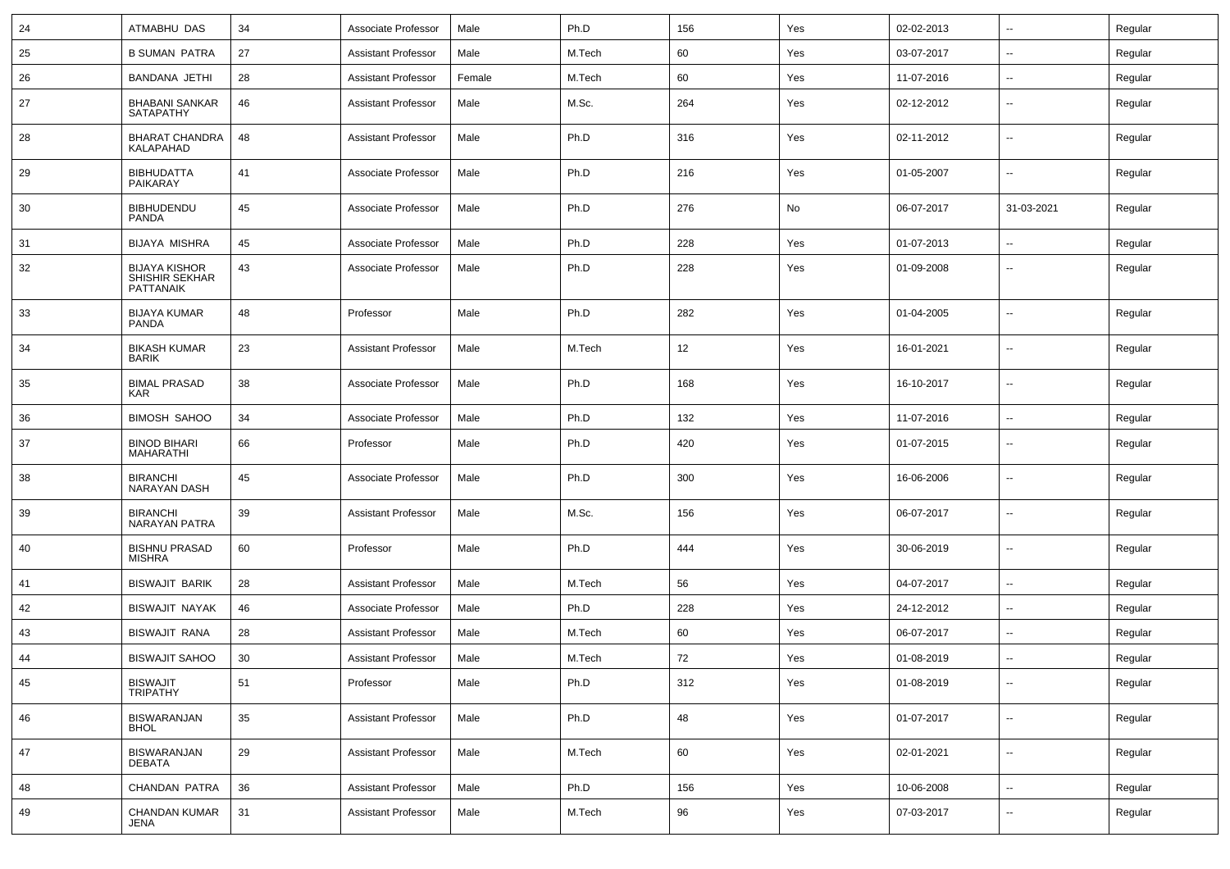| 24 | ATMABHU DAS                                         | 34 | Associate Professor        | Male   | Ph.D   | 156 | Yes | 02-02-2013 | --                       | Regular |
|----|-----------------------------------------------------|----|----------------------------|--------|--------|-----|-----|------------|--------------------------|---------|
| 25 | <b>B SUMAN PATRA</b>                                | 27 | <b>Assistant Professor</b> | Male   | M.Tech | 60  | Yes | 03-07-2017 | $\overline{\phantom{a}}$ | Regular |
| 26 | <b>BANDANA JETHI</b>                                | 28 | <b>Assistant Professor</b> | Female | M.Tech | 60  | Yes | 11-07-2016 | $\overline{\phantom{a}}$ | Regular |
| 27 | <b>BHABANI SANKAR</b><br>SATAPATHY                  | 46 | Assistant Professor        | Male   | M.Sc.  | 264 | Yes | 02-12-2012 | $\overline{\phantom{a}}$ | Regular |
| 28 | <b>BHARAT CHANDRA</b><br>KALAPAHAD                  | 48 | Assistant Professor        | Male   | Ph.D   | 316 | Yes | 02-11-2012 | --                       | Regular |
| 29 | <b>BIBHUDATTA</b><br><b>PAIKARAY</b>                | 41 | Associate Professor        | Male   | Ph.D   | 216 | Yes | 01-05-2007 | --                       | Regular |
| 30 | <b>BIBHUDENDU</b><br>PANDA                          | 45 | Associate Professor        | Male   | Ph.D   | 276 | No  | 06-07-2017 | 31-03-2021               | Regular |
| 31 | <b>BIJAYA MISHRA</b>                                | 45 | Associate Professor        | Male   | Ph.D   | 228 | Yes | 01-07-2013 | --                       | Regular |
| 32 | <b>BIJAYA KISHOR</b><br>SHISHIR SEKHAR<br>PATTANAIK | 43 | Associate Professor        | Male   | Ph.D   | 228 | Yes | 01-09-2008 | --                       | Regular |
| 33 | <b>BIJAYA KUMAR</b><br>PANDA                        | 48 | Professor                  | Male   | Ph.D   | 282 | Yes | 01-04-2005 | --                       | Regular |
| 34 | <b>BIKASH KUMAR</b><br><b>BARIK</b>                 | 23 | Assistant Professor        | Male   | M.Tech | 12  | Yes | 16-01-2021 | --                       | Regular |
| 35 | <b>BIMAL PRASAD</b><br>KAR                          | 38 | Associate Professor        | Male   | Ph.D   | 168 | Yes | 16-10-2017 | --                       | Regular |
| 36 | <b>BIMOSH SAHOO</b>                                 | 34 | Associate Professor        | Male   | Ph.D   | 132 | Yes | 11-07-2016 | $\overline{\phantom{a}}$ | Regular |
| 37 | <b>BINOD BIHARI</b><br><b>MAHARATHI</b>             | 66 | Professor                  | Male   | Ph.D   | 420 | Yes | 01-07-2015 | $\overline{\phantom{a}}$ | Regular |
| 38 | <b>BIRANCHI</b><br>NARAYAN DASH                     | 45 | Associate Professor        | Male   | Ph.D   | 300 | Yes | 16-06-2006 | $\overline{\phantom{a}}$ | Regular |
| 39 | <b>BIRANCHI</b><br><b>NARAYAN PATRA</b>             | 39 | <b>Assistant Professor</b> | Male   | M.Sc.  | 156 | Yes | 06-07-2017 | $\overline{\phantom{a}}$ | Regular |
| 40 | <b>BISHNU PRASAD</b><br><b>MISHRA</b>               | 60 | Professor                  | Male   | Ph.D   | 444 | Yes | 30-06-2019 | $\overline{\phantom{a}}$ | Regular |
| 41 | <b>BISWAJIT BARIK</b>                               | 28 | Assistant Professor        | Male   | M.Tech | 56  | Yes | 04-07-2017 | $\overline{a}$           | Regular |
| 42 | <b>BISWAJIT NAYAK</b>                               | 46 | Associate Professor        | Male   | Ph.D   | 228 | Yes | 24-12-2012 | $\sim$                   | Regular |
| 43 | <b>BISWAJIT RANA</b>                                | 28 | <b>Assistant Professor</b> | Male   | M.Tech | 60  | Yes | 06-07-2017 | $\overline{\phantom{a}}$ | Regular |
| 44 | <b>BISWAJIT SAHOO</b>                               | 30 | <b>Assistant Professor</b> | Male   | M.Tech | 72  | Yes | 01-08-2019 |                          | Regular |
| 45 | BISWAJIT<br>TRIPATHY                                | 51 | Professor                  | Male   | Ph.D   | 312 | Yes | 01-08-2019 | $\overline{\phantom{a}}$ | Regular |
| 46 | BISWARANJAN<br><b>BHOL</b>                          | 35 | <b>Assistant Professor</b> | Male   | Ph.D   | 48  | Yes | 01-07-2017 | $\sim$                   | Regular |
| 47 | <b>BISWARANJAN</b><br><b>DEBATA</b>                 | 29 | <b>Assistant Professor</b> | Male   | M.Tech | 60  | Yes | 02-01-2021 | $\sim$                   | Regular |
| 48 | CHANDAN PATRA                                       | 36 | <b>Assistant Professor</b> | Male   | Ph.D   | 156 | Yes | 10-06-2008 | $\sim$                   | Regular |
| 49 | CHANDAN KUMAR<br>JENA                               | 31 | <b>Assistant Professor</b> | Male   | M.Tech | 96  | Yes | 07-03-2017 | --                       | Regular |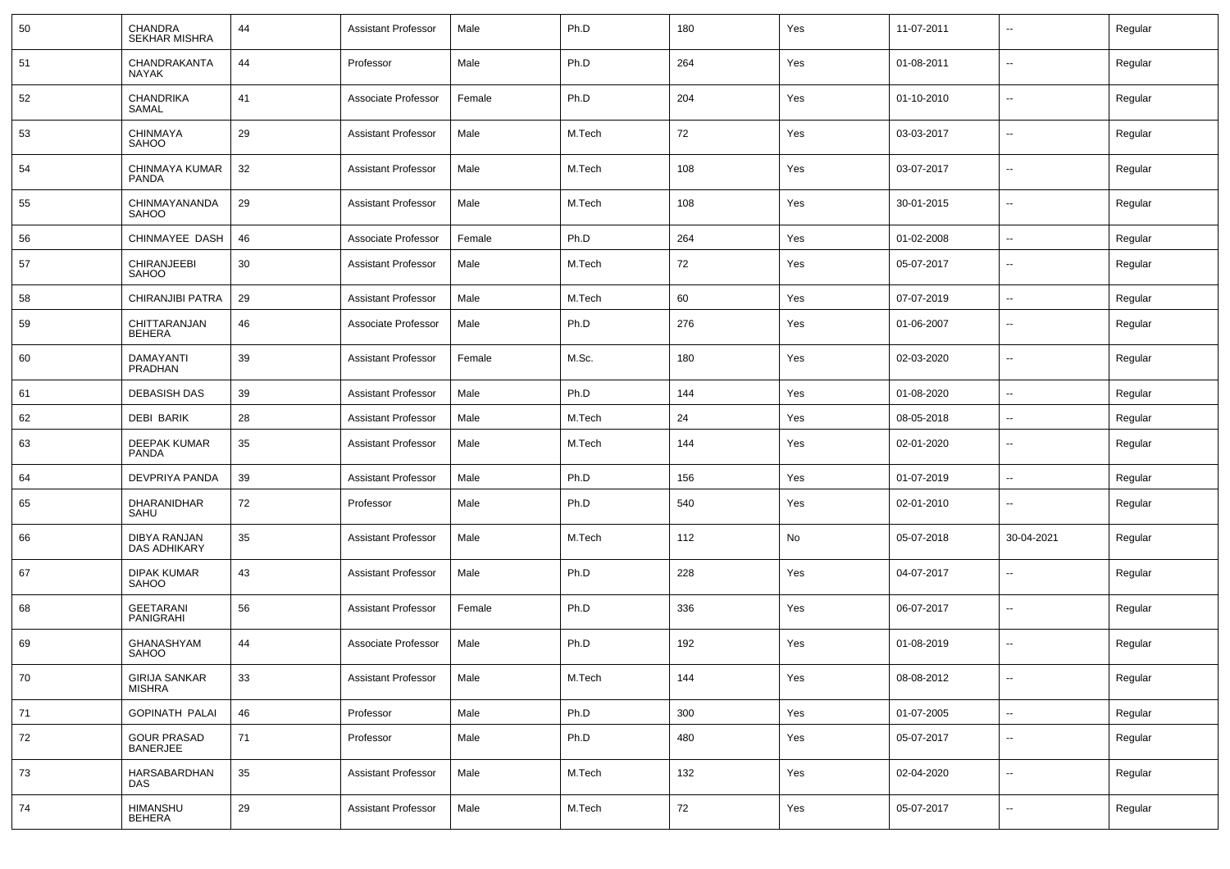| 50 | CHANDRA<br><b>SEKHAR MISHRA</b>       | 44 | <b>Assistant Professor</b> | Male   | Ph.D   | 180 | Yes | 11-07-2011 |                          | Regular |
|----|---------------------------------------|----|----------------------------|--------|--------|-----|-----|------------|--------------------------|---------|
| 51 | CHANDRAKANTA<br><b>NAYAK</b>          | 44 | Professor                  | Male   | Ph.D   | 264 | Yes | 01-08-2011 | $\sim$                   | Regular |
| 52 | CHANDRIKA<br>SAMAL                    | 41 | Associate Professor        | Female | Ph.D   | 204 | Yes | 01-10-2010 | $\sim$                   | Regular |
| 53 | CHINMAYA<br>SAHOO                     | 29 | <b>Assistant Professor</b> | Male   | M.Tech | 72  | Yes | 03-03-2017 | $\sim$                   | Regular |
| 54 | CHINMAYA KUMAR<br><b>PANDA</b>        | 32 | <b>Assistant Professor</b> | Male   | M.Tech | 108 | Yes | 03-07-2017 | $\sim$                   | Regular |
| 55 | CHINMAYANANDA<br><b>SAHOO</b>         | 29 | <b>Assistant Professor</b> | Male   | M.Tech | 108 | Yes | 30-01-2015 | $\sim$                   | Regular |
| 56 | CHINMAYEE DASH                        | 46 | Associate Professor        | Female | Ph.D   | 264 | Yes | 01-02-2008 | $\sim$                   | Regular |
| 57 | CHIRANJEEBI<br>SAHOO                  | 30 | <b>Assistant Professor</b> | Male   | M.Tech | 72  | Yes | 05-07-2017 | --                       | Regular |
| 58 | CHIRANJIBI PATRA                      | 29 | <b>Assistant Professor</b> | Male   | M.Tech | 60  | Yes | 07-07-2019 | --                       | Regular |
| 59 | CHITTARANJAN<br><b>BEHERA</b>         | 46 | Associate Professor        | Male   | Ph.D   | 276 | Yes | 01-06-2007 | $\overline{\phantom{a}}$ | Regular |
| 60 | DAMAYANTI<br>PRADHAN                  | 39 | <b>Assistant Professor</b> | Female | M.Sc.  | 180 | Yes | 02-03-2020 | $\overline{\phantom{a}}$ | Regular |
| 61 | <b>DEBASISH DAS</b>                   | 39 | <b>Assistant Professor</b> | Male   | Ph.D   | 144 | Yes | 01-08-2020 | $\overline{\phantom{a}}$ | Regular |
| 62 | <b>DEBI BARIK</b>                     | 28 | <b>Assistant Professor</b> | Male   | M.Tech | 24  | Yes | 08-05-2018 | $\overline{\phantom{a}}$ | Regular |
| 63 | DEEPAK KUMAR<br>PANDA                 | 35 | <b>Assistant Professor</b> | Male   | M.Tech | 144 | Yes | 02-01-2020 | $\overline{\phantom{a}}$ | Regular |
| 64 | DEVPRIYA PANDA                        | 39 | <b>Assistant Professor</b> | Male   | Ph.D   | 156 | Yes | 01-07-2019 | $\sim$                   | Regular |
| 65 | DHARANIDHAR<br>SAHU                   | 72 | Professor                  | Male   | Ph.D   | 540 | Yes | 02-01-2010 | $\sim$                   | Regular |
| 66 | DIBYA RANJAN<br><b>DAS ADHIKARY</b>   | 35 | <b>Assistant Professor</b> | Male   | M.Tech | 112 | No  | 05-07-2018 | 30-04-2021               | Regular |
| 67 | <b>DIPAK KUMAR</b><br><b>SAHOO</b>    | 43 | <b>Assistant Professor</b> | Male   | Ph.D   | 228 | Yes | 04-07-2017 | $\sim$                   | Regular |
| 68 | <b>GEETARANI</b><br>PANIGRAHI         | 56 | <b>Assistant Professor</b> | Female | Ph.D   | 336 | Yes | 06-07-2017 | $\sim$                   | Regular |
| 69 | GHANASHYAM<br><b>SAHOO</b>            | 44 | Associate Professor        | Male   | Ph.D   | 192 | Yes | 01-08-2019 | $\sim$                   | Regular |
| 70 | GIRIJA SANKAR<br>MISHRA               | 33 | <b>Assistant Professor</b> | Male   | M.Tech | 144 | Yes | 08-08-2012 | $\sim$                   | Regular |
| 71 | <b>GOPINATH PALAI</b>                 | 46 | Professor                  | Male   | Ph.D   | 300 | Yes | 01-07-2005 | $\sim$                   | Regular |
| 72 | <b>GOUR PRASAD</b><br><b>BANERJEE</b> | 71 | Professor                  | Male   | Ph.D   | 480 | Yes | 05-07-2017 | $\sim$                   | Regular |
| 73 | HARSABARDHAN<br><b>DAS</b>            | 35 | <b>Assistant Professor</b> | Male   | M.Tech | 132 | Yes | 02-04-2020 | $\sim$                   | Regular |
| 74 | HIMANSHU<br>BEHERA                    | 29 | <b>Assistant Professor</b> | Male   | M.Tech | 72  | Yes | 05-07-2017 | $\overline{\phantom{a}}$ | Regular |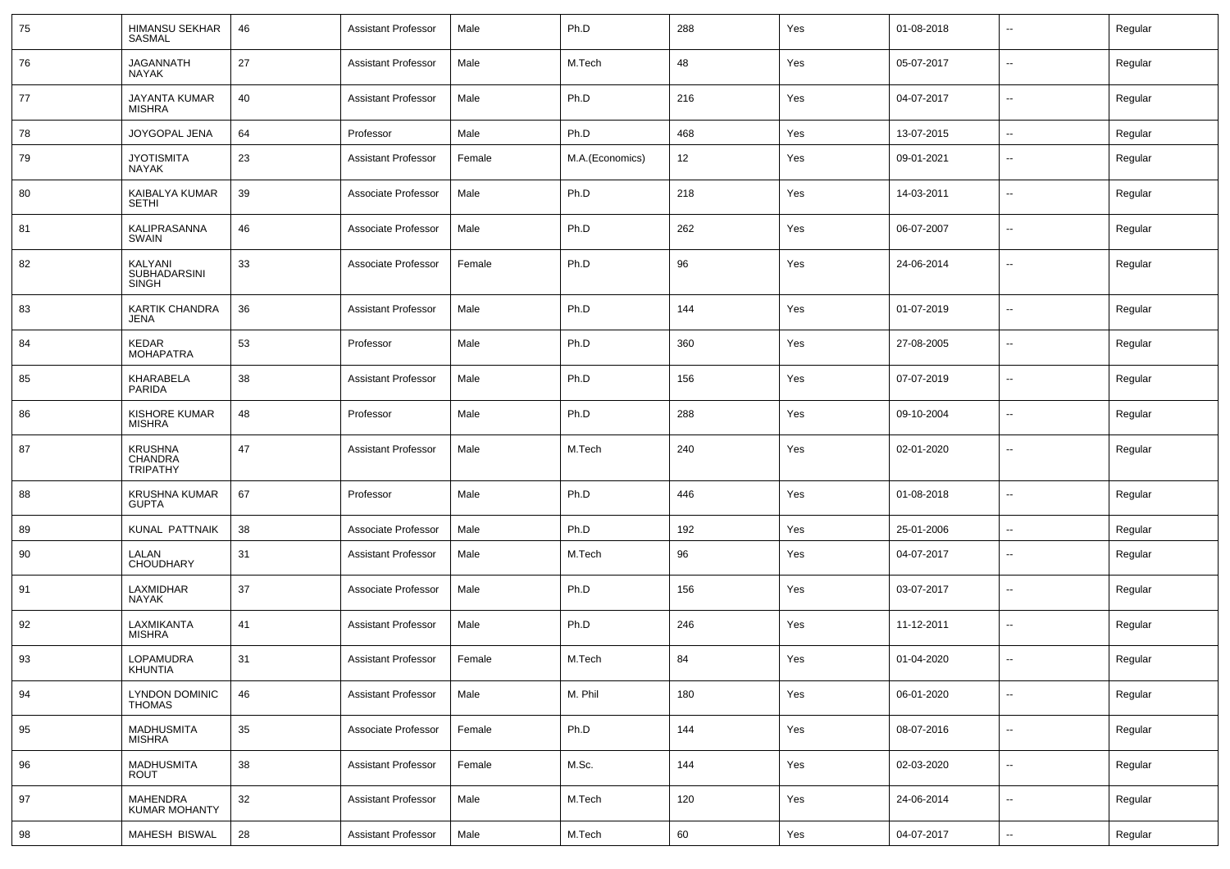| 75 | HIMANSU SEKHAR<br><b>SASMAL</b>              | 46         | Assistant Professor        | Male   | Ph.D            | 288 | Yes | 01-08-2018 | $\overline{\phantom{a}}$ | Regular |
|----|----------------------------------------------|------------|----------------------------|--------|-----------------|-----|-----|------------|--------------------------|---------|
| 76 | <b>JAGANNATH</b><br><b>NAYAK</b>             | 27         | Assistant Professor        | Male   | M.Tech          | 48  | Yes | 05-07-2017 | $\overline{\phantom{a}}$ | Regular |
| 77 | <b>JAYANTA KUMAR</b><br><b>MISHRA</b>        | 40         | Assistant Professor        | Male   | Ph.D            | 216 | Yes | 04-07-2017 | $\overline{\phantom{a}}$ | Regular |
| 78 | JOYGOPAL JENA                                | 64         | Professor                  | Male   | Ph.D            | 468 | Yes | 13-07-2015 | $\sim$                   | Regular |
| 79 | <b>JYOTISMITA</b><br>NAYAK                   | 23         | Assistant Professor        | Female | M.A.(Economics) | 12  | Yes | 09-01-2021 | $\overline{\phantom{a}}$ | Regular |
| 80 | KAIBALYA KUMAR<br><b>SETHI</b>               | 39         | Associate Professor        | Male   | Ph.D            | 218 | Yes | 14-03-2011 | $\overline{\phantom{a}}$ | Regular |
| 81 | KALIPRASANNA<br><b>SWAIN</b>                 | 46         | Associate Professor        | Male   | Ph.D            | 262 | Yes | 06-07-2007 | $\overline{\phantom{a}}$ | Regular |
| 82 | KALYANI<br>SUBHADARSINI<br><b>SINGH</b>      | 33         | Associate Professor        | Female | Ph.D            | 96  | Yes | 24-06-2014 | $\overline{\phantom{a}}$ | Regular |
| 83 | <b>KARTIK CHANDRA</b><br>JENA                | 36         | Assistant Professor        | Male   | Ph.D            | 144 | Yes | 01-07-2019 | $\overline{\phantom{a}}$ | Regular |
| 84 | KEDAR<br><b>MOHAPATRA</b>                    | 53         | Professor                  | Male   | Ph.D            | 360 | Yes | 27-08-2005 | $\overline{\phantom{a}}$ | Regular |
| 85 | KHARABELA<br>PARIDA                          | 38         | Assistant Professor        | Male   | Ph.D            | 156 | Yes | 07-07-2019 | $\overline{\phantom{a}}$ | Regular |
| 86 | <b>KISHORE KUMAR</b><br><b>MISHRA</b>        | 48         | Professor                  | Male   | Ph.D            | 288 | Yes | 09-10-2004 | $\overline{\phantom{a}}$ | Regular |
| 87 | <b>KRUSHNA</b><br>CHANDRA<br><b>TRIPATHY</b> | 47         | Assistant Professor        | Male   | M.Tech          | 240 | Yes | 02-01-2020 | $\overline{\phantom{a}}$ | Regular |
| 88 | KRUSHNA KUMAR<br><b>GUPTA</b>                | 67         | Professor                  | Male   | Ph.D            | 446 | Yes | 01-08-2018 | $\sim$                   | Regular |
| 89 | KUNAL PATTNAIK                               | 38         | Associate Professor        | Male   | Ph.D            | 192 | Yes | 25-01-2006 | $\overline{\phantom{a}}$ | Regular |
| 90 | LALAN<br><b>CHOUDHARY</b>                    | 31         | <b>Assistant Professor</b> | Male   | M.Tech          | 96  | Yes | 04-07-2017 | $\overline{\phantom{a}}$ | Regular |
| 91 | LAXMIDHAR<br><b>NAYAK</b>                    | 37         | Associate Professor        | Male   | Ph.D            | 156 | Yes | 03-07-2017 | $\overline{\phantom{a}}$ | Regular |
| 92 | LAXMIKANTA<br>MISHRA                         | 41         | <b>Assistant Professor</b> | Male   | Ph.D            | 246 | Yes | 11-12-2011 | $\overline{\phantom{a}}$ | Regular |
| 93 | LOPAMUDRA<br>KHUNTIA                         | 31         | <b>Assistant Professor</b> | Female | M.Tech          | 84  | Yes | 01-04-2020 | $\overline{\phantom{a}}$ | Regular |
| 94 | LYNDON DOMINIC<br><b>THOMAS</b>              | 46         | <b>Assistant Professor</b> | Male   | M. Phil         | 180 | Yes | 06-01-2020 | $\sim$                   | Regular |
| 95 | <b>MADHUSMITA</b><br><b>MISHRA</b>           | $35\,$     | Associate Professor        | Female | Ph.D            | 144 | Yes | 08-07-2016 | $\overline{\phantom{a}}$ | Regular |
| 96 | <b>MADHUSMITA</b><br>ROUT                    | 38         | <b>Assistant Professor</b> | Female | M.Sc.           | 144 | Yes | 02-03-2020 | $\overline{\phantom{a}}$ | Regular |
| 97 | MAHENDRA<br><b>KUMAR MOHANTY</b>             | $32\,$     | <b>Assistant Professor</b> | Male   | M.Tech          | 120 | Yes | 24-06-2014 | $\overline{\phantom{a}}$ | Regular |
| 98 | MAHESH BISWAL                                | ${\bf 28}$ | <b>Assistant Professor</b> | Male   | M.Tech          | 60  | Yes | 04-07-2017 | $\overline{\phantom{a}}$ | Regular |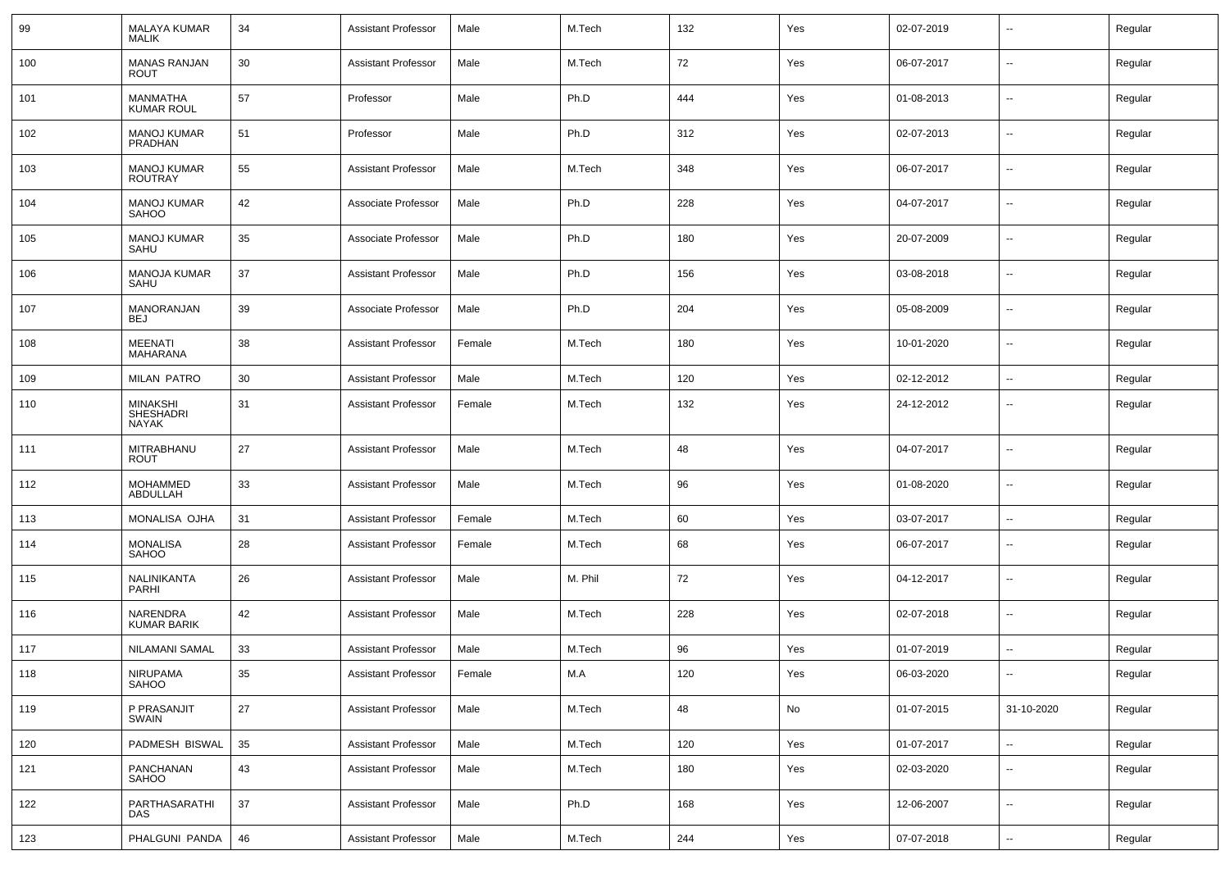| 99  | <b>MALAYA KUMAR</b><br><b>MALIK</b>          | 34 | Assistant Professor        | Male   | M.Tech  | 132 | Yes | 02-07-2019 | $\overline{\phantom{a}}$ | Regular |
|-----|----------------------------------------------|----|----------------------------|--------|---------|-----|-----|------------|--------------------------|---------|
| 100 | <b>MANAS RANJAN</b><br><b>ROUT</b>           | 30 | <b>Assistant Professor</b> | Male   | M.Tech  | 72  | Yes | 06-07-2017 | $\sim$                   | Regular |
| 101 | MANMATHA<br><b>KUMAR ROUL</b>                | 57 | Professor                  | Male   | Ph.D    | 444 | Yes | 01-08-2013 | $\sim$                   | Regular |
| 102 | <b>MANOJ KUMAR</b><br>PRADHAN                | 51 | Professor                  | Male   | Ph.D    | 312 | Yes | 02-07-2013 | $\sim$                   | Regular |
| 103 | <b>MANOJ KUMAR</b><br><b>ROUTRAY</b>         | 55 | Assistant Professor        | Male   | M.Tech  | 348 | Yes | 06-07-2017 | $\sim$                   | Regular |
| 104 | <b>MANOJ KUMAR</b><br><b>SAHOO</b>           | 42 | Associate Professor        | Male   | Ph.D    | 228 | Yes | 04-07-2017 | $\sim$                   | Regular |
| 105 | <b>MANOJ KUMAR</b><br>SAHU                   | 35 | Associate Professor        | Male   | Ph.D    | 180 | Yes | 20-07-2009 | $\sim$                   | Regular |
| 106 | <b>MANOJA KUMAR</b><br>SAHU                  | 37 | <b>Assistant Professor</b> | Male   | Ph.D    | 156 | Yes | 03-08-2018 | $\sim$                   | Regular |
| 107 | MANORANJAN<br><b>BEJ</b>                     | 39 | Associate Professor        | Male   | Ph.D    | 204 | Yes | 05-08-2009 | $\sim$                   | Regular |
| 108 | <b>MEENATI</b><br><b>MAHARANA</b>            | 38 | <b>Assistant Professor</b> | Female | M.Tech  | 180 | Yes | 10-01-2020 | $\sim$                   | Regular |
| 109 | <b>MILAN PATRO</b>                           | 30 | <b>Assistant Professor</b> | Male   | M.Tech  | 120 | Yes | 02-12-2012 | $\sim$                   | Regular |
| 110 | <b>MINAKSHI</b><br><b>SHESHADRI</b><br>NAYAK | 31 | Assistant Professor        | Female | M.Tech  | 132 | Yes | 24-12-2012 | $\overline{\phantom{a}}$ | Regular |
| 111 | MITRABHANU<br><b>ROUT</b>                    | 27 | Assistant Professor        | Male   | M.Tech  | 48  | Yes | 04-07-2017 | $\sim$                   | Regular |
| 112 | <b>MOHAMMED</b><br>ABDULLAH                  | 33 | <b>Assistant Professor</b> | Male   | M.Tech  | 96  | Yes | 01-08-2020 | $\sim$                   | Regular |
| 113 | <b>MONALISA OJHA</b>                         | 31 | <b>Assistant Professor</b> | Female | M.Tech  | 60  | Yes | 03-07-2017 | $\sim$                   | Regular |
| 114 | <b>MONALISA</b><br>SAHOO                     | 28 | <b>Assistant Professor</b> | Female | M.Tech  | 68  | Yes | 06-07-2017 | $\overline{\phantom{a}}$ | Regular |
| 115 | NALINIKANTA<br>PARHI                         | 26 | <b>Assistant Professor</b> | Male   | M. Phil | 72  | Yes | 04-12-2017 | $\overline{\phantom{a}}$ | Regular |
| 116 | <b>NARENDRA</b><br><b>KUMAR BARIK</b>        | 42 | <b>Assistant Professor</b> | Male   | M.Tech  | 228 | Yes | 02-07-2018 | $\overline{\phantom{a}}$ | Regular |
| 117 | NILAMANI SAMAL                               | 33 | <b>Assistant Professor</b> | Male   | M.Tech  | 96  | Yes | 01-07-2019 | $\sim$                   | Regular |
| 118 | NIRUPAMA<br>SAHOO                            | 35 | <b>Assistant Professor</b> | Female | M.A     | 120 | Yes | 06-03-2020 | $\sim$                   | Regular |
| 119 | P PRASANJIT<br>SWAIN                         | 27 | <b>Assistant Professor</b> | Male   | M.Tech  | 48  | No  | 01-07-2015 | 31-10-2020               | Regular |
| 120 | PADMESH BISWAL                               | 35 | <b>Assistant Professor</b> | Male   | M.Tech  | 120 | Yes | 01-07-2017 | $\sim$                   | Regular |
| 121 | PANCHANAN<br>SAHOO                           | 43 | <b>Assistant Professor</b> | Male   | M.Tech  | 180 | Yes | 02-03-2020 | $\sim$                   | Regular |
| 122 | PARTHASARATHI<br>DAS                         | 37 | <b>Assistant Professor</b> | Male   | Ph.D    | 168 | Yes | 12-06-2007 | $\mathbf{u}$             | Regular |
| 123 | PHALGUNI PANDA                               | 46 | <b>Assistant Professor</b> | Male   | M.Tech  | 244 | Yes | 07-07-2018 | $\sim$                   | Regular |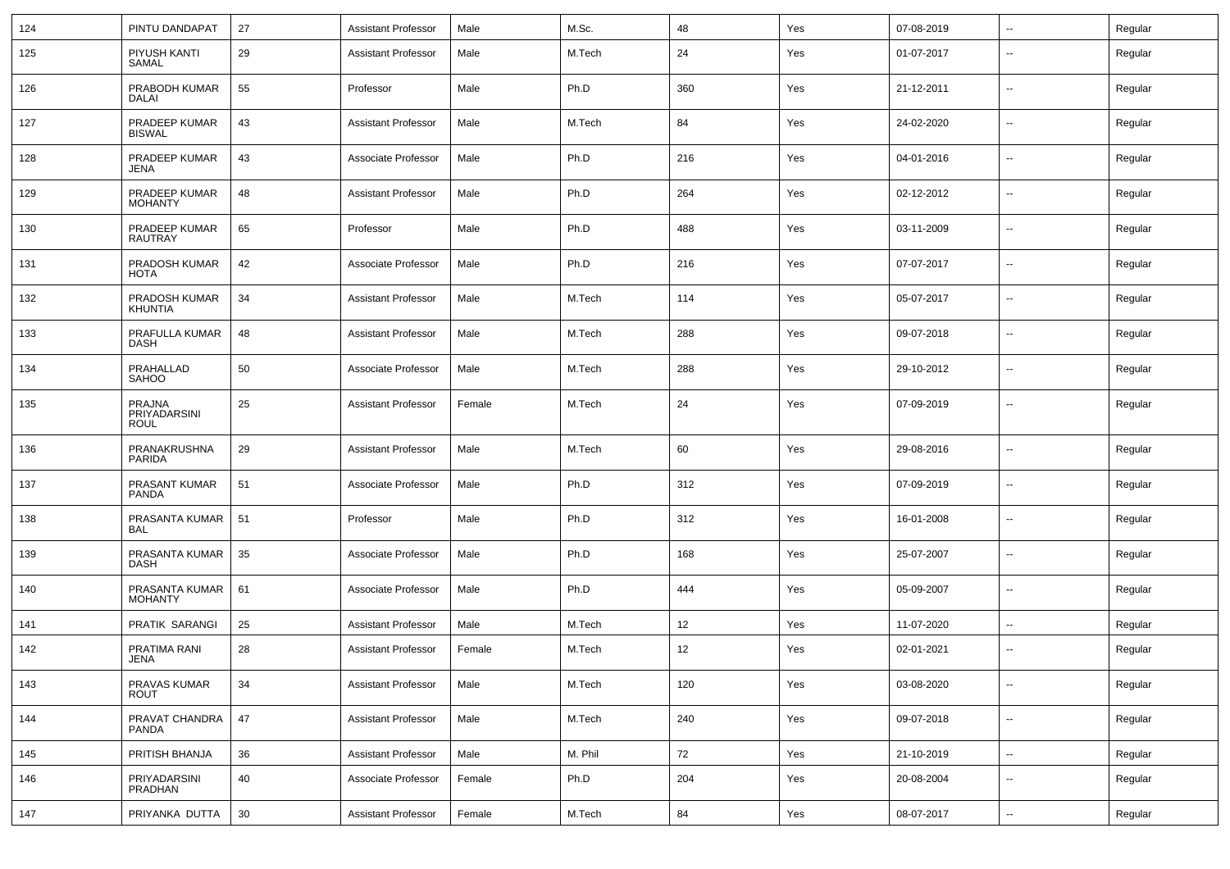| 124 | PINTU DANDAPAT                        | 27 | <b>Assistant Professor</b> | Male   | M.Sc.   | 48  | Yes | 07-08-2019 | $\mathbf{u}$             | Regular |
|-----|---------------------------------------|----|----------------------------|--------|---------|-----|-----|------------|--------------------------|---------|
| 125 | PIYUSH KANTI<br>SAMAL                 | 29 | <b>Assistant Professor</b> | Male   | M.Tech  | 24  | Yes | 01-07-2017 | $\overline{\phantom{a}}$ | Regular |
| 126 | PRABODH KUMAR<br>DALAI                | 55 | Professor                  | Male   | Ph.D    | 360 | Yes | 21-12-2011 | $\overline{\phantom{a}}$ | Regular |
| 127 | PRADEEP KUMAR<br><b>BISWAL</b>        | 43 | <b>Assistant Professor</b> | Male   | M.Tech  | 84  | Yes | 24-02-2020 | $\sim$                   | Regular |
| 128 | PRADEEP KUMAR<br><b>JENA</b>          | 43 | Associate Professor        | Male   | Ph.D    | 216 | Yes | 04-01-2016 | $\overline{\phantom{a}}$ | Regular |
| 129 | PRADEEP KUMAR<br><b>MOHANTY</b>       | 48 | <b>Assistant Professor</b> | Male   | Ph.D    | 264 | Yes | 02-12-2012 | $\overline{\phantom{a}}$ | Regular |
| 130 | PRADEEP KUMAR<br>RAUTRAY              | 65 | Professor                  | Male   | Ph.D    | 488 | Yes | 03-11-2009 | $\overline{\phantom{a}}$ | Regular |
| 131 | PRADOSH KUMAR<br><b>HOTA</b>          | 42 | Associate Professor        | Male   | Ph.D    | 216 | Yes | 07-07-2017 | $\overline{\phantom{a}}$ | Regular |
| 132 | PRADOSH KUMAR<br><b>KHUNTIA</b>       | 34 | <b>Assistant Professor</b> | Male   | M.Tech  | 114 | Yes | 05-07-2017 | $\overline{\phantom{a}}$ | Regular |
| 133 | PRAFULLA KUMAR<br><b>DASH</b>         | 48 | <b>Assistant Professor</b> | Male   | M.Tech  | 288 | Yes | 09-07-2018 | $\overline{\phantom{a}}$ | Regular |
| 134 | PRAHALLAD<br><b>SAHOO</b>             | 50 | Associate Professor        | Male   | M.Tech  | 288 | Yes | 29-10-2012 | --                       | Regular |
| 135 | <b>PRAJNA</b><br>PRIYADARSINI<br>ROUL | 25 | <b>Assistant Professor</b> | Female | M.Tech  | 24  | Yes | 07-09-2019 | --                       | Regular |
| 136 | PRANAKRUSHNA<br><b>PARIDA</b>         | 29 | <b>Assistant Professor</b> | Male   | M.Tech  | 60  | Yes | 29-08-2016 | $\overline{\phantom{a}}$ | Regular |
| 137 | PRASANT KUMAR<br>PANDA                | 51 | Associate Professor        | Male   | Ph.D    | 312 | Yes | 07-09-2019 | $\overline{\phantom{a}}$ | Regular |
| 138 | PRASANTA KUMAR<br>BAL                 | 51 | Professor                  | Male   | Ph.D    | 312 | Yes | 16-01-2008 | $\overline{\phantom{a}}$ | Regular |
| 139 | PRASANTA KUMAR<br>DASH                | 35 | Associate Professor        | Male   | Ph.D    | 168 | Yes | 25-07-2007 | $\sim$                   | Regular |
| 140 | PRASANTA KUMAR<br><b>MOHANTY</b>      | 61 | Associate Professor        | Male   | Ph.D    | 444 | Yes | 05-09-2007 | $\overline{\phantom{a}}$ | Regular |
| 141 | PRATIK SARANGI                        | 25 | <b>Assistant Professor</b> | Male   | M.Tech  | 12  | Yes | 11-07-2020 | −−                       | Regular |
| 142 | PRATIMA RANI<br><b>JENA</b>           | 28 | <b>Assistant Professor</b> | Female | M.Tech  | 12  | Yes | 02-01-2021 | $\overline{\phantom{a}}$ | Regular |
| 143 | PRAVAS KUMAR<br><b>ROUT</b>           | 34 | <b>Assistant Professor</b> | Male   | M.Tech  | 120 | Yes | 03-08-2020 | $\overline{\phantom{a}}$ | Regular |
| 144 | PRAVAT CHANDRA<br>PANDA               | 47 | <b>Assistant Professor</b> | Male   | M.Tech  | 240 | Yes | 09-07-2018 | $\overline{\phantom{a}}$ | Regular |
| 145 | PRITISH BHANJA                        | 36 | <b>Assistant Professor</b> | Male   | M. Phil | 72  | Yes | 21-10-2019 | $\sim$                   | Regular |
| 146 | PRIYADARSINI<br>PRADHAN               | 40 | Associate Professor        | Female | Ph.D    | 204 | Yes | 20-08-2004 | --                       | Regular |
| 147 | PRIYANKA DUTTA                        | 30 | <b>Assistant Professor</b> | Female | M.Tech  | 84  | Yes | 08-07-2017 | $\sim$                   | Regular |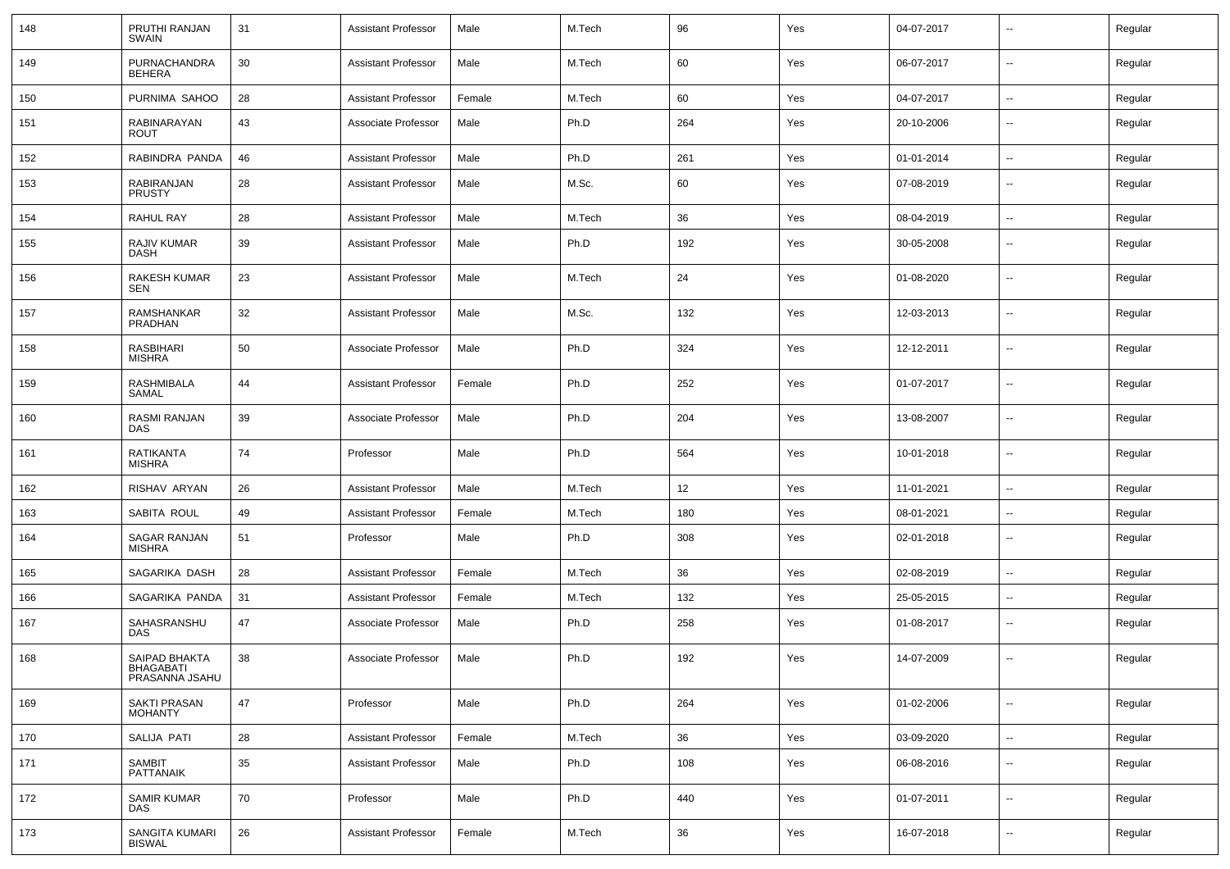| 148 | PRUTHI RANJAN<br>SWAIN                              | 31 | <b>Assistant Professor</b> | Male   | M.Tech | 96  | Yes | 04-07-2017 | $\overline{\phantom{a}}$ | Regular |
|-----|-----------------------------------------------------|----|----------------------------|--------|--------|-----|-----|------------|--------------------------|---------|
| 149 | PURNACHANDRA<br>BEHERA                              | 30 | <b>Assistant Professor</b> | Male   | M.Tech | 60  | Yes | 06-07-2017 | $\overline{\phantom{a}}$ | Regular |
| 150 | PURNIMA SAHOO                                       | 28 | <b>Assistant Professor</b> | Female | M.Tech | 60  | Yes | 04-07-2017 | $\overline{\phantom{a}}$ | Regular |
| 151 | RABINARAYAN<br><b>ROUT</b>                          | 43 | Associate Professor        | Male   | Ph.D   | 264 | Yes | 20-10-2006 | $\overline{\phantom{a}}$ | Regular |
| 152 | RABINDRA PANDA                                      | 46 | <b>Assistant Professor</b> | Male   | Ph.D   | 261 | Yes | 01-01-2014 | $\overline{\phantom{a}}$ | Regular |
| 153 | <b>RABIRANJAN</b><br><b>PRUSTY</b>                  | 28 | <b>Assistant Professor</b> | Male   | M.Sc.  | 60  | Yes | 07-08-2019 | $\overline{\phantom{a}}$ | Regular |
| 154 | RAHUL RAY                                           | 28 | <b>Assistant Professor</b> | Male   | M.Tech | 36  | Yes | 08-04-2019 | $\mathbf{u}$             | Regular |
| 155 | RAJIV KUMAR<br>DASH                                 | 39 | Assistant Professor        | Male   | Ph.D   | 192 | Yes | 30-05-2008 | $\overline{\phantom{a}}$ | Regular |
| 156 | RAKESH KUMAR<br><b>SEN</b>                          | 23 | <b>Assistant Professor</b> | Male   | M.Tech | 24  | Yes | 01-08-2020 | $\overline{\phantom{a}}$ | Regular |
| 157 | <b>RAMSHANKAR</b><br>PRADHAN                        | 32 | <b>Assistant Professor</b> | Male   | M.Sc.  | 132 | Yes | 12-03-2013 | $\overline{\phantom{a}}$ | Regular |
| 158 | <b>RASBIHARI</b><br><b>MISHRA</b>                   | 50 | Associate Professor        | Male   | Ph.D   | 324 | Yes | 12-12-2011 | $\overline{\phantom{a}}$ | Regular |
| 159 | <b>RASHMIBALA</b><br>SAMAL                          | 44 | <b>Assistant Professor</b> | Female | Ph.D   | 252 | Yes | 01-07-2017 | $\overline{\phantom{a}}$ | Regular |
| 160 | RASMI RANJAN<br>DAS                                 | 39 | Associate Professor        | Male   | Ph.D   | 204 | Yes | 13-08-2007 | $\overline{\phantom{a}}$ | Regular |
| 161 | RATIKANTA<br><b>MISHRA</b>                          | 74 | Professor                  | Male   | Ph.D   | 564 | Yes | 10-01-2018 | $\overline{\phantom{a}}$ | Regular |
| 162 | RISHAV ARYAN                                        | 26 | <b>Assistant Professor</b> | Male   | M.Tech | 12  | Yes | 11-01-2021 | $\overline{\phantom{a}}$ | Regular |
| 163 | SABITA ROUL                                         | 49 | <b>Assistant Professor</b> | Female | M.Tech | 180 | Yes | 08-01-2021 | $\overline{\phantom{a}}$ | Regular |
| 164 | SAGAR RANJAN<br><b>MISHRA</b>                       | 51 | Professor                  | Male   | Ph.D   | 308 | Yes | 02-01-2018 | $\overline{\phantom{a}}$ | Regular |
| 165 | SAGARIKA DASH                                       | 28 | <b>Assistant Professor</b> | Female | M.Tech | 36  | Yes | 02-08-2019 | $\sim$                   | Regular |
| 166 | SAGARIKA PANDA                                      | 31 | <b>Assistant Professor</b> | Female | M.Tech | 132 | Yes | 25-05-2015 | $\overline{\phantom{a}}$ | Regular |
| 167 | SAHASRANSHU<br><b>DAS</b>                           | 47 | Associate Professor        | Male   | Ph.D   | 258 | Yes | 01-08-2017 | $\overline{\phantom{a}}$ | Regular |
| 168 | SAIPAD BHAKTA<br><b>BHAGABATI</b><br>PRASANNA JSAHU | 38 | Associate Professor        | Male   | Ph.D   | 192 | Yes | 14-07-2009 | $\overline{\phantom{a}}$ | Regular |
| 169 | <b>SAKTI PRASAN</b><br><b>MOHANTY</b>               | 47 | Professor                  | Male   | Ph.D   | 264 | Yes | 01-02-2006 | $\overline{\phantom{a}}$ | Regular |
| 170 | SALIJA PATI                                         | 28 | <b>Assistant Professor</b> | Female | M.Tech | 36  | Yes | 03-09-2020 | Ξ.                       | Regular |
| 171 | <b>SAMBIT</b><br>PATTANAIK                          | 35 | <b>Assistant Professor</b> | Male   | Ph.D   | 108 | Yes | 06-08-2016 | $\overline{\phantom{a}}$ | Regular |
| 172 | <b>SAMIR KUMAR</b><br><b>DAS</b>                    | 70 | Professor                  | Male   | Ph.D   | 440 | Yes | 01-07-2011 | $\overline{\phantom{a}}$ | Regular |
| 173 | SANGITA KUMARI<br><b>BISWAL</b>                     | 26 | <b>Assistant Professor</b> | Female | M.Tech | 36  | Yes | 16-07-2018 | $\overline{\phantom{a}}$ | Regular |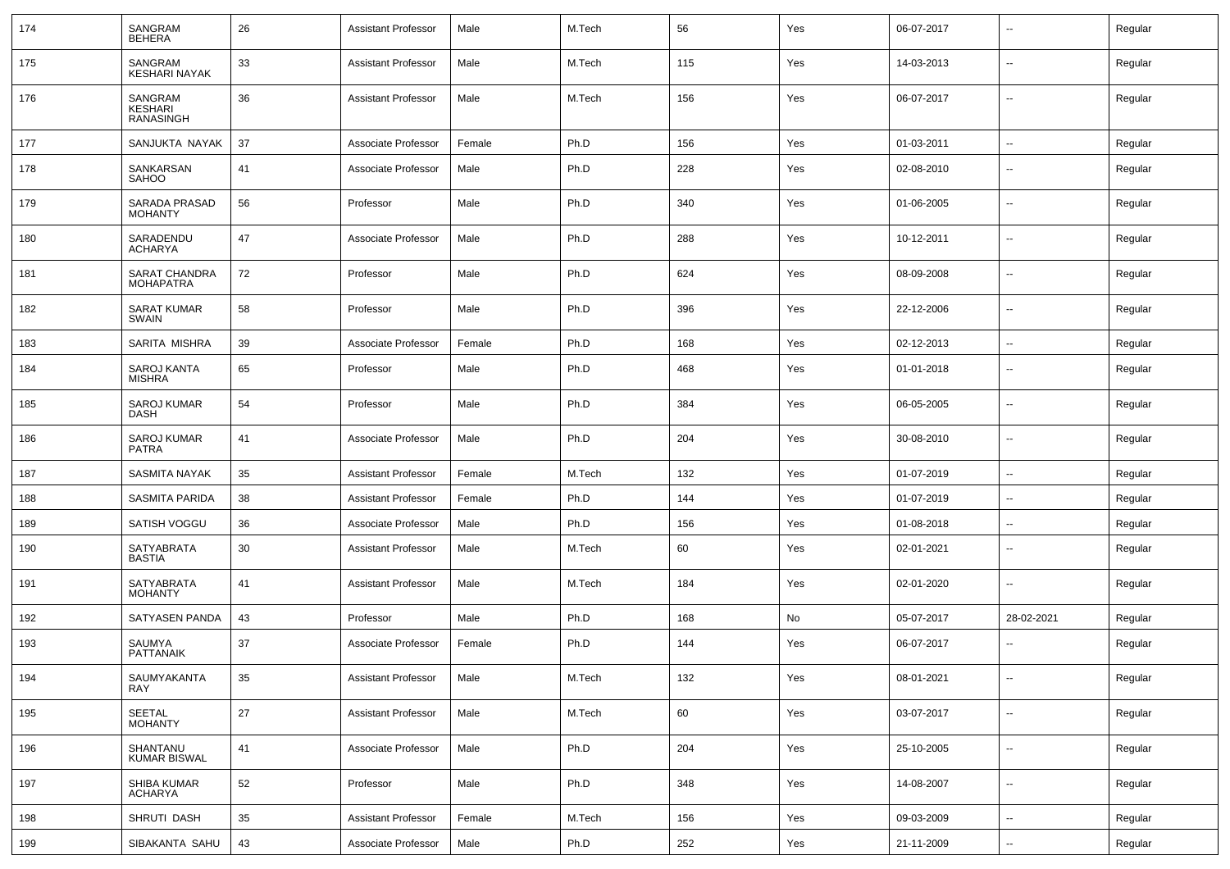| 174 | SANGRAM<br><b>BEHERA</b>               | 26 | <b>Assistant Professor</b> | Male   | M.Tech | 56  | Yes | 06-07-2017 | $\overline{\phantom{a}}$ | Regular |
|-----|----------------------------------------|----|----------------------------|--------|--------|-----|-----|------------|--------------------------|---------|
| 175 | SANGRAM<br><b>KESHARI NAYAK</b>        | 33 | <b>Assistant Professor</b> | Male   | M.Tech | 115 | Yes | 14-03-2013 | $\sim$                   | Regular |
| 176 | SANGRAM<br>KESHARI<br><b>RANASINGH</b> | 36 | <b>Assistant Professor</b> | Male   | M.Tech | 156 | Yes | 06-07-2017 | $\overline{\phantom{a}}$ | Regular |
| 177 | SANJUKTA NAYAK                         | 37 | Associate Professor        | Female | Ph.D   | 156 | Yes | 01-03-2011 | $\overline{\phantom{a}}$ | Regular |
| 178 | SANKARSAN<br><b>SAHOO</b>              | 41 | Associate Professor        | Male   | Ph.D   | 228 | Yes | 02-08-2010 | $\overline{\phantom{a}}$ | Regular |
| 179 | <b>SARADA PRASAD</b><br><b>MOHANTY</b> | 56 | Professor                  | Male   | Ph.D   | 340 | Yes | 01-06-2005 | $\sim$                   | Regular |
| 180 | SARADENDU<br><b>ACHARYA</b>            | 47 | Associate Professor        | Male   | Ph.D   | 288 | Yes | 10-12-2011 | $\overline{\phantom{a}}$ | Regular |
| 181 | SARAT CHANDRA<br><b>MOHAPATRA</b>      | 72 | Professor                  | Male   | Ph.D   | 624 | Yes | 08-09-2008 | $\sim$                   | Regular |
| 182 | <b>SARAT KUMAR</b><br><b>SWAIN</b>     | 58 | Professor                  | Male   | Ph.D   | 396 | Yes | 22-12-2006 | $\overline{\phantom{a}}$ | Regular |
| 183 | SARITA MISHRA                          | 39 | Associate Professor        | Female | Ph.D   | 168 | Yes | 02-12-2013 | $\sim$                   | Regular |
| 184 | SAROJ KANTA<br><b>MISHRA</b>           | 65 | Professor                  | Male   | Ph.D   | 468 | Yes | 01-01-2018 | $\overline{\phantom{a}}$ | Regular |
| 185 | <b>SAROJ KUMAR</b><br><b>DASH</b>      | 54 | Professor                  | Male   | Ph.D   | 384 | Yes | 06-05-2005 | $\overline{\phantom{a}}$ | Regular |
| 186 | <b>SAROJ KUMAR</b><br><b>PATRA</b>     | 41 | Associate Professor        | Male   | Ph.D   | 204 | Yes | 30-08-2010 | $\overline{\phantom{a}}$ | Regular |
| 187 | <b>SASMITA NAYAK</b>                   | 35 | <b>Assistant Professor</b> | Female | M.Tech | 132 | Yes | 01-07-2019 | $\overline{\phantom{a}}$ | Regular |
| 188 | SASMITA PARIDA                         | 38 | Assistant Professor        | Female | Ph.D   | 144 | Yes | 01-07-2019 | $\overline{\phantom{a}}$ | Regular |
| 189 | SATISH VOGGU                           | 36 | Associate Professor        | Male   | Ph.D   | 156 | Yes | 01-08-2018 | $\overline{\phantom{a}}$ | Regular |
| 190 | <b>SATYABRATA</b><br><b>BASTIA</b>     | 30 | <b>Assistant Professor</b> | Male   | M.Tech | 60  | Yes | 02-01-2021 | $\overline{\phantom{a}}$ | Regular |
| 191 | SATYABRATA<br><b>MOHANTY</b>           | 41 | <b>Assistant Professor</b> | Male   | M.Tech | 184 | Yes | 02-01-2020 | $\overline{\phantom{a}}$ | Regular |
| 192 | SATYASEN PANDA                         | 43 | Professor                  | Male   | Ph.D   | 168 | No  | 05-07-2017 | 28-02-2021               | Regular |
| 193 | SAUMYA<br><b>PATTANAIK</b>             | 37 | Associate Professor        | Female | Ph.D   | 144 | Yes | 06-07-2017 | $\overline{\phantom{a}}$ | Regular |
| 194 | SAUMYAKANTA<br><b>RAY</b>              | 35 | <b>Assistant Professor</b> | Male   | M.Tech | 132 | Yes | 08-01-2021 | $\overline{\phantom{a}}$ | Regular |
| 195 | SEETAL<br>MOHANTY                      | 27 | <b>Assistant Professor</b> | Male   | M.Tech | 60  | Yes | 03-07-2017 | $\overline{\phantom{a}}$ | Regular |
| 196 | SHANTANU<br>KUMAR BISWAL               | 41 | Associate Professor        | Male   | Ph.D   | 204 | Yes | 25-10-2005 | $\overline{\phantom{a}}$ | Regular |
| 197 | SHIBA KUMAR<br><b>ACHARYA</b>          | 52 | Professor                  | Male   | Ph.D   | 348 | Yes | 14-08-2007 | $\overline{\phantom{a}}$ | Regular |
| 198 | SHRUTI DASH                            | 35 | <b>Assistant Professor</b> | Female | M.Tech | 156 | Yes | 09-03-2009 | $\overline{\phantom{a}}$ | Regular |
| 199 | SIBAKANTA SAHU                         | 43 | Associate Professor        | Male   | Ph.D   | 252 | Yes | 21-11-2009 | $\sim$                   | Regular |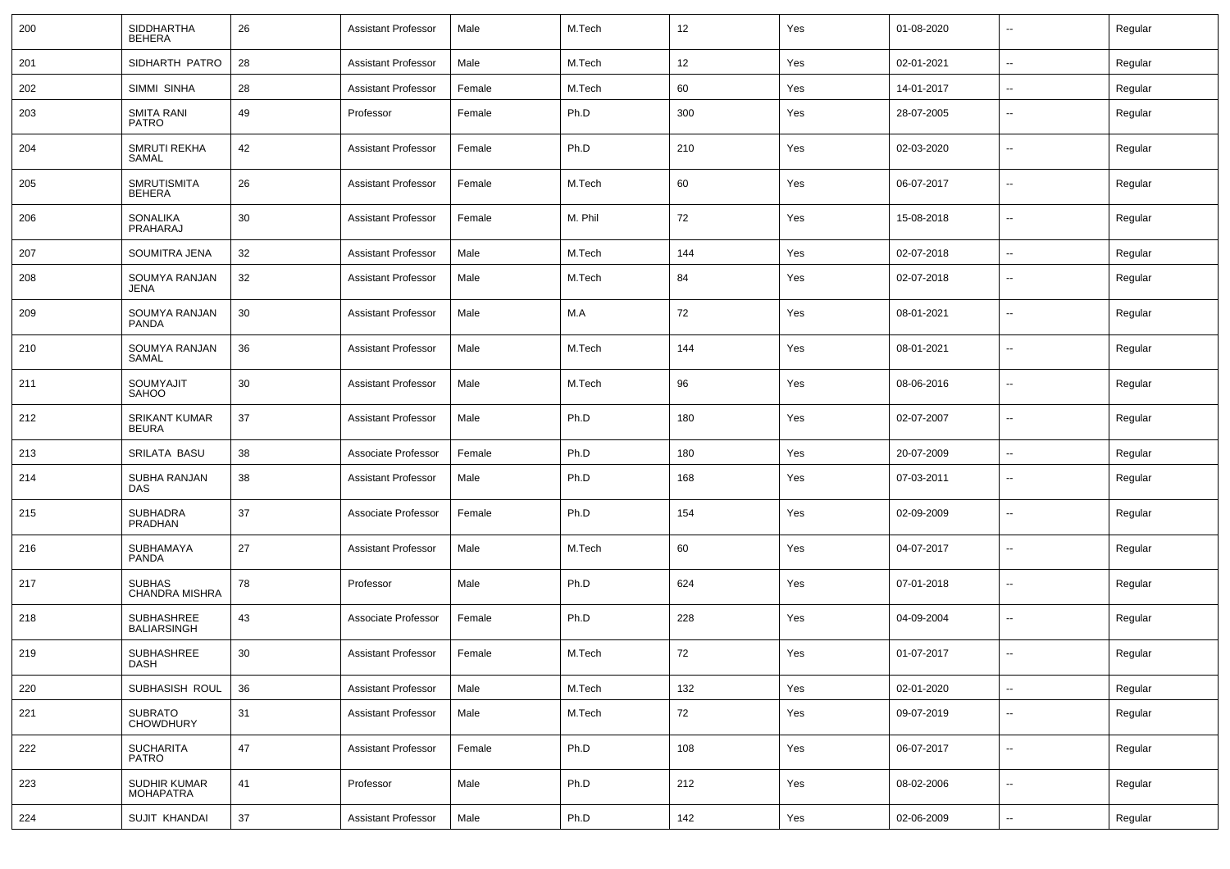| 200 | <b>SIDDHARTHA</b><br><b>BEHERA</b>      | 26 | <b>Assistant Professor</b> | Male   | M.Tech  | 12  | Yes | 01-08-2020 | $\overline{\phantom{a}}$ | Regular |
|-----|-----------------------------------------|----|----------------------------|--------|---------|-----|-----|------------|--------------------------|---------|
| 201 | SIDHARTH PATRO                          | 28 | <b>Assistant Professor</b> | Male   | M.Tech  | 12  | Yes | 02-01-2021 | ⊷.                       | Regular |
| 202 | SIMMI SINHA                             | 28 | <b>Assistant Professor</b> | Female | M.Tech  | 60  | Yes | 14-01-2017 | $\overline{\phantom{a}}$ | Regular |
| 203 | <b>SMITA RANI</b><br><b>PATRO</b>       | 49 | Professor                  | Female | Ph.D    | 300 | Yes | 28-07-2005 | --                       | Regular |
| 204 | <b>SMRUTI REKHA</b><br>SAMAL            | 42 | <b>Assistant Professor</b> | Female | Ph.D    | 210 | Yes | 02-03-2020 | ⊷.                       | Regular |
| 205 | <b>SMRUTISMITA</b><br>BEHERA            | 26 | <b>Assistant Professor</b> | Female | M.Tech  | 60  | Yes | 06-07-2017 | $\overline{\phantom{a}}$ | Regular |
| 206 | <b>SONALIKA</b><br>PRAHARAJ             | 30 | <b>Assistant Professor</b> | Female | M. Phil | 72  | Yes | 15-08-2018 | $\overline{\phantom{a}}$ | Regular |
| 207 | SOUMITRA JENA                           | 32 | <b>Assistant Professor</b> | Male   | M.Tech  | 144 | Yes | 02-07-2018 | $\overline{\phantom{a}}$ | Regular |
| 208 | SOUMYA RANJAN<br>JENA                   | 32 | <b>Assistant Professor</b> | Male   | M.Tech  | 84  | Yes | 02-07-2018 | --                       | Regular |
| 209 | SOUMYA RANJAN<br>PANDA                  | 30 | <b>Assistant Professor</b> | Male   | M.A     | 72  | Yes | 08-01-2021 | $\overline{\phantom{a}}$ | Regular |
| 210 | SOUMYA RANJAN<br>SAMAL                  | 36 | Assistant Professor        | Male   | M.Tech  | 144 | Yes | 08-01-2021 | $\overline{\phantom{a}}$ | Regular |
| 211 | SOUMYAJIT<br><b>SAHOO</b>               | 30 | <b>Assistant Professor</b> | Male   | M.Tech  | 96  | Yes | 08-06-2016 | --                       | Regular |
| 212 | <b>SRIKANT KUMAR</b><br><b>BEURA</b>    | 37 | <b>Assistant Professor</b> | Male   | Ph.D    | 180 | Yes | 02-07-2007 | $\overline{\phantom{a}}$ | Regular |
| 213 | SRILATA BASU                            | 38 | Associate Professor        | Female | Ph.D    | 180 | Yes | 20-07-2009 | --                       | Regular |
| 214 | SUBHA RANJAN<br><b>DAS</b>              | 38 | <b>Assistant Professor</b> | Male   | Ph.D    | 168 | Yes | 07-03-2011 | $\overline{\phantom{a}}$ | Regular |
| 215 | <b>SUBHADRA</b><br>PRADHAN              | 37 | Associate Professor        | Female | Ph.D    | 154 | Yes | 02-09-2009 | $\overline{\phantom{a}}$ | Regular |
| 216 | SUBHAMAYA<br>PANDA                      | 27 | <b>Assistant Professor</b> | Male   | M.Tech  | 60  | Yes | 04-07-2017 | $\overline{\phantom{a}}$ | Regular |
| 217 | <b>SUBHAS</b><br><b>CHANDRA MISHRA</b>  | 78 | Professor                  | Male   | Ph.D    | 624 | Yes | 07-01-2018 | $\overline{\phantom{a}}$ | Regular |
| 218 | <b>SUBHASHREE</b><br><b>BALIARSINGH</b> | 43 | Associate Professor        | Female | Ph.D    | 228 | Yes | 04-09-2004 | $\overline{\phantom{a}}$ | Regular |
| 219 | SUBHASHREE<br>DASH                      | 30 | <b>Assistant Professor</b> | Female | M.Tech  | 72  | Yes | 01-07-2017 | $\sim$                   | Regular |
| 220 | SUBHASISH ROUL                          | 36 | <b>Assistant Professor</b> | Male   | M.Tech  | 132 | Yes | 02-01-2020 | Ξ.                       | Regular |
| 221 | SUBRATO<br>CHOWDHURY                    | 31 | Assistant Professor        | Male   | M.Tech  | 72  | Yes | 09-07-2019 | Ξ.                       | Regular |
| 222 | <b>SUCHARITA</b><br><b>PATRO</b>        | 47 | <b>Assistant Professor</b> | Female | Ph.D    | 108 | Yes | 06-07-2017 | $\overline{\phantom{a}}$ | Regular |
| 223 | SUDHIR KUMAR<br><b>MOHAPATRA</b>        | 41 | Professor                  | Male   | Ph.D    | 212 | Yes | 08-02-2006 | ц.                       | Regular |
| 224 | SUJIT KHANDAI                           | 37 | Assistant Professor        | Male   | Ph.D    | 142 | Yes | 02-06-2009 | $\overline{\phantom{a}}$ | Regular |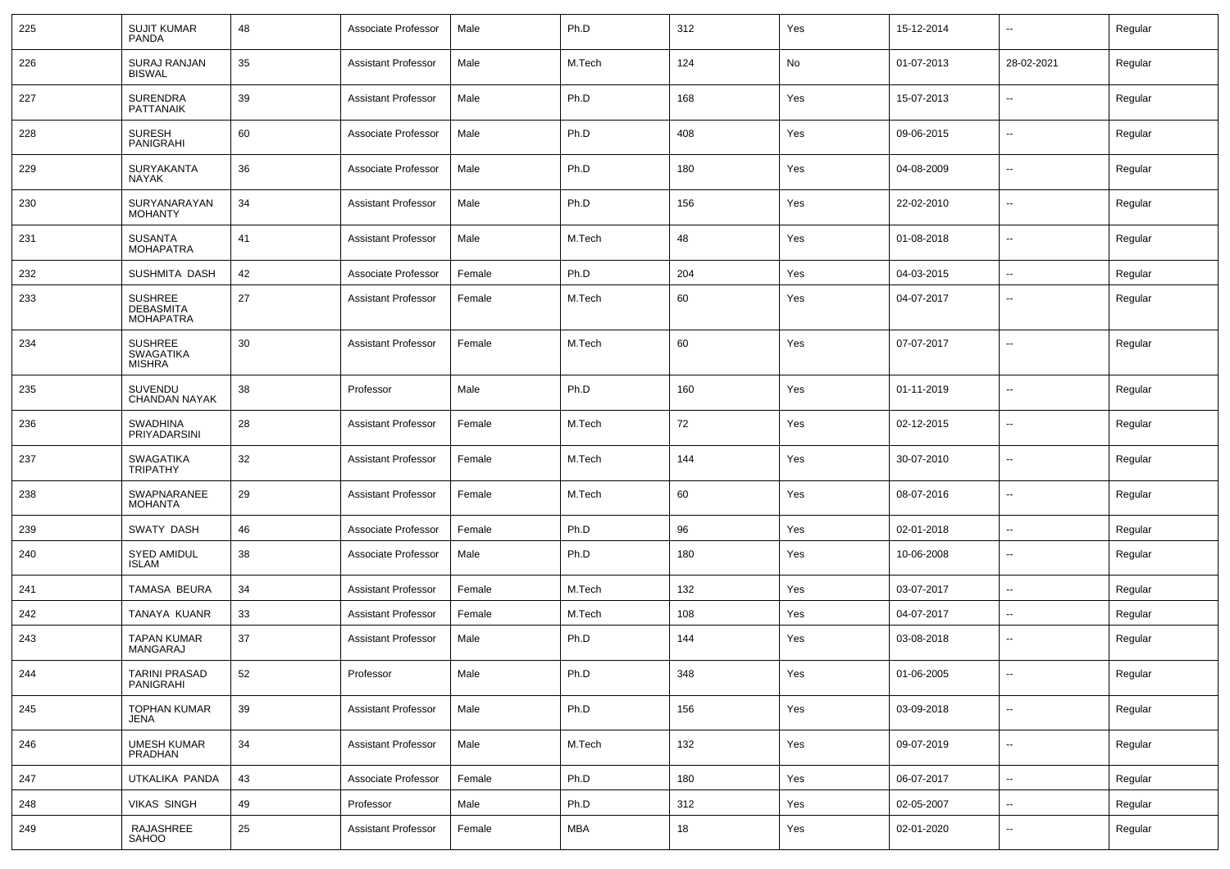| 225 | <b>SUJIT KUMAR</b><br><b>PANDA</b>                  | 48 | Associate Professor        | Male   | Ph.D   | 312 | Yes | 15-12-2014 | $\mathbf{u}$             | Regular |
|-----|-----------------------------------------------------|----|----------------------------|--------|--------|-----|-----|------------|--------------------------|---------|
| 226 | <b>SURAJ RANJAN</b><br><b>BISWAL</b>                | 35 | Assistant Professor        | Male   | M.Tech | 124 | No  | 01-07-2013 | 28-02-2021               | Regular |
| 227 | <b>SURENDRA</b><br><b>PATTANAIK</b>                 | 39 | Assistant Professor        | Male   | Ph.D   | 168 | Yes | 15-07-2013 | $\mathbf{u}$             | Regular |
| 228 | <b>SURESH</b><br><b>PANIGRAHI</b>                   | 60 | Associate Professor        | Male   | Ph.D   | 408 | Yes | 09-06-2015 | $\sim$                   | Regular |
| 229 | <b>SURYAKANTA</b><br>NAYAK                          | 36 | Associate Professor        | Male   | Ph.D   | 180 | Yes | 04-08-2009 | $\sim$                   | Regular |
| 230 | SURYANARAYAN<br><b>MOHANTY</b>                      | 34 | <b>Assistant Professor</b> | Male   | Ph.D   | 156 | Yes | 22-02-2010 | $\sim$                   | Regular |
| 231 | <b>SUSANTA</b><br><b>MOHAPATRA</b>                  | 41 | Assistant Professor        | Male   | M.Tech | 48  | Yes | 01-08-2018 | $\sim$                   | Regular |
| 232 | SUSHMITA DASH                                       | 42 | Associate Professor        | Female | Ph.D   | 204 | Yes | 04-03-2015 | $\sim$                   | Regular |
| 233 | SUSHREE<br><b>DEBASMITA</b><br><b>MOHAPATRA</b>     | 27 | Assistant Professor        | Female | M.Tech | 60  | Yes | 04-07-2017 | --                       | Regular |
| 234 | <b>SUSHREE</b><br><b>SWAGATIKA</b><br><b>MISHRA</b> | 30 | Assistant Professor        | Female | M.Tech | 60  | Yes | 07-07-2017 | $\mathbf{u}$             | Regular |
| 235 | <b>SUVENDU</b><br><b>CHANDAN NAYAK</b>              | 38 | Professor                  | Male   | Ph.D   | 160 | Yes | 01-11-2019 | $\overline{\phantom{a}}$ | Regular |
| 236 | <b>SWADHINA</b><br>PRIYADARSINI                     | 28 | <b>Assistant Professor</b> | Female | M.Tech | 72  | Yes | 02-12-2015 | $\mathbf{u}$             | Regular |
| 237 | <b>SWAGATIKA</b><br><b>TRIPATHY</b>                 | 32 | <b>Assistant Professor</b> | Female | M.Tech | 144 | Yes | 30-07-2010 | $\overline{\phantom{a}}$ | Regular |
| 238 | SWAPNARANEE<br><b>MOHANTA</b>                       | 29 | <b>Assistant Professor</b> | Female | M.Tech | 60  | Yes | 08-07-2016 | $\mathbf{u}$             | Regular |
| 239 | SWATY DASH                                          | 46 | Associate Professor        | Female | Ph.D   | 96  | Yes | 02-01-2018 | $\overline{a}$           | Regular |
| 240 | SYED AMIDUL<br><b>ISLAM</b>                         | 38 | Associate Professor        | Male   | Ph.D   | 180 | Yes | 10-06-2008 | $\sim$                   | Regular |
| 241 | TAMASA BEURA                                        | 34 | Assistant Professor        | Female | M.Tech | 132 | Yes | 03-07-2017 | $\mathbf{u}$             | Regular |
| 242 | TANAYA KUANR                                        | 33 | Assistant Professor        | Female | M.Tech | 108 | Yes | 04-07-2017 | --                       | Regular |
| 243 | <b>TAPAN KUMAR</b><br><b>MANGARAJ</b>               | 37 | <b>Assistant Professor</b> | Male   | Ph.D   | 144 | Yes | 03-08-2018 | $\overline{\phantom{a}}$ | Regular |
| 244 | TARINI PRASAD<br>PANIGRAHI                          | 52 | Professor                  | Male   | Ph.D   | 348 | Yes | 01-06-2005 | $\sim$                   | Regular |
| 245 | <b>TOPHAN KUMAR</b><br>JENA                         | 39 | <b>Assistant Professor</b> | Male   | Ph.D   | 156 | Yes | 03-09-2018 | $\mathbf{u}$             | Regular |
| 246 | <b>UMESH KUMAR</b><br>PRADHAN                       | 34 | <b>Assistant Professor</b> | Male   | M.Tech | 132 | Yes | 09-07-2019 | $\sim$                   | Regular |
| 247 | UTKALIKA PANDA                                      | 43 | Associate Professor        | Female | Ph.D   | 180 | Yes | 06-07-2017 | $\sim$                   | Regular |
| 248 | <b>VIKAS SINGH</b>                                  | 49 | Professor                  | Male   | Ph.D   | 312 | Yes | 02-05-2007 | $\sim$                   | Regular |
| 249 | RAJASHREE<br>SAHOO                                  | 25 | <b>Assistant Professor</b> | Female | MBA    | 18  | Yes | 02-01-2020 | $\mathbf{u}$             | Regular |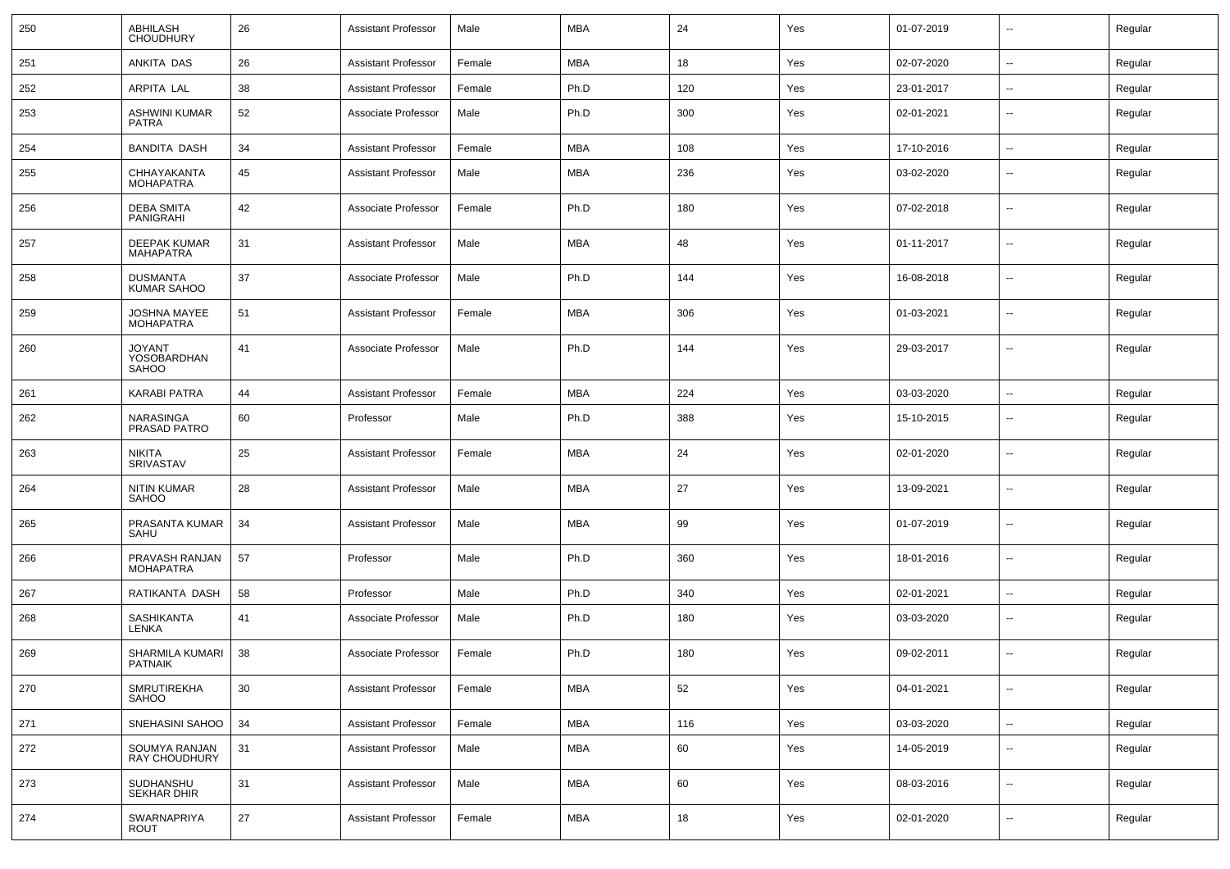| 250 | ABHILASH<br><b>CHOUDHURY</b>            | 26 | <b>Assistant Professor</b> | Male   | MBA        | 24  | Yes | 01-07-2019 | $\overline{\phantom{a}}$ | Regular |
|-----|-----------------------------------------|----|----------------------------|--------|------------|-----|-----|------------|--------------------------|---------|
| 251 | ANKITA DAS                              | 26 | <b>Assistant Professor</b> | Female | MBA        | 18  | Yes | 02-07-2020 | $\sim$                   | Regular |
| 252 | ARPITA LAL                              | 38 | Assistant Professor        | Female | Ph.D       | 120 | Yes | 23-01-2017 | --                       | Regular |
| 253 | ASHWINI KUMAR<br><b>PATRA</b>           | 52 | Associate Professor        | Male   | Ph.D       | 300 | Yes | 02-01-2021 | $\overline{\phantom{a}}$ | Regular |
| 254 | <b>BANDITA DASH</b>                     | 34 | <b>Assistant Professor</b> | Female | MBA        | 108 | Yes | 17-10-2016 | $\overline{\phantom{a}}$ | Regular |
| 255 | CHHAYAKANTA<br><b>MOHAPATRA</b>         | 45 | <b>Assistant Professor</b> | Male   | MBA        | 236 | Yes | 03-02-2020 | $\overline{\phantom{a}}$ | Regular |
| 256 | <b>DEBA SMITA</b><br>PANIGRAHI          | 42 | Associate Professor        | Female | Ph.D       | 180 | Yes | 07-02-2018 | $-$                      | Regular |
| 257 | DEEPAK KUMAR<br><b>MAHAPATRA</b>        | 31 | <b>Assistant Professor</b> | Male   | MBA        | 48  | Yes | 01-11-2017 | $\overline{\phantom{a}}$ | Regular |
| 258 | <b>DUSMANTA</b><br><b>KUMAR SAHOO</b>   | 37 | Associate Professor        | Male   | Ph.D       | 144 | Yes | 16-08-2018 | --                       | Regular |
| 259 | <b>JOSHNA MAYEE</b><br><b>MOHAPATRA</b> | 51 | <b>Assistant Professor</b> | Female | MBA        | 306 | Yes | 01-03-2021 | $-$                      | Regular |
| 260 | <b>JOYANT</b><br>YOSOBARDHAN<br>SAHOO   | 41 | Associate Professor        | Male   | Ph.D       | 144 | Yes | 29-03-2017 | --                       | Regular |
| 261 | <b>KARABI PATRA</b>                     | 44 | <b>Assistant Professor</b> | Female | MBA        | 224 | Yes | 03-03-2020 | $\overline{\phantom{a}}$ | Regular |
| 262 | NARASINGA<br>PRASAD PATRO               | 60 | Professor                  | Male   | Ph.D       | 388 | Yes | 15-10-2015 | $\overline{\phantom{a}}$ | Regular |
| 263 | <b>NIKITA</b><br><b>SRIVASTAV</b>       | 25 | <b>Assistant Professor</b> | Female | MBA        | 24  | Yes | 02-01-2020 | $-$                      | Regular |
| 264 | NITIN KUMAR<br><b>SAHOO</b>             | 28 | <b>Assistant Professor</b> | Male   | MBA        | 27  | Yes | 13-09-2021 | $\overline{\phantom{a}}$ | Regular |
| 265 | PRASANTA KUMAR<br>SAHU                  | 34 | <b>Assistant Professor</b> | Male   | MBA        | 99  | Yes | 01-07-2019 | $-$                      | Regular |
| 266 | PRAVASH RANJAN<br><b>MOHAPATRA</b>      | 57 | Professor                  | Male   | Ph.D       | 360 | Yes | 18-01-2016 | $\overline{\phantom{a}}$ | Regular |
| 267 | RATIKANTA DASH                          | 58 | Professor                  | Male   | Ph.D       | 340 | Yes | 02-01-2021 | $\overline{\phantom{a}}$ | Regular |
| 268 | <b>SASHIKANTA</b><br>LENKA              | 41 | Associate Professor        | Male   | Ph.D       | 180 | Yes | 03-03-2020 | --                       | Regular |
| 269 | SHARMILA KUMARI<br>PATNAIK              | 38 | Associate Professor        | Female | Ph.D       | 180 | Yes | 09-02-2011 | --                       | Regular |
| 270 | SMRUTIREKHA<br><b>SAHOO</b>             | 30 | <b>Assistant Professor</b> | Female | MBA        | 52  | Yes | 04-01-2021 | $\mathbf{u}$             | Regular |
| 271 | SNEHASINI SAHOO                         | 34 | <b>Assistant Professor</b> | Female | <b>MBA</b> | 116 | Yes | 03-03-2020 | $\sim$                   | Regular |
| 272 | SOUMYA RANJAN<br>RAY CHOUDHURY          | 31 | <b>Assistant Professor</b> | Male   | MBA        | 60  | Yes | 14-05-2019 | $\sim$                   | Regular |
| 273 | SUDHANSHU<br>SEKHAR DHIR                | 31 | <b>Assistant Professor</b> | Male   | <b>MBA</b> | 60  | Yes | 08-03-2016 | $\sim$                   | Regular |
| 274 | SWARNAPRIYA<br>ROUT                     | 27 | <b>Assistant Professor</b> | Female | MBA        | 18  | Yes | 02-01-2020 | $\mathbf{u}$             | Regular |